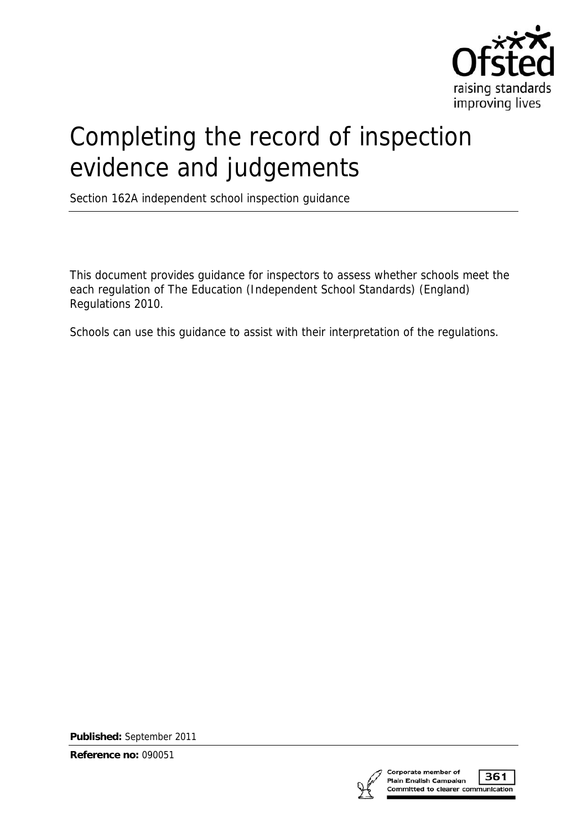

# Completing the record of inspection evidence and judgements

Section 162A independent school inspection guidance

This document provides guidance for inspectors to assess whether schools meet the each regulation of The Education (Independent School Standards) (England) Regulations 2010.

Schools can use this guidance to assist with their interpretation of the regulations.

**Published:** September 2011

**Reference no:** 090051



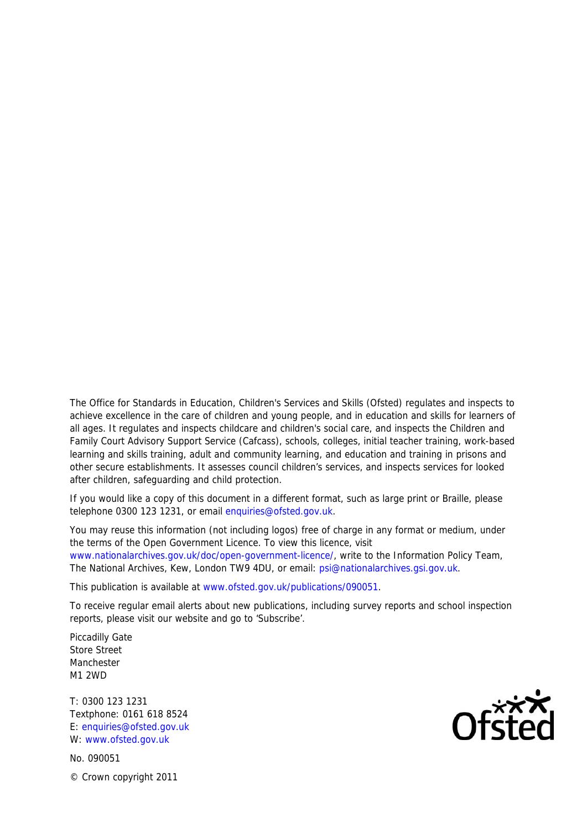The Office for Standards in Education, Children's Services and Skills (Ofsted) regulates and inspects to achieve excellence in the care of children and young people, and in education and skills for learners of all ages. It regulates and inspects childcare and children's social care, and inspects the Children and Family Court Advisory Support Service (Cafcass), schools, colleges, initial teacher training, work-based learning and skills training, adult and community learning, and education and training in prisons and other secure establishments. It assesses council children's services, and inspects services for looked after children, safeguarding and child protection.

If you would like a copy of this document in a different format, such as large print or Braille, please telephone 0300 123 1231, or email enquiries@ofsted.gov.uk.

You may reuse this information (not including logos) free of charge in any format or medium, under the terms of the Open Government Licence. To view this licence, visit www.nationalarchives.gov.uk/doc/open-government-licence/, write to the Information Policy Team, The National Archives, Kew, London TW9 4DU, or email: psi@nationalarchives.gsi.gov.uk.

This publication is available at www.ofsted.gov.uk/publications/090051.

To receive regular email alerts about new publications, including survey reports and school inspection reports, please visit our website and go to 'Subscribe'.

Piccadilly Gate Store Street Manchester M1 2WD

T: 0300 123 1231 Textphone: 0161 618 8524 E: enquiries@ofsted.gov.uk W: www.ofsted.gov.uk

No. 090051 © Crown copyright 2011

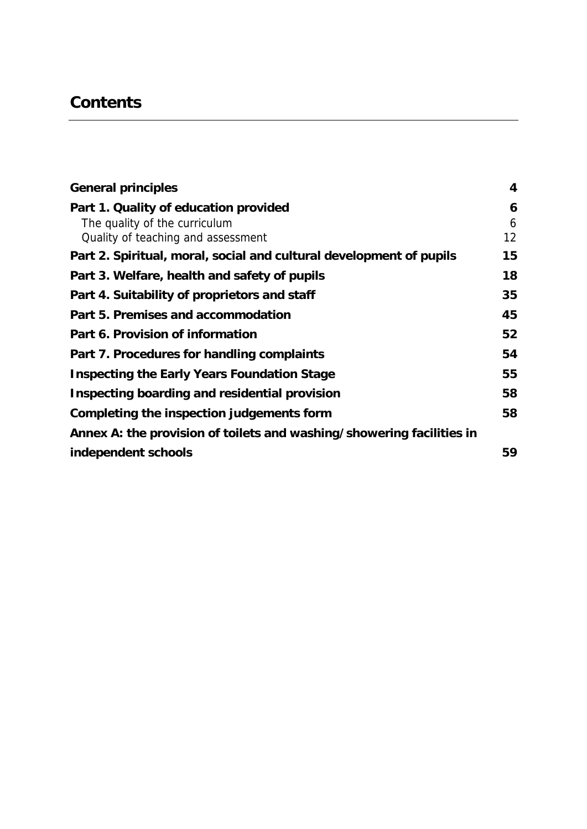# **Contents**

| <b>General principles</b>                                             | $\overline{\mathbf{4}}$ |
|-----------------------------------------------------------------------|-------------------------|
| Part 1. Quality of education provided                                 | 6                       |
| The quality of the curriculum                                         | 6                       |
| Quality of teaching and assessment                                    | 12                      |
| Part 2. Spiritual, moral, social and cultural development of pupils   | 15                      |
| Part 3. Welfare, health and safety of pupils                          | 18                      |
| Part 4. Suitability of proprietors and staff                          | 35                      |
| Part 5. Premises and accommodation                                    | 45                      |
| Part 6. Provision of information                                      | 52                      |
| Part 7. Procedures for handling complaints                            | 54                      |
| <b>Inspecting the Early Years Foundation Stage</b>                    | 55                      |
| Inspecting boarding and residential provision                         | 58                      |
| Completing the inspection judgements form                             | 58                      |
| Annex A: the provision of toilets and washing/showering facilities in |                         |
| independent schools                                                   | 59                      |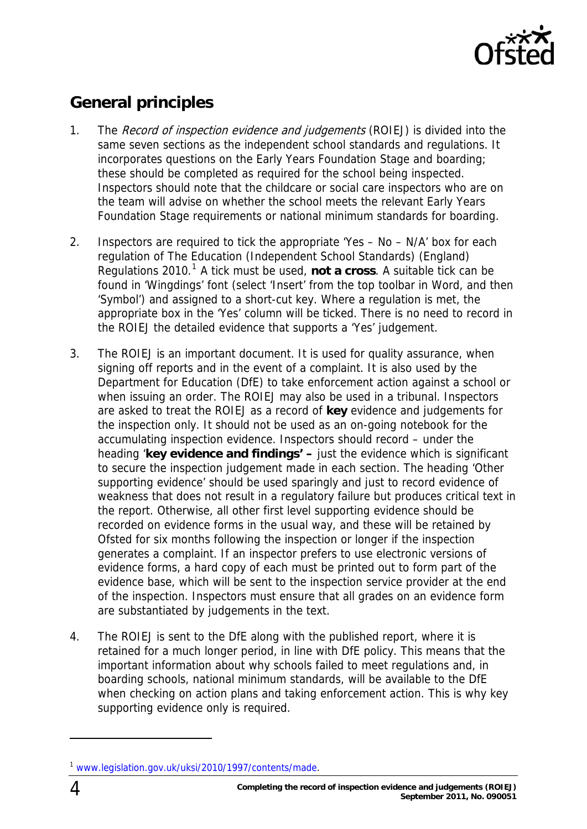

# <span id="page-3-0"></span>**General principles**

- 1. The Record of inspection evidence and judgements (ROIEJ) is divided into the same seven sections as the independent school standards and regulations. It incorporates questions on the Early Years Foundation Stage and boarding; these should be completed as required for the school being inspected. Inspectors should note that the childcare or social care inspectors who are on the team will advise on whether the school meets the relevant Early Years Foundation Stage requirements or national minimum standards for boarding.
- 2. Inspectors are required to tick the appropriate 'Yes No N/A' box for each regulation of The Education (Independent School Standards) (England) Regulations 20[1](#page-3-1)0.<sup>1</sup> A tick must be used, not a cross. A suitable tick can be found in 'Wingdings' font (select 'Insert' from the top toolbar in Word, and then 'Symbol') and assigned to a short-cut key. Where a regulation is met, the appropriate box in the 'Yes' column will be ticked. There is no need to record in the ROIEJ the detailed evidence that supports a 'Yes' judgement.
- 3. The ROIEJ is an important document. It is used for quality assurance, when signing off reports and in the event of a complaint. It is also used by the Department for Education (DfE) to take enforcement action against a school or when issuing an order. The ROIEJ may also be used in a tribunal. Inspectors are asked to treat the ROIEJ as a record of **key** evidence and judgements for the inspection only. It should not be used as an on-going notebook for the accumulating inspection evidence. Inspectors should record – under the heading '**key evidence and findings' –** just the evidence which is significant to secure the inspection judgement made in each section. The heading 'Other supporting evidence' should be used sparingly and just to record evidence of weakness that does not result in a regulatory failure but produces critical text in the report. Otherwise, all other first level supporting evidence should be recorded on evidence forms in the usual way, and these will be retained by Ofsted for six months following the inspection or longer if the inspection generates a complaint. If an inspector prefers to use electronic versions of evidence forms, a hard copy of each must be printed out to form part of the evidence base, which will be sent to the inspection service provider at the end of the inspection. Inspectors must ensure that all grades on an evidence form are substantiated by judgements in the text.
- 4. The ROIEJ is sent to the DfE along with the published report, where it is retained for a much longer period, in line with DfE policy. This means that the important information about why schools failed to meet regulations and, in boarding schools, national minimum standards, will be available to the DfE when checking on action plans and taking enforcement action. This is why key supporting evidence only is required.

<span id="page-3-1"></span><sup>1</sup> [www.legislation.gov.uk/uksi/2010/1997/contents/made.](http://www.legislation.gov.uk/uksi/2010/1997/contents/made)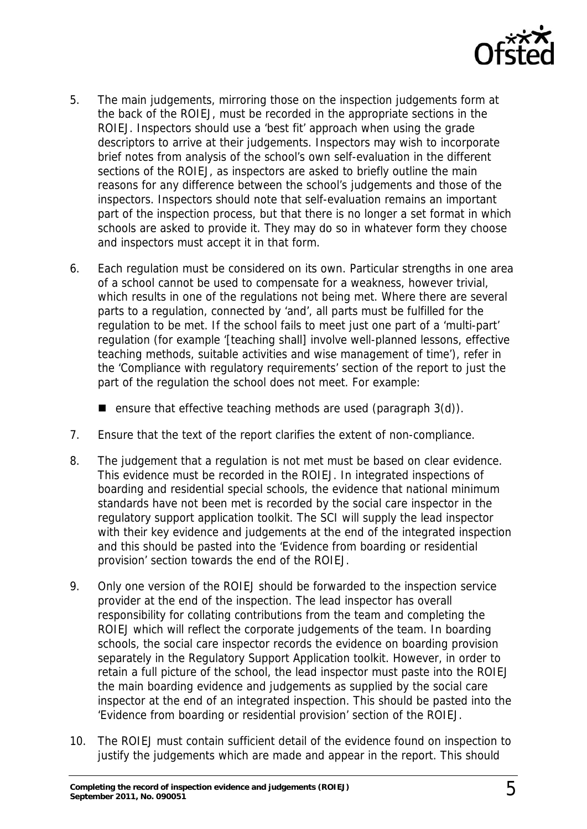

- 5. The main judgements, mirroring those on the inspection judgements form at the back of the ROIEJ, must be recorded in the appropriate sections in the ROIEJ. Inspectors should use a 'best fit' approach when using the grade descriptors to arrive at their judgements. Inspectors may wish to incorporate brief notes from analysis of the school's own self-evaluation in the different sections of the ROIEJ, as inspectors are asked to briefly outline the main reasons for any difference between the school's judgements and those of the inspectors. Inspectors should note that self-evaluation remains an important part of the inspection process, but that there is no longer a set format in which schools are asked to provide it. They may do so in whatever form they choose and inspectors must accept it in that form.
- 6. Each regulation must be considered on its own. Particular strengths in one area of a school cannot be used to compensate for a weakness, however trivial, which results in one of the regulations not being met. Where there are several parts to a regulation, connected by 'and', all parts must be fulfilled for the regulation to be met. If the school fails to meet just one part of a 'multi-part' regulation (for example '[teaching shall] involve well-planned lessons, effective teaching methods, suitable activities and wise management of time'), refer in the 'Compliance with regulatory requirements' section of the report to just the part of the regulation the school does not meet. For example:

**ensure that effective teaching methods are used (paragraph 3(d)).** 

- 7. Ensure that the text of the report clarifies the extent of non-compliance.
- 8. The judgement that a regulation is not met must be based on clear evidence. This evidence must be recorded in the ROIEJ. In integrated inspections of boarding and residential special schools, the evidence that national minimum standards have not been met is recorded by the social care inspector in the regulatory support application toolkit. The SCI will supply the lead inspector with their key evidence and judgements at the end of the integrated inspection and this should be pasted into the 'Evidence from boarding or residential provision' section towards the end of the ROIEJ.
- 9. Only one version of the ROIEJ should be forwarded to the inspection service provider at the end of the inspection. The lead inspector has overall responsibility for collating contributions from the team and completing the ROIEJ which will reflect the corporate judgements of the team. In boarding schools, the social care inspector records the evidence on boarding provision separately in the Regulatory Support Application toolkit. However, in order to retain a full picture of the school, the lead inspector must paste into the ROIEJ the main boarding evidence and judgements as supplied by the social care inspector at the end of an integrated inspection. This should be pasted into the 'Evidence from boarding or residential provision' section of the ROIEJ.
- 10. The ROIEJ must contain sufficient detail of the evidence found on inspection to justify the judgements which are made and appear in the report. This should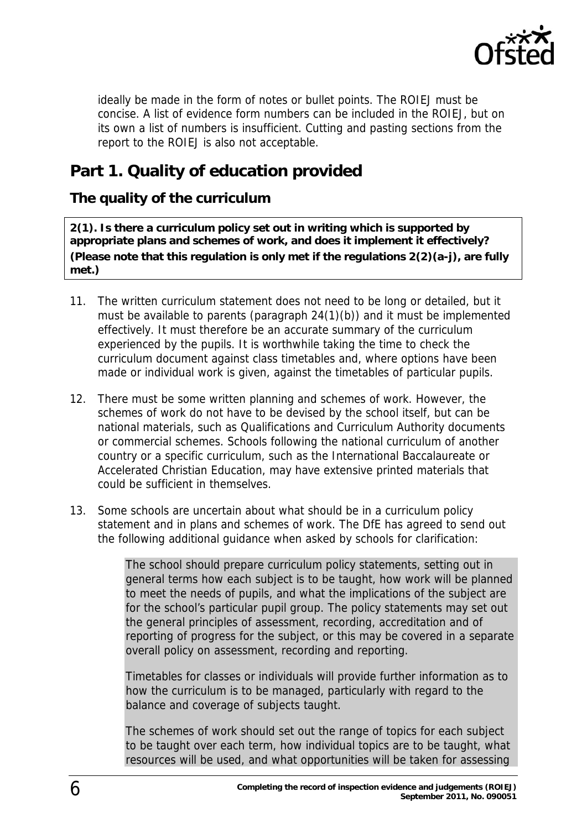

ideally be made in the form of notes or bullet points. The ROIEJ must be concise. A list of evidence form numbers can be included in the ROIEJ, but on its own a list of numbers is insufficient. Cutting and pasting sections from the report to the ROIEJ is also not acceptable.

## <span id="page-5-0"></span>**Part 1. Quality of education provided**

### <span id="page-5-1"></span>**The quality of the curriculum**

**2(1). Is there a curriculum policy set out in writing which is supported by appropriate plans and schemes of work, and does it implement it effectively? (Please note that this regulation is only met if the regulations 2(2)(a-j), are fully met.)** 

- 11. The written curriculum statement does not need to be long or detailed, but it must be available to parents (paragraph 24(1)(b)) and it must be implemented effectively. It must therefore be an accurate summary of the curriculum experienced by the pupils. It is worthwhile taking the time to check the curriculum document against class timetables and, where options have been made or individual work is given, against the timetables of particular pupils.
- 12. There must be some written planning and schemes of work. However, the schemes of work do not have to be devised by the school itself, but can be national materials, such as Qualifications and Curriculum Authority documents or commercial schemes. Schools following the national curriculum of another country or a specific curriculum, such as the International Baccalaureate or Accelerated Christian Education, may have extensive printed materials that could be sufficient in themselves.
- 13. Some schools are uncertain about what should be in a curriculum policy statement and in plans and schemes of work. The DfE has agreed to send out the following additional guidance when asked by schools for clarification:

The school should prepare curriculum policy statements, setting out in general terms how each subject is to be taught, how work will be planned to meet the needs of pupils, and what the implications of the subject are for the school's particular pupil group. The policy statements may set out the general principles of assessment, recording, accreditation and of reporting of progress for the subject, or this may be covered in a separate overall policy on assessment, recording and reporting.

Timetables for classes or individuals will provide further information as to how the curriculum is to be managed, particularly with regard to the balance and coverage of subjects taught.

The schemes of work should set out the range of topics for each subject to be taught over each term, how individual topics are to be taught, what resources will be used, and what opportunities will be taken for assessing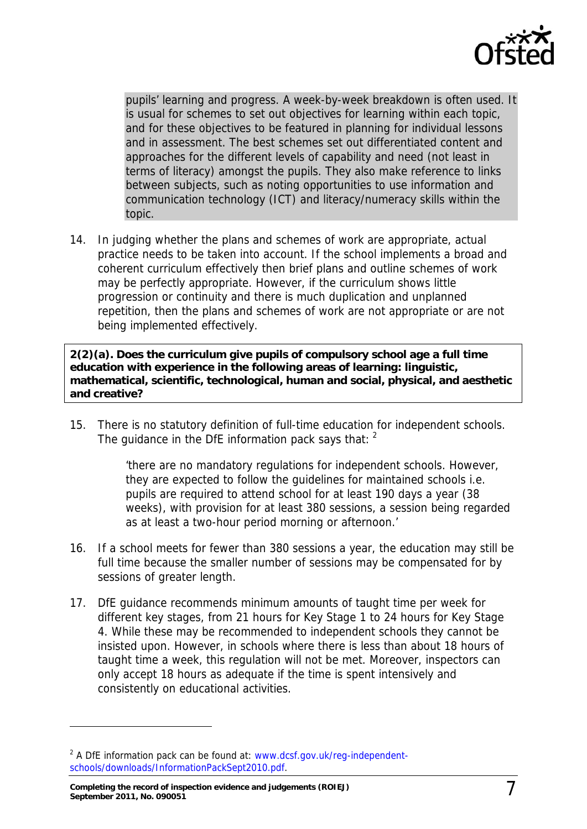

pupils' learning and progress. A week-by-week breakdown is often used. It is usual for schemes to set out objectives for learning within each topic, and for these objectives to be featured in planning for individual lessons and in assessment. The best schemes set out differentiated content and approaches for the different levels of capability and need (not least in terms of literacy) amongst the pupils. They also make reference to links between subjects, such as noting opportunities to use information and communication technology (ICT) and literacy/numeracy skills within the topic.

14. In judging whether the plans and schemes of work are appropriate, actual practice needs to be taken into account. If the school implements a broad and coherent curriculum effectively then brief plans and outline schemes of work may be perfectly appropriate. However, if the curriculum shows little progression or continuity and there is much duplication and unplanned repetition, then the plans and schemes of work are not appropriate or are not being implemented effectively.

**2(2)(a). Does the curriculum give pupils of compulsory school age a full time education with experience in the following areas of learning: linguistic, mathematical, scientific, technological, human and social, physical, and aesthetic and creative?** 

15. There is no statutory definition of full-time education for independent schools. The guidance in the DfE information pack says that:  $2^{\circ}$  $2^{\circ}$ 

> 'there are no mandatory regulations for independent schools. However, they are expected to follow the guidelines for maintained schools i.e. pupils are required to attend school for at least 190 days a year (38 weeks), with provision for at least 380 sessions, a session being regarded as at least a two-hour period morning or afternoon.'

- 16. If a school meets for fewer than 380 sessions a year, the education may still be full time because the smaller number of sessions may be compensated for by sessions of greater length.
- 17. DfE guidance recommends minimum amounts of taught time per week for different key stages, from 21 hours for Key Stage 1 to 24 hours for Key Stage 4. While these may be recommended to independent schools they cannot be insisted upon. However, in schools where there is less than about 18 hours of taught time a week, this regulation will not be met. Moreover, inspectors can only accept 18 hours as adequate if the time is spent intensively and consistently on educational activities.

<span id="page-6-0"></span><sup>&</sup>lt;sup>2</sup> A DfE information pack can be found at: [www.dcsf.gov.uk/reg-independent](http://www.dcsf.gov.uk/reg-independent-schools/downloads/InformationPackSept2010.pdf)[schools/downloads/InformationPackSept2010.pdf.](http://www.dcsf.gov.uk/reg-independent-schools/downloads/InformationPackSept2010.pdf)

**Completing the record of inspection evidence and judgements (ROIEJ) September 2011, No. 090051** 7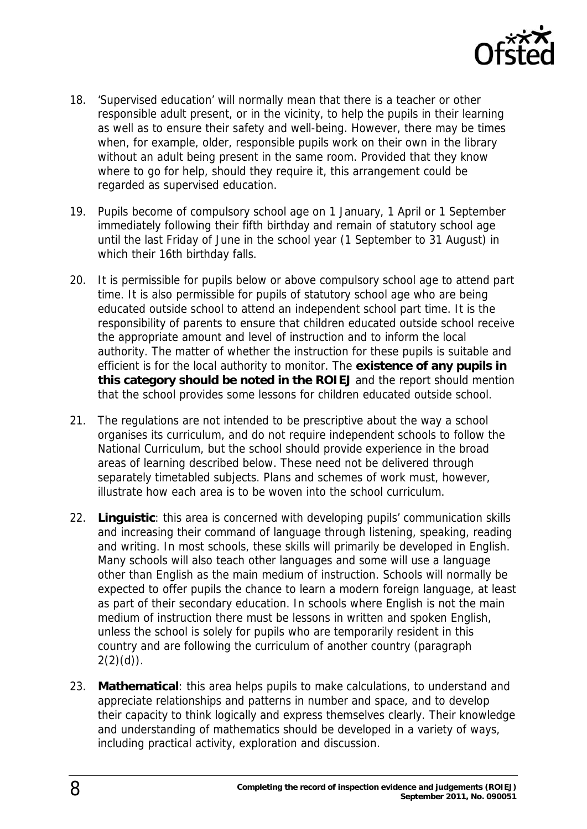

- 18. 'Supervised education' will normally mean that there is a teacher or other responsible adult present, or in the vicinity, to help the pupils in their learning as well as to ensure their safety and well-being. However, there may be times when, for example, older, responsible pupils work on their own in the library without an adult being present in the same room. Provided that they know where to go for help, should they require it, this arrangement could be regarded as supervised education.
- 19. Pupils become of compulsory school age on 1 January, 1 April or 1 September immediately following their fifth birthday and remain of statutory school age until the last Friday of June in the school year (1 September to 31 August) in which their 16th birthday falls.
- 20. It is permissible for pupils below or above compulsory school age to attend part time. It is also permissible for pupils of statutory school age who are being educated outside school to attend an independent school part time. It is the responsibility of parents to ensure that children educated outside school receive the appropriate amount and level of instruction and to inform the local authority. The matter of whether the instruction for these pupils is suitable and efficient is for the local authority to monitor. The **existence of any pupils in this category should be noted in the ROIEJ** and the report should mention that the school provides some lessons for children educated outside school.
- 21. The regulations are not intended to be prescriptive about the way a school organises its curriculum, and do not require independent schools to follow the National Curriculum, but the school should provide experience in the broad areas of learning described below. These need not be delivered through separately timetabled subjects. Plans and schemes of work must, however, illustrate how each area is to be woven into the school curriculum.
- 22. **Linguistic**: this area is concerned with developing pupils' communication skills and increasing their command of language through listening, speaking, reading and writing. In most schools, these skills will primarily be developed in English. Many schools will also teach other languages and some will use a language other than English as the main medium of instruction. Schools will normally be expected to offer pupils the chance to learn a modern foreign language, at least as part of their secondary education. In schools where English is not the main medium of instruction there must be lessons in written and spoken English, unless the school is solely for pupils who are temporarily resident in this country and are following the curriculum of another country (paragraph  $2(2)(d)$ ).
- 23. **Mathematical**: this area helps pupils to make calculations, to understand and appreciate relationships and patterns in number and space, and to develop their capacity to think logically and express themselves clearly. Their knowledge and understanding of mathematics should be developed in a variety of ways, including practical activity, exploration and discussion.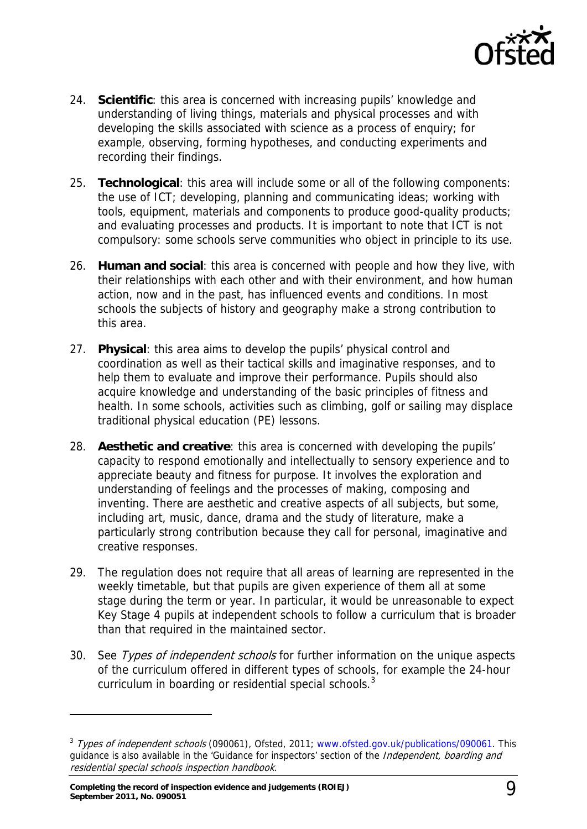

- 24. **Scientific**: this area is concerned with increasing pupils' knowledge and understanding of living things, materials and physical processes and with developing the skills associated with science as a process of enquiry; for example, observing, forming hypotheses, and conducting experiments and recording their findings.
- 25. **Technological**: this area will include some or all of the following components: the use of ICT; developing, planning and communicating ideas; working with tools, equipment, materials and components to produce good-quality products; and evaluating processes and products. It is important to note that ICT is not compulsory: some schools serve communities who object in principle to its use.
- 26. **Human and social**: this area is concerned with people and how they live, with their relationships with each other and with their environment, and how human action, now and in the past, has influenced events and conditions. In most schools the subjects of history and geography make a strong contribution to this area.
- 27. **Physical**: this area aims to develop the pupils' physical control and coordination as well as their tactical skills and imaginative responses, and to help them to evaluate and improve their performance. Pupils should also acquire knowledge and understanding of the basic principles of fitness and health. In some schools, activities such as climbing, golf or sailing may displace traditional physical education (PE) lessons.
- 28. **Aesthetic and creative**: this area is concerned with developing the pupils' capacity to respond emotionally and intellectually to sensory experience and to appreciate beauty and fitness for purpose. It involves the exploration and understanding of feelings and the processes of making, composing and inventing. There are aesthetic and creative aspects of all subjects, but some, including art, music, dance, drama and the study of literature, make a particularly strong contribution because they call for personal, imaginative and creative responses.
- 29. The regulation does not require that all areas of learning are represented in the weekly timetable, but that pupils are given experience of them all at some stage during the term or year. In particular, it would be unreasonable to expect Key Stage 4 pupils at independent schools to follow a curriculum that is broader than that required in the maintained sector.
- 30. See Types of independent schools for further information on the unique aspects of the curriculum offered in different types of schools, for example the 24-hour curriculum in boarding or residential special schools. $3$

<span id="page-8-0"></span><sup>&</sup>lt;sup>3</sup> Types of independent schools (090061), Ofsted, 2011; [www.ofsted.gov.uk/publications/090061](http://www.ofsted.gov.uk/publications/090061). This guidance is also available in the 'Guidance for inspectors' section of the *Independent, boarding and* residential special schools inspection handbook.

**Completing the record of inspection evidence and judgements (ROIEJ) September 2011, No. 090051** 9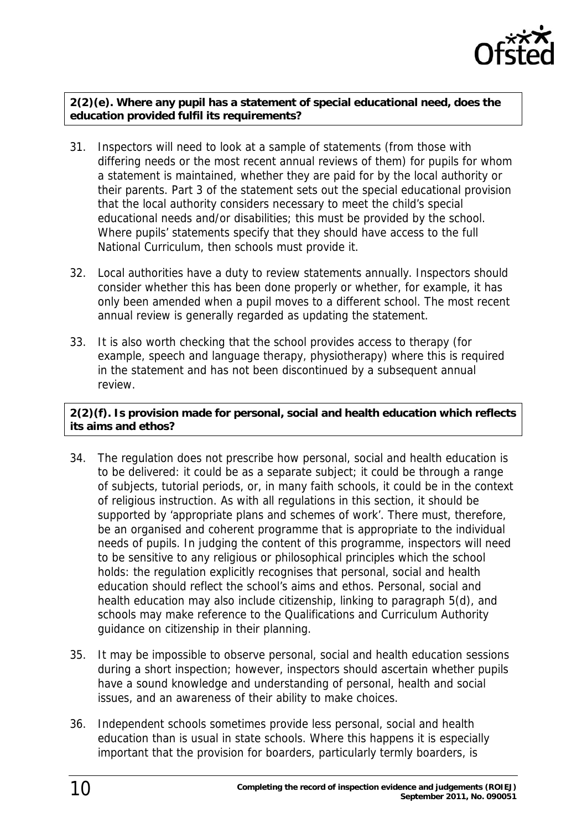

**2(2)(e). Where any pupil has a statement of special educational need, does the education provided fulfil its requirements?** 

- 31. Inspectors will need to look at a sample of statements (from those with differing needs or the most recent annual reviews of them) for pupils for whom a statement is maintained, whether they are paid for by the local authority or their parents. Part 3 of the statement sets out the special educational provision that the local authority considers necessary to meet the child's special educational needs and/or disabilities; this must be provided by the school. Where pupils' statements specify that they should have access to the full National Curriculum, then schools must provide it.
- 32. Local authorities have a duty to review statements annually. Inspectors should consider whether this has been done properly or whether, for example, it has only been amended when a pupil moves to a different school. The most recent annual review is generally regarded as updating the statement.
- 33. It is also worth checking that the school provides access to therapy (for example, speech and language therapy, physiotherapy) where this is required in the statement and has not been discontinued by a subsequent annual review.

#### **2(2)(f). Is provision made for personal, social and health education which reflects its aims and ethos?**

- 34. The regulation does not prescribe how personal, social and health education is to be delivered: it could be as a separate subject; it could be through a range of subjects, tutorial periods, or, in many faith schools, it could be in the context of religious instruction. As with all regulations in this section, it should be supported by 'appropriate plans and schemes of work'. There must, therefore, be an organised and coherent programme that is appropriate to the individual needs of pupils. In judging the content of this programme, inspectors will need to be sensitive to any religious or philosophical principles which the school holds: the regulation explicitly recognises that personal, social and health education should reflect the school's aims and ethos. Personal, social and health education may also include citizenship, linking to paragraph 5(d), and schools may make reference to the Qualifications and Curriculum Authority guidance on citizenship in their planning.
- 35. It may be impossible to observe personal, social and health education sessions during a short inspection; however, inspectors should ascertain whether pupils have a sound knowledge and understanding of personal, health and social issues, and an awareness of their ability to make choices.
- 36. Independent schools sometimes provide less personal, social and health education than is usual in state schools. Where this happens it is especially important that the provision for boarders, particularly termly boarders, is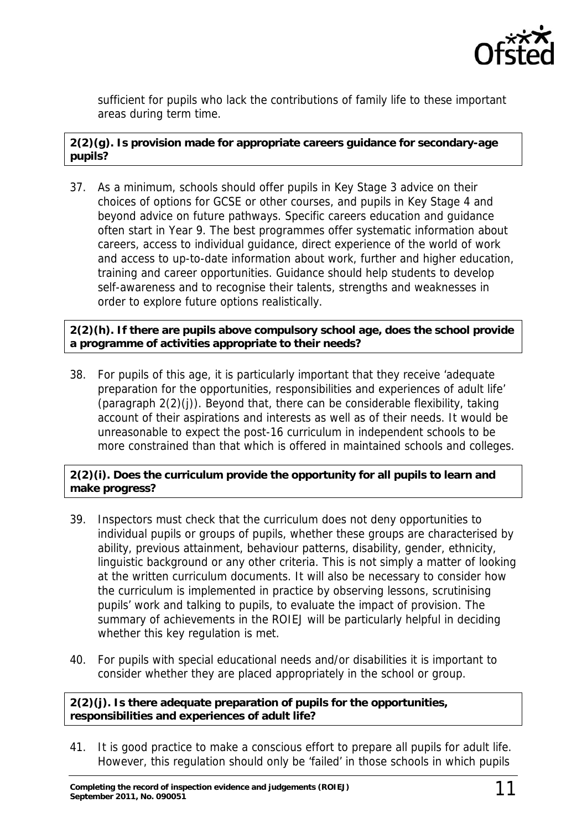

sufficient for pupils who lack the contributions of family life to these important areas during term time.

#### **2(2)(g). Is provision made for appropriate careers guidance for secondary-age pupils?**

37. As a minimum, schools should offer pupils in Key Stage 3 advice on their choices of options for GCSE or other courses, and pupils in Key Stage 4 and beyond advice on future pathways. Specific careers education and guidance often start in Year 9. The best programmes offer systematic information about careers, access to individual guidance, direct experience of the world of work and access to up-to-date information about work, further and higher education, training and career opportunities. Guidance should help students to develop self-awareness and to recognise their talents, strengths and weaknesses in order to explore future options realistically.

#### **2(2)(h). If there are pupils above compulsory school age, does the school provide a programme of activities appropriate to their needs?**

38. For pupils of this age, it is particularly important that they receive 'adequate preparation for the opportunities, responsibilities and experiences of adult life' (paragraph 2(2)(j)). Beyond that, there can be considerable flexibility, taking account of their aspirations and interests as well as of their needs. It would be unreasonable to expect the post-16 curriculum in independent schools to be more constrained than that which is offered in maintained schools and colleges.

#### **2(2)(i). Does the curriculum provide the opportunity for all pupils to learn and make progress?**

- 39. Inspectors must check that the curriculum does not deny opportunities to individual pupils or groups of pupils, whether these groups are characterised by ability, previous attainment, behaviour patterns, disability, gender, ethnicity, linguistic background or any other criteria. This is not simply a matter of looking at the written curriculum documents. It will also be necessary to consider how the curriculum is implemented in practice by observing lessons, scrutinising pupils' work and talking to pupils, to evaluate the impact of provision. The summary of achievements in the ROIEJ will be particularly helpful in deciding whether this key regulation is met.
- 40. For pupils with special educational needs and/or disabilities it is important to consider whether they are placed appropriately in the school or group.

#### **2(2)(j). Is there adequate preparation of pupils for the opportunities, responsibilities and experiences of adult life?**

41. It is good practice to make a conscious effort to prepare all pupils for adult life. However, this regulation should only be 'failed' in those schools in which pupils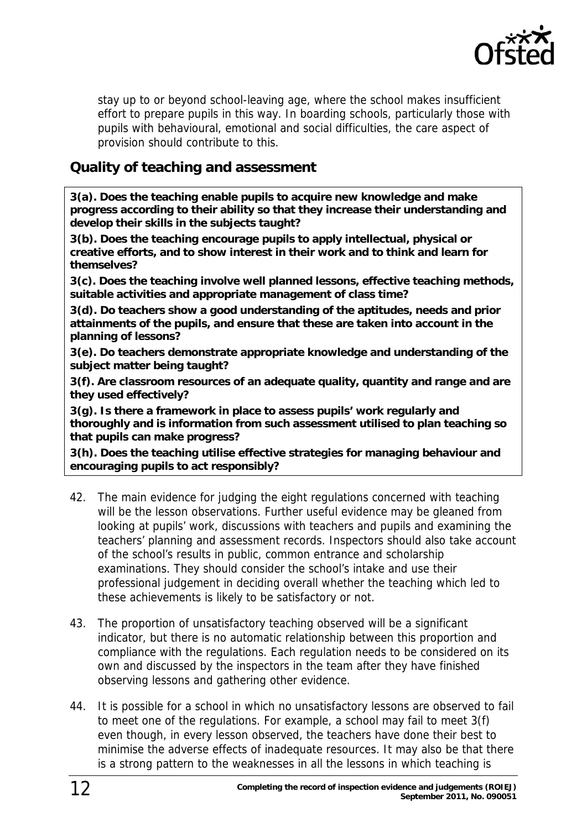

stay up to or beyond school-leaving age, where the school makes insufficient effort to prepare pupils in this way. In boarding schools, particularly those with pupils with behavioural, emotional and social difficulties, the care aspect of provision should contribute to this.

### <span id="page-11-0"></span>**Quality of teaching and assessment**

**3(a). Does the teaching enable pupils to acquire new knowledge and make progress according to their ability so that they increase their understanding and develop their skills in the subjects taught?** 

**3(b). Does the teaching encourage pupils to apply intellectual, physical or creative efforts, and to show interest in their work and to think and learn for themselves?** 

**3(c). Does the teaching involve well planned lessons, effective teaching methods, suitable activities and appropriate management of class time?** 

**3(d). Do teachers show a good understanding of the aptitudes, needs and prior attainments of the pupils, and ensure that these are taken into account in the planning of lessons?** 

**3(e). Do teachers demonstrate appropriate knowledge and understanding of the subject matter being taught?** 

**3(f). Are classroom resources of an adequate quality, quantity and range and are they used effectively?** 

**3(g). Is there a framework in place to assess pupils' work regularly and thoroughly and is information from such assessment utilised to plan teaching so that pupils can make progress?** 

**3(h). Does the teaching utilise effective strategies for managing behaviour and encouraging pupils to act responsibly?** 

- 42. The main evidence for judging the eight regulations concerned with teaching will be the lesson observations. Further useful evidence may be gleaned from looking at pupils' work, discussions with teachers and pupils and examining the teachers' planning and assessment records. Inspectors should also take account of the school's results in public, common entrance and scholarship examinations. They should consider the school's intake and use their professional judgement in deciding overall whether the teaching which led to these achievements is likely to be satisfactory or not.
- 43. The proportion of unsatisfactory teaching observed will be a significant indicator, but there is no automatic relationship between this proportion and compliance with the regulations. Each regulation needs to be considered on its own and discussed by the inspectors in the team after they have finished observing lessons and gathering other evidence.
- 44. It is possible for a school in which no unsatisfactory lessons are observed to fail to meet one of the regulations. For example, a school may fail to meet 3(f) even though, in every lesson observed, the teachers have done their best to minimise the adverse effects of inadequate resources. It may also be that there is a strong pattern to the weaknesses in all the lessons in which teaching is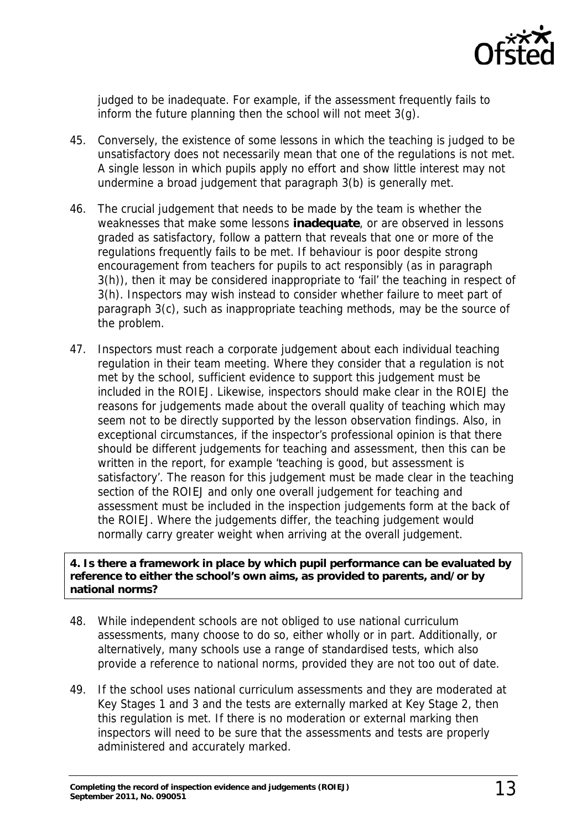

judged to be inadequate. For example, if the assessment frequently fails to inform the future planning then the school will not meet 3(g).

- 45. Conversely, the existence of some lessons in which the teaching is judged to be unsatisfactory does not necessarily mean that one of the regulations is not met. A single lesson in which pupils apply no effort and show little interest may not undermine a broad judgement that paragraph 3(b) is generally met.
- 46. The crucial judgement that needs to be made by the team is whether the weaknesses that make some lessons **inadequate**, or are observed in lessons graded as satisfactory, follow a pattern that reveals that one or more of the regulations frequently fails to be met. If behaviour is poor despite strong encouragement from teachers for pupils to act responsibly (as in paragraph 3(h)), then it may be considered inappropriate to 'fail' the teaching in respect of 3(h). Inspectors may wish instead to consider whether failure to meet part of paragraph 3(c), such as inappropriate teaching methods, may be the source of the problem.
- 47. Inspectors must reach a corporate judgement about each individual teaching regulation in their team meeting. Where they consider that a regulation is not met by the school, sufficient evidence to support this judgement must be included in the ROIEJ. Likewise, inspectors should make clear in the ROIEJ the reasons for judgements made about the overall quality of teaching which may seem not to be directly supported by the lesson observation findings. Also, in exceptional circumstances, if the inspector's professional opinion is that there should be different judgements for teaching and assessment, then this can be written in the report, for example 'teaching is good, but assessment is satisfactory'. The reason for this judgement must be made clear in the teaching section of the ROIEJ and only one overall judgement for teaching and assessment must be included in the inspection judgements form at the back of the ROIEJ. Where the judgements differ, the teaching judgement would normally carry greater weight when arriving at the overall judgement.

#### **4. Is there a framework in place by which pupil performance can be evaluated by reference to either the school's own aims, as provided to parents, and/or by national norms?**

- 48. While independent schools are not obliged to use national curriculum assessments, many choose to do so, either wholly or in part. Additionally, or alternatively, many schools use a range of standardised tests, which also provide a reference to national norms, provided they are not too out of date.
- 49. If the school uses national curriculum assessments and they are moderated at Key Stages 1 and 3 and the tests are externally marked at Key Stage 2, then this regulation is met. If there is no moderation or external marking then inspectors will need to be sure that the assessments and tests are properly administered and accurately marked.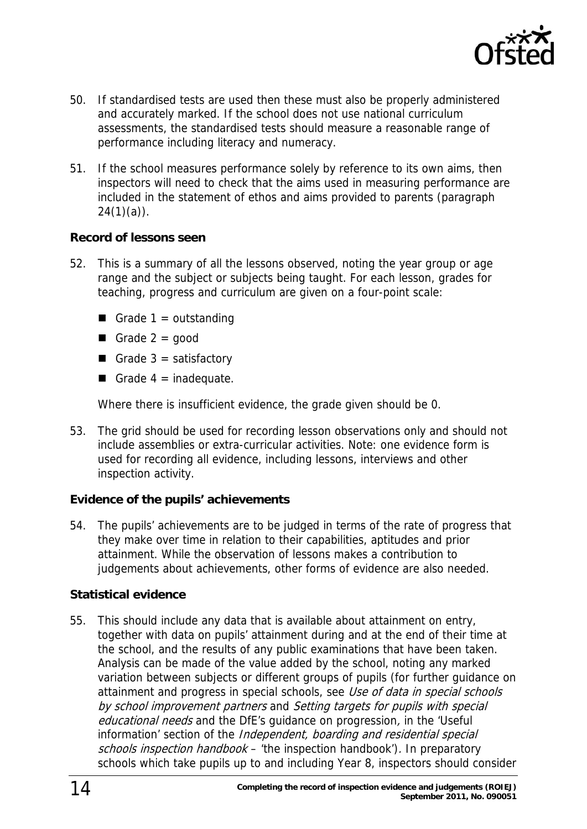

- 50. If standardised tests are used then these must also be properly administered and accurately marked. If the school does not use national curriculum assessments, the standardised tests should measure a reasonable range of performance including literacy and numeracy.
- 51. If the school measures performance solely by reference to its own aims, then inspectors will need to check that the aims used in measuring performance are included in the statement of ethos and aims provided to parents (paragraph  $24(1)(a)$ .

#### **Record of lessons seen**

- 52. This is a summary of all the lessons observed, noting the year group or age range and the subject or subjects being taught. For each lesson, grades for teaching, progress and curriculum are given on a four-point scale:
	- Grade  $1 =$  outstanding
	- Grade  $2 = q$ ood
	- Grade  $3 =$  satisfactory
	- Grade  $4 =$  inadequate.

Where there is insufficient evidence, the grade given should be 0.

53. The grid should be used for recording lesson observations only and should not include assemblies or extra-curricular activities. Note: one evidence form is used for recording all evidence, including lessons, interviews and other inspection activity.

#### **Evidence of the pupils' achievements**

54. The pupils' achievements are to be judged in terms of the rate of progress that they make over time in relation to their capabilities, aptitudes and prior attainment. While the observation of lessons makes a contribution to judgements about achievements, other forms of evidence are also needed.

#### **Statistical evidence**

55. This should include any data that is available about attainment on entry, together with data on pupils' attainment during and at the end of their time at the school, and the results of any public examinations that have been taken. Analysis can be made of the value added by the school, noting any marked variation between subjects or different groups of pupils (for further guidance on attainment and progress in special schools, see Use of data in special schools by school improvement partners and Setting targets for pupils with special educational needs and the DfE's quidance on progression, in the 'Useful information' section of the Independent, boarding and residential special schools inspection handbook – 'the inspection handbook'). In preparatory schools which take pupils up to and including Year 8, inspectors should consider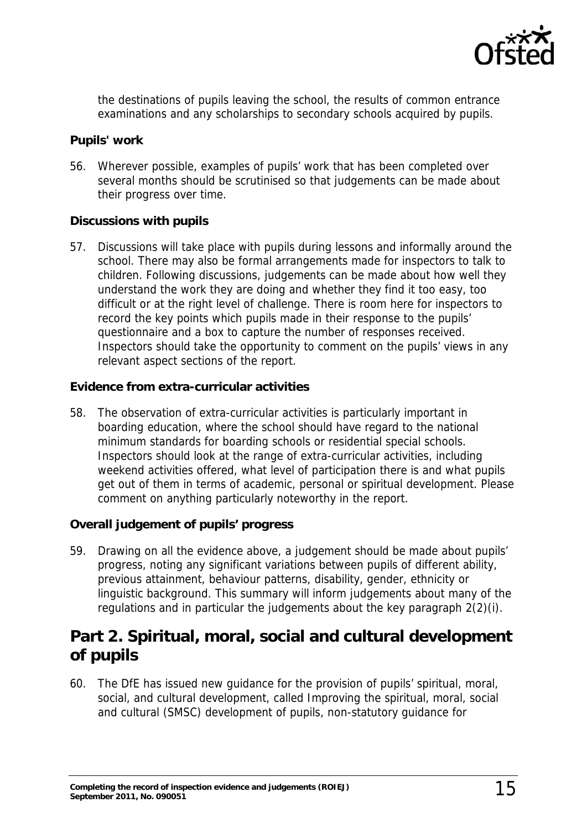

the destinations of pupils leaving the school, the results of common entrance examinations and any scholarships to secondary schools acquired by pupils.

#### **Pupils' work**

56. Wherever possible, examples of pupils' work that has been completed over several months should be scrutinised so that judgements can be made about their progress over time.

#### **Discussions with pupils**

57. Discussions will take place with pupils during lessons and informally around the school. There may also be formal arrangements made for inspectors to talk to children. Following discussions, judgements can be made about how well they understand the work they are doing and whether they find it too easy, too difficult or at the right level of challenge. There is room here for inspectors to record the key points which pupils made in their response to the pupils' questionnaire and a box to capture the number of responses received. Inspectors should take the opportunity to comment on the pupils' views in any relevant aspect sections of the report.

#### **Evidence from extra-curricular activities**

58. The observation of extra-curricular activities is particularly important in boarding education, where the school should have regard to the national minimum standards for boarding schools or residential special schools. Inspectors should look at the range of extra-curricular activities, including weekend activities offered, what level of participation there is and what pupils get out of them in terms of academic, personal or spiritual development. Please comment on anything particularly noteworthy in the report.

#### **Overall judgement of pupils' progress**

59. Drawing on all the evidence above, a judgement should be made about pupils' progress, noting any significant variations between pupils of different ability, previous attainment, behaviour patterns, disability, gender, ethnicity or linguistic background. This summary will inform judgements about many of the regulations and in particular the judgements about the key paragraph 2(2)(i).

### <span id="page-14-0"></span>**Part 2. Spiritual, moral, social and cultural development of pupils**

60. The DfE has issued new guidance for the provision of pupils' spiritual, moral, social, and cultural development, called Improving the spiritual, moral, social and cultural (SMSC) development of pupils, non-statutory guidance for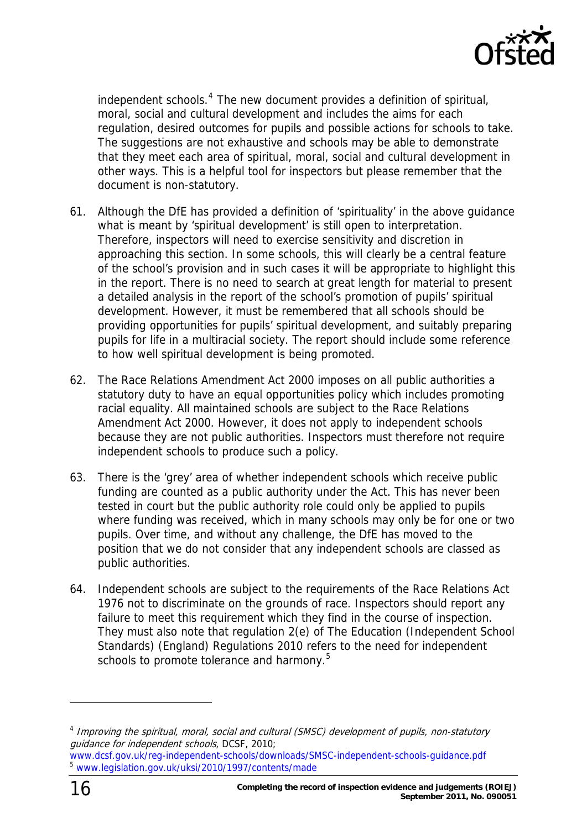

independent schools.<sup>4</sup> The new document provides a definition of spiritual, moral, social and cultural development and includes the aims for each regulation, desired outcomes for pupils and possible actions for schools to take. The suggestions are not exhaustive and schools may be able to demonstrate that they meet each area of spiritual, moral, social and cultural development in other ways. This is a helpful tool for inspectors but please remember that the document is non-statutory.

- 61. Although the DfE has provided a definition of 'spirituality' in the above guidance what is meant by 'spiritual development' is still open to interpretation. Therefore, inspectors will need to exercise sensitivity and discretion in approaching this section. In some schools, this will clearly be a central feature of the school's provision and in such cases it will be appropriate to highlight this in the report. There is no need to search at great length for material to present a detailed analysis in the report of the school's promotion of pupils' spiritual development. However, it must be remembered that all schools should be providing opportunities for pupils' spiritual development, and suitably preparing pupils for life in a multiracial society. The report should include some reference to how well spiritual development is being promoted.
- 62. The Race Relations Amendment Act 2000 imposes on all public authorities a statutory duty to have an equal opportunities policy which includes promoting racial equality. All maintained schools are subject to the Race Relations Amendment Act 2000. However, it does not apply to independent schools because they are not public authorities. Inspectors must therefore not require independent schools to produce such a policy.
- 63. There is the 'grey' area of whether independent schools which receive public funding are counted as a public authority under the Act. This has never been tested in court but the public authority role could only be applied to pupils where funding was received, which in many schools may only be for one or two pupils. Over time, and without any challenge, the DfE has moved to the position that we do not consider that any independent schools are classed as public authorities.
- 64. Independent schools are subject to the requirements of the Race Relations Act 1976 not to discriminate on the grounds of race. Inspectors should report any failure to meet this requirement which they find in the course of inspection. They must also note that regulation 2(e) of The Education (Independent School Standards) (England) Regulations 2010 refers to the need for independent schools to promote tolerance and harmony.<sup>[5](#page-15-0)</sup>

<sup>&</sup>lt;sup>4</sup> Improving the spiritual, moral, social and cultural (SMSC) development of pupils, non-statutory guidance for independent schools, DCSF, 2010;

<span id="page-15-0"></span>www.dcsf.gov.uk/reg-independent-schools/downloads/SMSC-independent-schools-guidance.pdf <sup>5</sup> [www.legislation.gov.uk/uksi/2010/1997/contents/made](http://www.legislation.gov.uk/uksi/2010/1997/contents/made)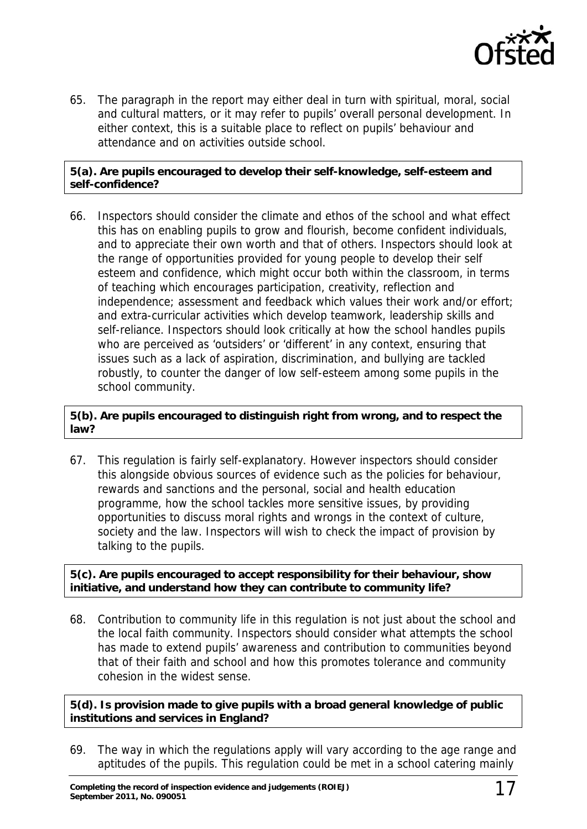

65. The paragraph in the report may either deal in turn with spiritual, moral, social and cultural matters, or it may refer to pupils' overall personal development. In either context, this is a suitable place to reflect on pupils' behaviour and attendance and on activities outside school.

#### **5(a). Are pupils encouraged to develop their self-knowledge, self-esteem and self-confidence?**

66. Inspectors should consider the climate and ethos of the school and what effect this has on enabling pupils to grow and flourish, become confident individuals, and to appreciate their own worth and that of others. Inspectors should look at the range of opportunities provided for young people to develop their self esteem and confidence, which might occur both within the classroom, in terms of teaching which encourages participation, creativity, reflection and independence; assessment and feedback which values their work and/or effort; and extra-curricular activities which develop teamwork, leadership skills and self-reliance. Inspectors should look critically at how the school handles pupils who are perceived as 'outsiders' or 'different' in any context, ensuring that issues such as a lack of aspiration, discrimination, and bullying are tackled robustly, to counter the danger of low self-esteem among some pupils in the school community.

#### **5(b). Are pupils encouraged to distinguish right from wrong, and to respect the law?**

67. This regulation is fairly self-explanatory. However inspectors should consider this alongside obvious sources of evidence such as the policies for behaviour, rewards and sanctions and the personal, social and health education programme, how the school tackles more sensitive issues, by providing opportunities to discuss moral rights and wrongs in the context of culture, society and the law. Inspectors will wish to check the impact of provision by talking to the pupils.

**5(c). Are pupils encouraged to accept responsibility for their behaviour, show initiative, and understand how they can contribute to community life?** 

68. Contribution to community life in this regulation is not just about the school and the local faith community. Inspectors should consider what attempts the school has made to extend pupils' awareness and contribution to communities beyond that of their faith and school and how this promotes tolerance and community cohesion in the widest sense.

**5(d). Is provision made to give pupils with a broad general knowledge of public institutions and services in England?** 

69. The way in which the regulations apply will vary according to the age range and aptitudes of the pupils. This regulation could be met in a school catering mainly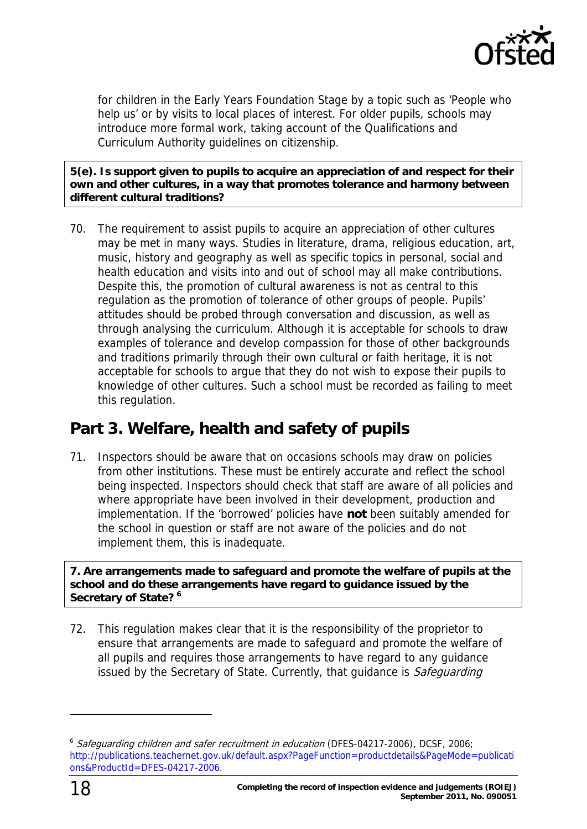

for children in the Early Years Foundation Stage by a topic such as 'People who help us' or by visits to local places of interest. For older pupils, schools may introduce more formal work, taking account of the Qualifications and Curriculum Authority guidelines on citizenship.

**5(e). Is support given to pupils to acquire an appreciation of and respect for their own and other cultures, in a way that promotes tolerance and harmony between different cultural traditions?** 

70. The requirement to assist pupils to acquire an appreciation of other cultures may be met in many ways. Studies in literature, drama, religious education, art, music, history and geography as well as specific topics in personal, social and health education and visits into and out of school may all make contributions. Despite this, the promotion of cultural awareness is not as central to this regulation as the promotion of tolerance of other groups of people. Pupils' attitudes should be probed through conversation and discussion, as well as through analysing the curriculum. Although it is acceptable for schools to draw examples of tolerance and develop compassion for those of other backgrounds and traditions primarily through their own cultural or faith heritage, it is not acceptable for schools to argue that they do not wish to expose their pupils to knowledge of other cultures. Such a school must be recorded as failing to meet this regulation.

### <span id="page-17-0"></span>**Part 3. Welfare, health and safety of pupils**

71. Inspectors should be aware that on occasions schools may draw on policies from other institutions. These must be entirely accurate and reflect the school being inspected. Inspectors should check that staff are aware of all policies and where appropriate have been involved in their development, production and implementation. If the 'borrowed' policies have **not** been suitably amended for the school in question or staff are not aware of the policies and do not implement them, this is inadequate.

**7. Are arrangements made to safeguard and promote the welfare of pupils at the school and do these arrangements have regard to guidance issued by the Secretary of State? [6](#page-17-1)** 

72. This regulation makes clear that it is the responsibility of the proprietor to ensure that arrangements are made to safeguard and promote the welfare of all pupils and requires those arrangements to have regard to any guidance issued by the Secretary of State. Currently, that guidance is Safeguarding

<span id="page-17-1"></span><sup>&</sup>lt;sup>6</sup> Safeguarding children and safer recruitment in education (DFES-04217-2006), DCSF, 2006; [http://publications.teachernet.gov.uk/default.aspx?PageFunction=productdetails&PageMode=publicati](http://publications.teachernet.gov.uk/default.aspx?PageFunction=productdetails&PageMode=publications&ProductId=DFES-04217-2006) [ons&ProductId=DFES-04217-2006.](http://publications.teachernet.gov.uk/default.aspx?PageFunction=productdetails&PageMode=publications&ProductId=DFES-04217-2006)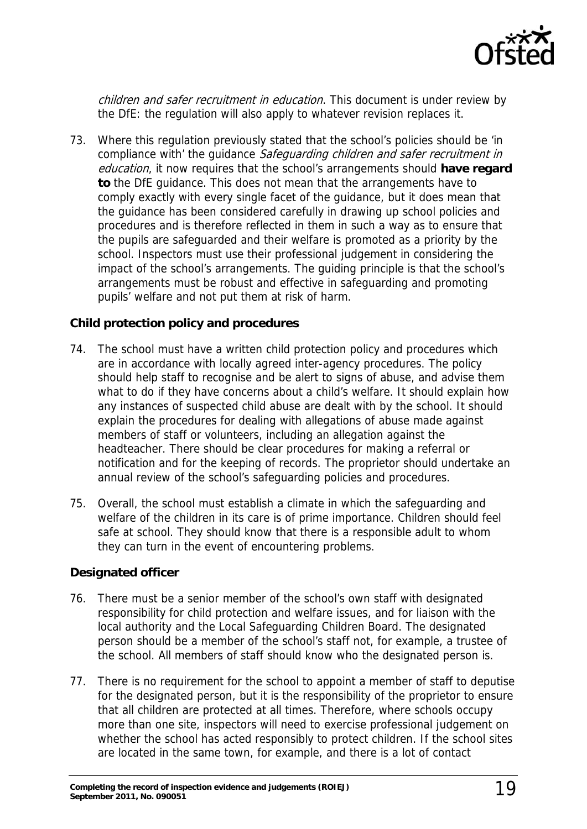

children and safer recruitment in education. This document is under review by the DfE: the regulation will also apply to whatever revision replaces it.

73. Where this regulation previously stated that the school's policies should be 'in compliance with' the quidance Safeguarding children and safer recruitment in education, it now requires that the school's arrangements should **have regard to** the DfE guidance. This does not mean that the arrangements have to comply exactly with every single facet of the guidance, but it does mean that the guidance has been considered carefully in drawing up school policies and procedures and is therefore reflected in them in such a way as to ensure that the pupils are safeguarded and their welfare is promoted as a priority by the school. Inspectors must use their professional judgement in considering the impact of the school's arrangements. The guiding principle is that the school's arrangements must be robust and effective in safeguarding and promoting pupils' welfare and not put them at risk of harm.

#### **Child protection policy and procedures**

- 74. The school must have a written child protection policy and procedures which are in accordance with locally agreed inter-agency procedures. The policy should help staff to recognise and be alert to signs of abuse, and advise them what to do if they have concerns about a child's welfare. It should explain how any instances of suspected child abuse are dealt with by the school. It should explain the procedures for dealing with allegations of abuse made against members of staff or volunteers, including an allegation against the headteacher. There should be clear procedures for making a referral or notification and for the keeping of records. The proprietor should undertake an annual review of the school's safeguarding policies and procedures.
- 75. Overall, the school must establish a climate in which the safeguarding and welfare of the children in its care is of prime importance. Children should feel safe at school. They should know that there is a responsible adult to whom they can turn in the event of encountering problems.

#### **Designated officer**

- 76. There must be a senior member of the school's own staff with designated responsibility for child protection and welfare issues, and for liaison with the local authority and the Local Safeguarding Children Board. The designated person should be a member of the school's staff not, for example, a trustee of the school. All members of staff should know who the designated person is.
- 77. There is no requirement for the school to appoint a member of staff to deputise for the designated person, but it is the responsibility of the proprietor to ensure that all children are protected at all times. Therefore, where schools occupy more than one site, inspectors will need to exercise professional judgement on whether the school has acted responsibly to protect children. If the school sites are located in the same town, for example, and there is a lot of contact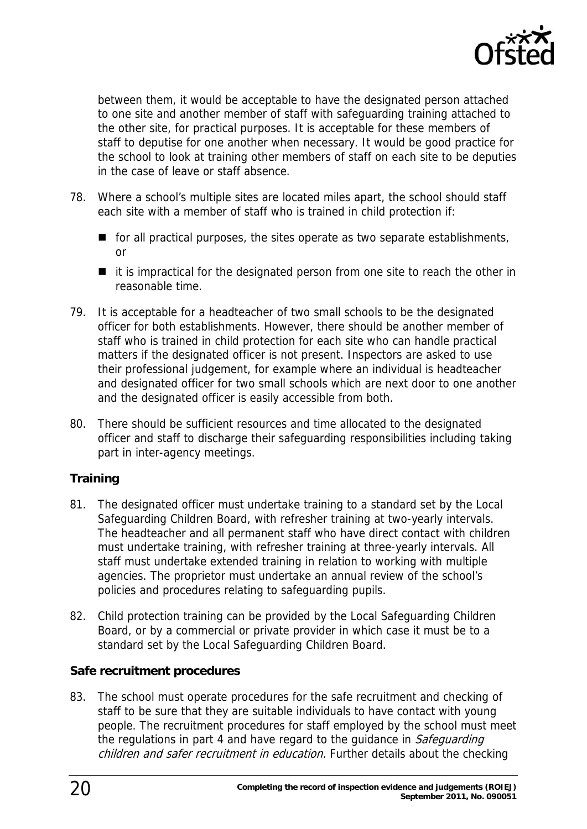

between them, it would be acceptable to have the designated person attached to one site and another member of staff with safeguarding training attached to the other site, for practical purposes. It is acceptable for these members of staff to deputise for one another when necessary. It would be good practice for the school to look at training other members of staff on each site to be deputies in the case of leave or staff absence.

- 78. Where a school's multiple sites are located miles apart, the school should staff each site with a member of staff who is trained in child protection if:
	- $\blacksquare$  for all practical purposes, the sites operate as two separate establishments, or
	- $\blacksquare$  it is impractical for the designated person from one site to reach the other in reasonable time.
- 79. It is acceptable for a headteacher of two small schools to be the designated officer for both establishments. However, there should be another member of staff who is trained in child protection for each site who can handle practical matters if the designated officer is not present. Inspectors are asked to use their professional judgement, for example where an individual is headteacher and designated officer for two small schools which are next door to one another and the designated officer is easily accessible from both.
- 80. There should be sufficient resources and time allocated to the designated officer and staff to discharge their safeguarding responsibilities including taking part in inter-agency meetings.

#### **Training**

- 81. The designated officer must undertake training to a standard set by the Local Safeguarding Children Board, with refresher training at two-yearly intervals. The headteacher and all permanent staff who have direct contact with children must undertake training, with refresher training at three-yearly intervals. All staff must undertake extended training in relation to working with multiple agencies. The proprietor must undertake an annual review of the school's policies and procedures relating to safeguarding pupils.
- 82. Child protection training can be provided by the Local Safeguarding Children Board, or by a commercial or private provider in which case it must be to a standard set by the Local Safeguarding Children Board.

#### **Safe recruitment procedures**

83. The school must operate procedures for the safe recruitment and checking of staff to be sure that they are suitable individuals to have contact with young people. The recruitment procedures for staff employed by the school must meet the regulations in part 4 and have regard to the guidance in Safeguarding children and safer recruitment in education. Further details about the checking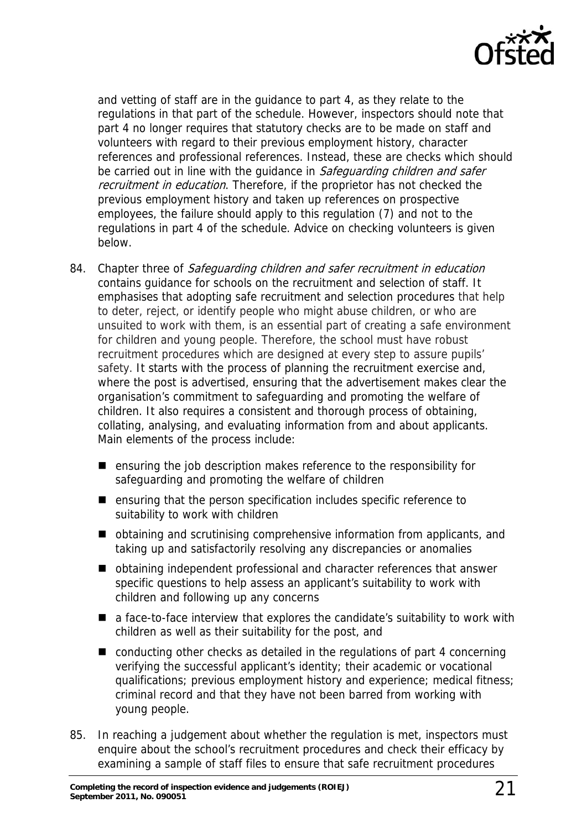

and vetting of staff are in the guidance to part 4, as they relate to the regulations in that part of the schedule. However, inspectors should note that part 4 no longer requires that statutory checks are to be made on staff and volunteers with regard to their previous employment history, character references and professional references. Instead, these are checks which should be carried out in line with the quidance in Safeguarding children and safer recruitment in education. Therefore, if the proprietor has not checked the previous employment history and taken up references on prospective employees, the failure should apply to this regulation (7) and not to the regulations in part 4 of the schedule. Advice on checking volunteers is given below.

- 84. Chapter three of Safeguarding children and safer recruitment in education contains guidance for schools on the recruitment and selection of staff. It emphasises that adopting safe recruitment and selection procedures that help to deter, reject, or identify people who might abuse children, or who are unsuited to work with them, is an essential part of creating a safe environment for children and young people. Therefore, the school must have robust recruitment procedures which are designed at every step to assure pupils' safety. It starts with the process of planning the recruitment exercise and, where the post is advertised, ensuring that the advertisement makes clear the organisation's commitment to safeguarding and promoting the welfare of children. It also requires a consistent and thorough process of obtaining, collating, analysing, and evaluating information from and about applicants. Main elements of the process include:
	- ensuring the job description makes reference to the responsibility for safeguarding and promoting the welfare of children
	- ensuring that the person specification includes specific reference to suitability to work with children
	- obtaining and scrutinising comprehensive information from applicants, and taking up and satisfactorily resolving any discrepancies or anomalies
	- obtaining independent professional and character references that answer specific questions to help assess an applicant's suitability to work with children and following up any concerns
	- a face-to-face interview that explores the candidate's suitability to work with children as well as their suitability for the post, and
	- conducting other checks as detailed in the regulations of part 4 concerning verifying the successful applicant's identity; their academic or vocational qualifications; previous employment history and experience; medical fitness; criminal record and that they have not been barred from working with young people.
- 85. In reaching a judgement about whether the regulation is met, inspectors must enquire about the school's recruitment procedures and check their efficacy by examining a sample of staff files to ensure that safe recruitment procedures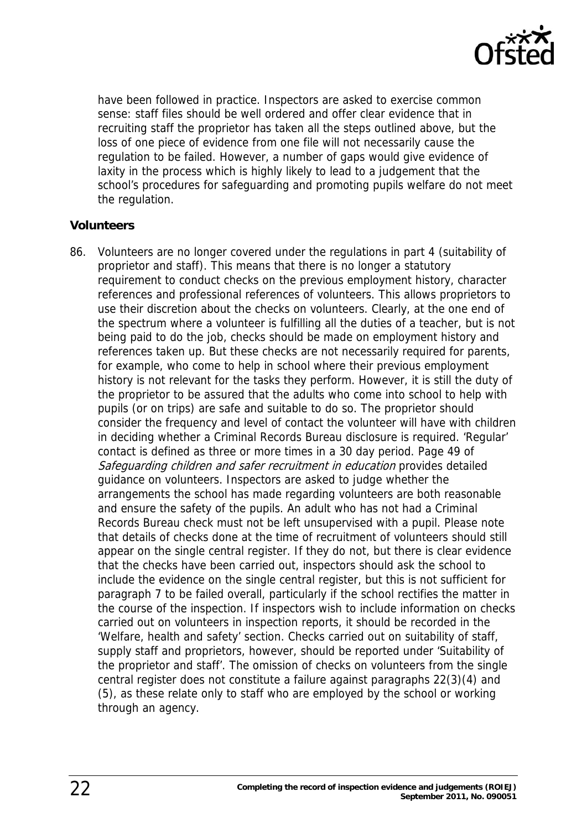

have been followed in practice. Inspectors are asked to exercise common sense: staff files should be well ordered and offer clear evidence that in recruiting staff the proprietor has taken all the steps outlined above, but the loss of one piece of evidence from one file will not necessarily cause the regulation to be failed. However, a number of gaps would give evidence of laxity in the process which is highly likely to lead to a judgement that the school's procedures for safeguarding and promoting pupils welfare do not meet the regulation.

#### **Volunteers**

86. Volunteers are no longer covered under the regulations in part 4 (suitability of proprietor and staff). This means that there is no longer a statutory requirement to conduct checks on the previous employment history, character references and professional references of volunteers. This allows proprietors to use their discretion about the checks on volunteers. Clearly, at the one end of the spectrum where a volunteer is fulfilling all the duties of a teacher, but is not being paid to do the job, checks should be made on employment history and references taken up. But these checks are not necessarily required for parents, for example, who come to help in school where their previous employment history is not relevant for the tasks they perform. However, it is still the duty of the proprietor to be assured that the adults who come into school to help with pupils (or on trips) are safe and suitable to do so. The proprietor should consider the frequency and level of contact the volunteer will have with children in deciding whether a Criminal Records Bureau disclosure is required. 'Regular' contact is defined as three or more times in a 30 day period. Page 49 of Safeguarding children and safer recruitment in education provides detailed guidance on volunteers. Inspectors are asked to judge whether the arrangements the school has made regarding volunteers are both reasonable and ensure the safety of the pupils. An adult who has not had a Criminal Records Bureau check must not be left unsupervised with a pupil. Please note that details of checks done at the time of recruitment of volunteers should still appear on the single central register. If they do not, but there is clear evidence that the checks have been carried out, inspectors should ask the school to include the evidence on the single central register, but this is not sufficient for paragraph 7 to be failed overall, particularly if the school rectifies the matter in the course of the inspection. If inspectors wish to include information on checks carried out on volunteers in inspection reports, it should be recorded in the 'Welfare, health and safety' section. Checks carried out on suitability of staff, supply staff and proprietors, however, should be reported under 'Suitability of the proprietor and staff'. The omission of checks on volunteers from the single central register does not constitute a failure against paragraphs 22(3)(4) and (5), as these relate only to staff who are employed by the school or working through an agency.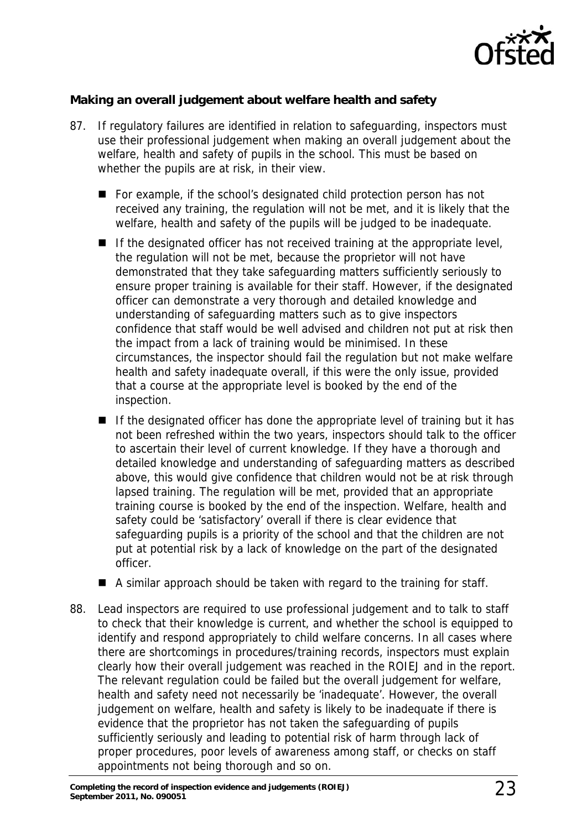

#### **Making an overall judgement about welfare health and safety**

- 87. If regulatory failures are identified in relation to safeguarding, inspectors must use their professional judgement when making an overall judgement about the welfare, health and safety of pupils in the school. This must be based on whether the pupils are at risk, in their view.
	- For example, if the school's designated child protection person has not received any training, the regulation will not be met, and it is likely that the welfare, health and safety of the pupils will be judged to be inadequate.
	- $\blacksquare$  If the designated officer has not received training at the appropriate level, the regulation will not be met, because the proprietor will not have demonstrated that they take safeguarding matters sufficiently seriously to ensure proper training is available for their staff. However, if the designated officer can demonstrate a very thorough and detailed knowledge and understanding of safeguarding matters such as to give inspectors confidence that staff would be well advised and children not put at risk then the impact from a lack of training would be minimised. In these circumstances, the inspector should fail the regulation but not make welfare health and safety inadequate overall, if this were the only issue, provided that a course at the appropriate level is booked by the end of the inspection.
	- $\blacksquare$  If the designated officer has done the appropriate level of training but it has not been refreshed within the two years, inspectors should talk to the officer to ascertain their level of current knowledge. If they have a thorough and detailed knowledge and understanding of safeguarding matters as described above, this would give confidence that children would not be at risk through lapsed training. The regulation will be met, provided that an appropriate training course is booked by the end of the inspection. Welfare, health and safety could be 'satisfactory' overall if there is clear evidence that safeguarding pupils is a priority of the school and that the children are not put at potential risk by a lack of knowledge on the part of the designated officer.
	- $\blacksquare$  A similar approach should be taken with regard to the training for staff.
- 88. Lead inspectors are required to use professional judgement and to talk to staff to check that their knowledge is current, and whether the school is equipped to identify and respond appropriately to child welfare concerns. In all cases where there are shortcomings in procedures/training records, inspectors must explain clearly how their overall judgement was reached in the ROIEJ and in the report. The relevant regulation could be failed but the overall judgement for welfare, health and safety need not necessarily be 'inadequate'. However, the overall judgement on welfare, health and safety is likely to be inadequate if there is evidence that the proprietor has not taken the safeguarding of pupils sufficiently seriously and leading to potential risk of harm through lack of proper procedures, poor levels of awareness among staff, or checks on staff appointments not being thorough and so on.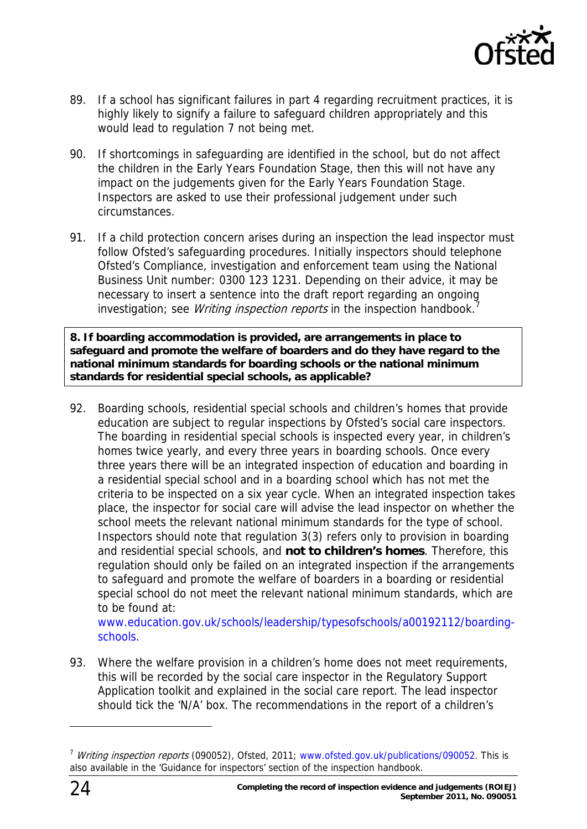

- 89. If a school has significant failures in part 4 regarding recruitment practices, it is highly likely to signify a failure to safeguard children appropriately and this would lead to regulation 7 not being met.
- 90. If shortcomings in safeguarding are identified in the school, but do not affect the children in the Early Years Foundation Stage, then this will not have any impact on the judgements given for the Early Years Foundation Stage. Inspectors are asked to use their professional judgement under such circumstances.
- 91. If a child protection concern arises during an inspection the lead inspector must follow Ofsted's safeguarding procedures. Initially inspectors should telephone Ofsted's Compliance, investigation and enforcement team using the National Business Unit number: 0300 123 1231. Depending on their advice, it may be necessary to insert a sentence into the draft report regarding an ongoing investigation; see *Writing inspection reports* in the inspection handbook.<sup>[7](#page-23-0)</sup>

**8. If boarding accommodation is provided, are arrangements in place to safeguard and promote the welfare of boarders and do they have regard to the national minimum standards for boarding schools or the national minimum standards for residential special schools, as applicable?** 

92. Boarding schools, residential special schools and children's homes that provide education are subject to regular inspections by Ofsted's social care inspectors. The boarding in residential special schools is inspected every year, in children's homes twice yearly, and every three years in boarding schools. Once every three years there will be an integrated inspection of education and boarding in a residential special school and in a boarding school which has not met the criteria to be inspected on a six year cycle. When an integrated inspection takes place, the inspector for social care will advise the lead inspector on whether the school meets the relevant national minimum standards for the type of school. Inspectors should note that regulation 3(3) refers only to provision in boarding and residential special schools, and **not to children's homes**. Therefore, this regulation should only be failed on an integrated inspection if the arrangements to safeguard and promote the welfare of boarders in a boarding or residential special school do not meet the relevant national minimum standards, which are to be found at:

[www.education.gov.uk/schools/leadership/typesofschools/a00192112/boarding](http://www.education.gov.uk/schools/leadership/typesofschools/a00192112/boarding-schools)[schools](http://www.education.gov.uk/schools/leadership/typesofschools/a00192112/boarding-schools).

93. Where the welfare provision in a children's home does not meet requirements, this will be recorded by the social care inspector in the Regulatory Support Application toolkit and explained in the social care report. The lead inspector should tick the 'N/A' box. The recommendations in the report of a children's

<span id="page-23-0"></span><sup>&</sup>lt;sup>7</sup> Writing inspection reports (090052), Ofsted, 2011; [www.ofsted.gov.uk/publications/090052.](http://www.ofsted.gov.uk/publications/090052) This is also available in the 'Guidance for inspectors' section of the inspection handbook.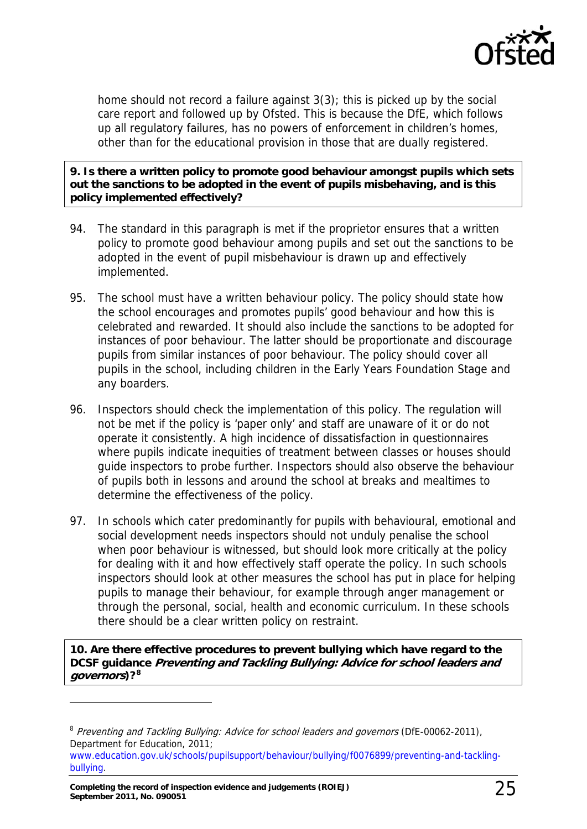

home should not record a failure against 3(3); this is picked up by the social care report and followed up by Ofsted. This is because the DfE, which follows up all regulatory failures, has no powers of enforcement in children's homes, other than for the educational provision in those that are dually registered.

**9. Is there a written policy to promote good behaviour amongst pupils which sets out the sanctions to be adopted in the event of pupils misbehaving, and is this policy implemented effectively?** 

- 94. The standard in this paragraph is met if the proprietor ensures that a written policy to promote good behaviour among pupils and set out the sanctions to be adopted in the event of pupil misbehaviour is drawn up and effectively implemented.
- 95. The school must have a written behaviour policy. The policy should state how the school encourages and promotes pupils' good behaviour and how this is celebrated and rewarded. It should also include the sanctions to be adopted for instances of poor behaviour. The latter should be proportionate and discourage pupils from similar instances of poor behaviour. The policy should cover all pupils in the school, including children in the Early Years Foundation Stage and any boarders.
- 96. Inspectors should check the implementation of this policy. The regulation will not be met if the policy is 'paper only' and staff are unaware of it or do not operate it consistently. A high incidence of dissatisfaction in questionnaires where pupils indicate inequities of treatment between classes or houses should guide inspectors to probe further. Inspectors should also observe the behaviour of pupils both in lessons and around the school at breaks and mealtimes to determine the effectiveness of the policy.
- 97. In schools which cater predominantly for pupils with behavioural, emotional and social development needs inspectors should not unduly penalise the school when poor behaviour is witnessed, but should look more critically at the policy for dealing with it and how effectively staff operate the policy. In such schools inspectors should look at other measures the school has put in place for helping pupils to manage their behaviour, for example through anger management or through the personal, social, health and economic curriculum. In these schools there should be a clear written policy on restraint.

**10. Are there effective procedures to prevent bullying which have regard to the DCSF guidance Preventing and Tackling Bullying: Advice for school leaders and governors)?[8](#page-24-0)**

<span id="page-24-0"></span><sup>&</sup>lt;sup>8</sup> Preventing and Tackling Bullying: Advice for school leaders and governors (DfE-00062-2011), Department for Education, 2011;

[www.education.gov.uk/schools/pupilsupport/behaviour/bullying/f0076899/preventing-and-tackling](http://www.education.gov.uk/schools/pupilsupport/behaviour/bullying/f0076899/preventing-and-tackling-bullying)[bullying.](http://www.education.gov.uk/schools/pupilsupport/behaviour/bullying/f0076899/preventing-and-tackling-bullying)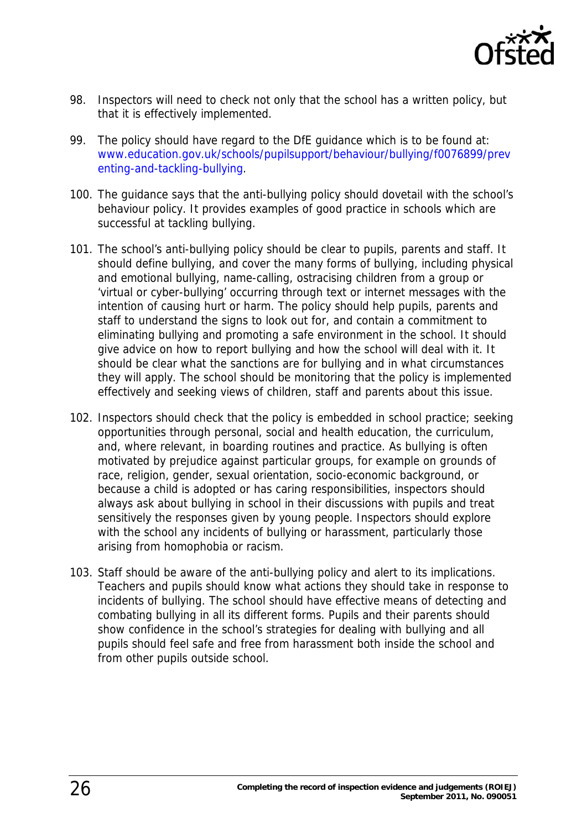

- 98. Inspectors will need to check not only that the school has a written policy, but that it is effectively implemented.
- 99. The policy should have regard to the DfE guidance which is to be found at: [www.education.gov.uk/schools/pupilsupport/behaviour/bullying/f0076899/prev](www.education.gov.uk/schools/pupilsupport/behaviour/bullying/f0076899/preventing-and-tackling-bullying) [enting-and-tackling-bullying.](www.education.gov.uk/schools/pupilsupport/behaviour/bullying/f0076899/preventing-and-tackling-bullying)
- 100. The guidance says that the anti-bullying policy should dovetail with the school's behaviour policy. It provides examples of good practice in schools which are successful at tackling bullying.
- 101. The school's anti-bullying policy should be clear to pupils, parents and staff. It should define bullying, and cover the many forms of bullying, including physical and emotional bullying, name-calling, ostracising children from a group or 'virtual or cyber-bullying' occurring through text or internet messages with the intention of causing hurt or harm. The policy should help pupils, parents and staff to understand the signs to look out for, and contain a commitment to eliminating bullying and promoting a safe environment in the school. It should give advice on how to report bullying and how the school will deal with it. It should be clear what the sanctions are for bullying and in what circumstances they will apply. The school should be monitoring that the policy is implemented effectively and seeking views of children, staff and parents about this issue.
- 102. Inspectors should check that the policy is embedded in school practice; seeking opportunities through personal, social and health education, the curriculum, and, where relevant, in boarding routines and practice. As bullying is often motivated by prejudice against particular groups, for example on grounds of race, religion, gender, sexual orientation, socio-economic background, or because a child is adopted or has caring responsibilities, inspectors should always ask about bullying in school in their discussions with pupils and treat sensitively the responses given by young people. Inspectors should explore with the school any incidents of bullying or harassment, particularly those arising from homophobia or racism.
- 103. Staff should be aware of the anti-bullying policy and alert to its implications. Teachers and pupils should know what actions they should take in response to incidents of bullying. The school should have effective means of detecting and combating bullying in all its different forms. Pupils and their parents should show confidence in the school's strategies for dealing with bullying and all pupils should feel safe and free from harassment both inside the school and from other pupils outside school.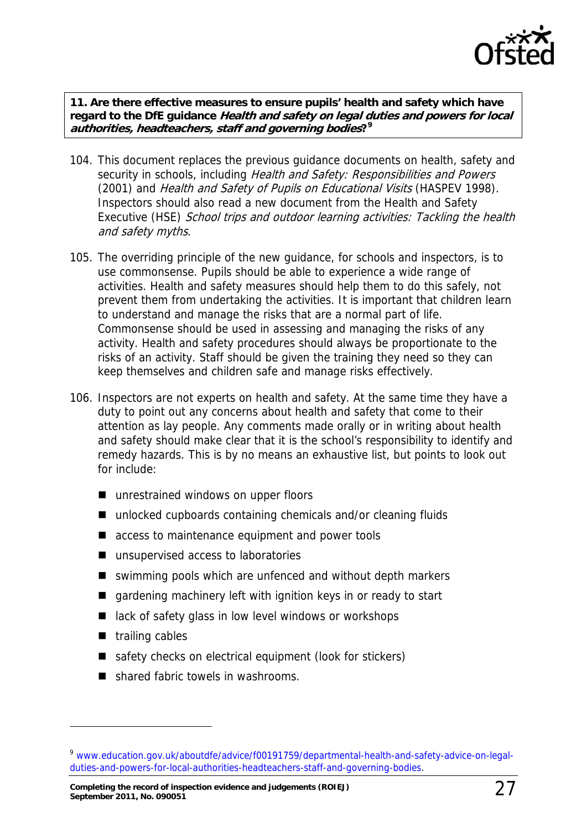

**11. Are there effective measures to ensure pupils' health and safety which have regard to the DfE guidance Health and safety on legal duties and powers for local authorities, headteachers, staff and governing bodies?[9](#page-26-0)**

- 104. This document replaces the previous guidance documents on health, safety and security in schools, including Health and Safety: Responsibilities and Powers (2001) and Health and Safety of Pupils on Educational Visits (HASPEV 1998). Inspectors should also read a new document from the Health and Safety Executive (HSE) School trips and outdoor learning activities: Tackling the health and safety myths.
- 105. The overriding principle of the new guidance, for schools and inspectors, is to use commonsense. Pupils should be able to experience a wide range of activities. Health and safety measures should help them to do this safely, not prevent them from undertaking the activities. It is important that children learn to understand and manage the risks that are a normal part of life. Commonsense should be used in assessing and managing the risks of any activity. Health and safety procedures should always be proportionate to the risks of an activity. Staff should be given the training they need so they can keep themselves and children safe and manage risks effectively.
- 106. Inspectors are not experts on health and safety. At the same time they have a duty to point out any concerns about health and safety that come to their attention as lay people. Any comments made orally or in writing about health and safety should make clear that it is the school's responsibility to identify and remedy hazards. This is by no means an exhaustive list, but points to look out for include:
	- unrestrained windows on upper floors
	- unlocked cupboards containing chemicals and/or cleaning fluids
	- access to maintenance equipment and power tools
	- unsupervised access to laboratories
	- swimming pools which are unfenced and without depth markers
	- **qardening machinery left with ignition keys in or ready to start**
	- lack of safety glass in low level windows or workshops
	- $\blacksquare$  trailing cables

- safety checks on electrical equipment (look for stickers)
- shared fabric towels in washrooms.

<span id="page-26-0"></span><sup>9</sup> [www.education.gov.uk/aboutdfe/advice/f00191759/departmental-health-and-safety-advice-on-legal](www.education.gov.uk/aboutdfe/advice/f00191759/departmental-health-and-safety-advice-on-legal-duties-and-powers-for-local-authorities-headteachers-staff-and-governing-bodies)[duties-and-powers-for-local-authorities-headteachers-staff-and-governing-bodies](www.education.gov.uk/aboutdfe/advice/f00191759/departmental-health-and-safety-advice-on-legal-duties-and-powers-for-local-authorities-headteachers-staff-and-governing-bodies).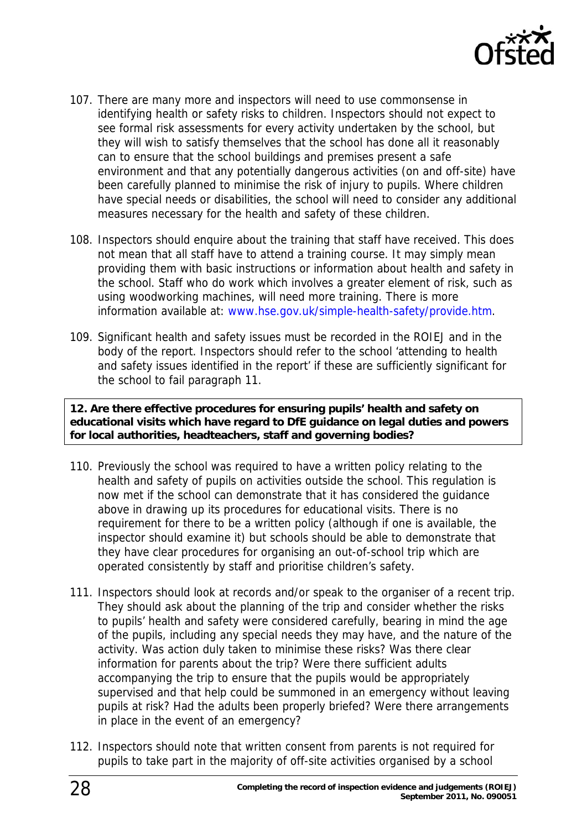

- 107. There are many more and inspectors will need to use commonsense in identifying health or safety risks to children. Inspectors should not expect to see formal risk assessments for every activity undertaken by the school, but they will wish to satisfy themselves that the school has done all it reasonably can to ensure that the school buildings and premises present a safe environment and that any potentially dangerous activities (on and off-site) have been carefully planned to minimise the risk of injury to pupils. Where children have special needs or disabilities, the school will need to consider any additional measures necessary for the health and safety of these children.
- 108. Inspectors should enquire about the training that staff have received. This does not mean that all staff have to attend a training course. It may simply mean providing them with basic instructions or information about health and safety in the school. Staff who do work which involves a greater element of risk, such as using woodworking machines, will need more training. There is more information available at: <www.hse.gov.uk/simple-health-safety/provide.htm>.
- 109. Significant health and safety issues must be recorded in the ROIEJ and in the body of the report. Inspectors should refer to the school 'attending to health and safety issues identified in the report' if these are sufficiently significant for the school to fail paragraph 11.

**12. Are there effective procedures for ensuring pupils' health and safety on educational visits which have regard to DfE guidance on legal duties and powers for local authorities, headteachers, staff and governing bodies?** 

- 110. Previously the school was required to have a written policy relating to the health and safety of pupils on activities outside the school. This regulation is now met if the school can demonstrate that it has considered the guidance above in drawing up its procedures for educational visits. There is no requirement for there to be a written policy (although if one is available, the inspector should examine it) but schools should be able to demonstrate that they have clear procedures for organising an out-of-school trip which are operated consistently by staff and prioritise children's safety.
- 111. Inspectors should look at records and/or speak to the organiser of a recent trip. They should ask about the planning of the trip and consider whether the risks to pupils' health and safety were considered carefully, bearing in mind the age of the pupils, including any special needs they may have, and the nature of the activity. Was action duly taken to minimise these risks? Was there clear information for parents about the trip? Were there sufficient adults accompanying the trip to ensure that the pupils would be appropriately supervised and that help could be summoned in an emergency without leaving pupils at risk? Had the adults been properly briefed? Were there arrangements in place in the event of an emergency?
- 112. Inspectors should note that written consent from parents is not required for pupils to take part in the majority of off-site activities organised by a school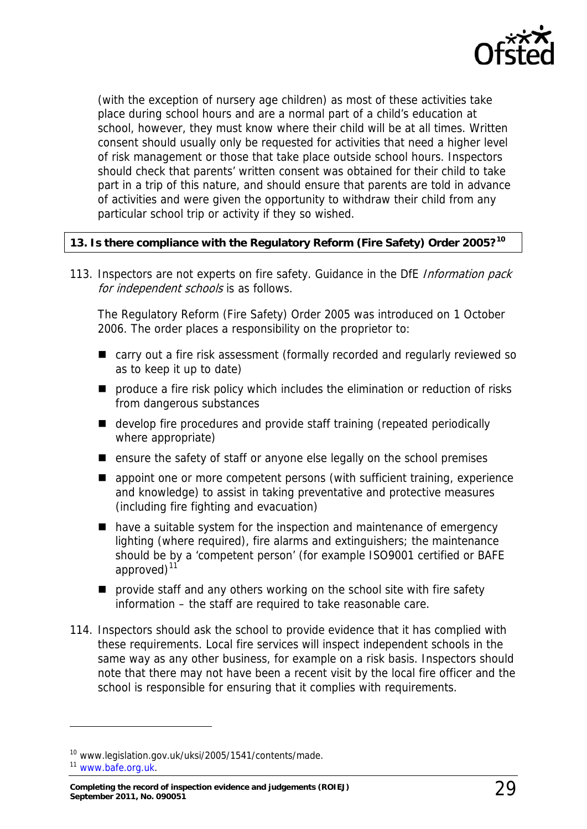

(with the exception of nursery age children) as most of these activities take place during school hours and are a normal part of a child's education at school, however, they must know where their child will be at all times. Written consent should usually only be requested for activities that need a higher level of risk management or those that take place outside school hours. Inspectors should check that parents' written consent was obtained for their child to take part in a trip of this nature, and should ensure that parents are told in advance of activities and were given the opportunity to withdraw their child from any particular school trip or activity if they so wished.

#### **13. Is there compliance with the Regulatory Reform (Fire Safety) Order 2005?[10](#page-28-0)**

113. Inspectors are not experts on fire safety. Guidance in the DfE Information pack for independent schools is as follows.

The Regulatory Reform (Fire Safety) Order 2005 was introduced on 1 October 2006. The order places a responsibility on the proprietor to:

- carry out a fire risk assessment (formally recorded and regularly reviewed so as to keep it up to date)
- **P** produce a fire risk policy which includes the elimination or reduction of risks from dangerous substances
- develop fire procedures and provide staff training (repeated periodically where appropriate)
- $\blacksquare$  ensure the safety of staff or anyone else legally on the school premises
- **E** appoint one or more competent persons (with sufficient training, experience and knowledge) to assist in taking preventative and protective measures (including fire fighting and evacuation)
- have a suitable system for the inspection and maintenance of emergency lighting (where required), fire alarms and extinguishers; the maintenance should be by a 'competent person' (for example ISO9001 certified or BAFE approved) $11$
- **P** provide staff and any others working on the school site with fire safety information – the staff are required to take reasonable care.
- 114. Inspectors should ask the school to provide evidence that it has complied with these requirements. Local fire services will inspect independent schools in the same way as any other business, for example on a risk basis. Inspectors should note that there may not have been a recent visit by the local fire officer and the school is responsible for ensuring that it complies with requirements.

<span id="page-28-0"></span><sup>10</sup> www.legislation.gov.uk/uksi/2005/1541/contents/made.

<span id="page-28-1"></span><sup>11</sup> [www.bafe.org.uk.](http://www.bafe.org.uk/)

**Completing the record of inspection evidence and judgements (ROIEJ) September 2011, No. 090051** 29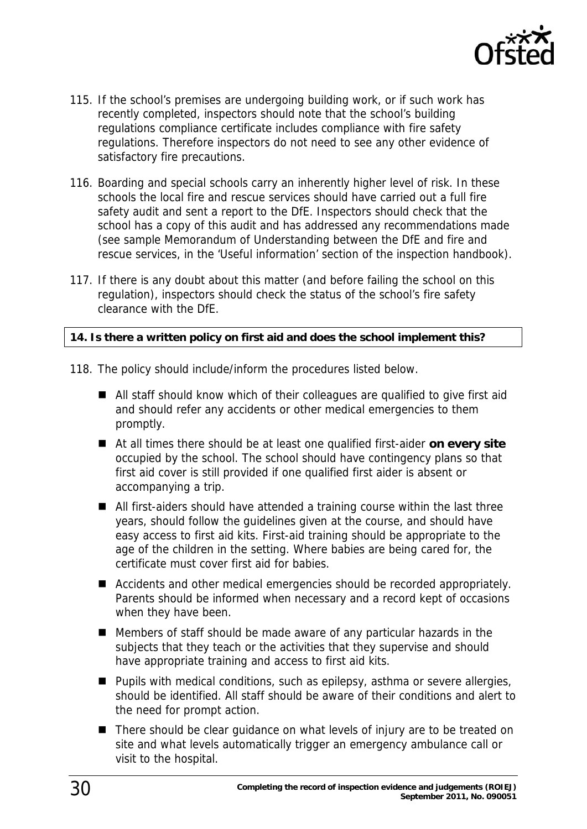

- 115. If the school's premises are undergoing building work, or if such work has recently completed, inspectors should note that the school's building regulations compliance certificate includes compliance with fire safety regulations. Therefore inspectors do not need to see any other evidence of satisfactory fire precautions.
- 116. Boarding and special schools carry an inherently higher level of risk. In these schools the local fire and rescue services should have carried out a full fire safety audit and sent a report to the DfE. Inspectors should check that the school has a copy of this audit and has addressed any recommendations made (see sample Memorandum of Understanding between the DfE and fire and rescue services, in the 'Useful information' section of the inspection handbook).
- 117. If there is any doubt about this matter (and before failing the school on this regulation), inspectors should check the status of the school's fire safety clearance with the DfE.

#### **14. Is there a written policy on first aid and does the school implement this?**

- 118. The policy should include/inform the procedures listed below.
	- All staff should know which of their colleagues are qualified to give first aid and should refer any accidents or other medical emergencies to them promptly.
	- At all times there should be at least one qualified first-aider **on every site** occupied by the school. The school should have contingency plans so that first aid cover is still provided if one qualified first aider is absent or accompanying a trip.
	- All first-aiders should have attended a training course within the last three years, should follow the guidelines given at the course, and should have easy access to first aid kits. First-aid training should be appropriate to the age of the children in the setting. Where babies are being cared for, the certificate must cover first aid for babies.
	- Accidents and other medical emergencies should be recorded appropriately. Parents should be informed when necessary and a record kept of occasions when they have been.
	- Members of staff should be made aware of any particular hazards in the subjects that they teach or the activities that they supervise and should have appropriate training and access to first aid kits.
	- Pupils with medical conditions, such as epilepsy, asthma or severe allergies, should be identified. All staff should be aware of their conditions and alert to the need for prompt action.
	- There should be clear guidance on what levels of injury are to be treated on site and what levels automatically trigger an emergency ambulance call or visit to the hospital.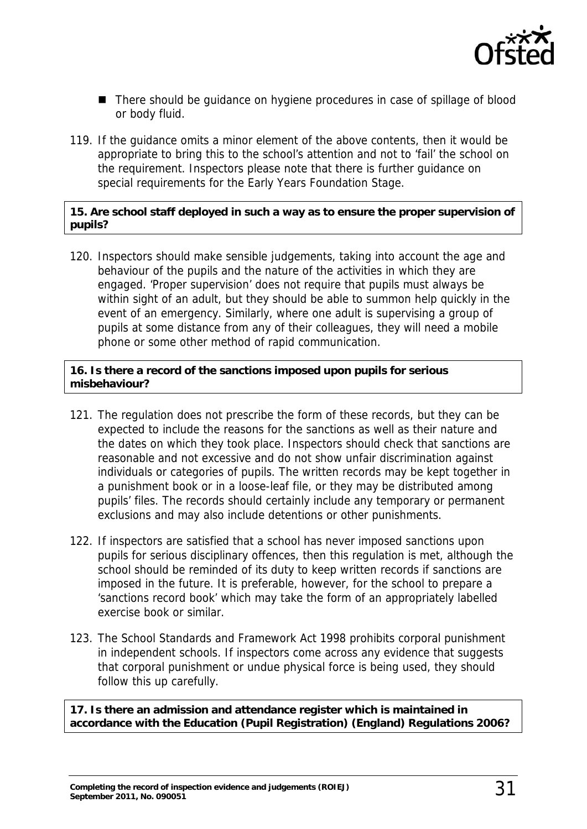

- There should be guidance on hygiene procedures in case of spillage of blood or body fluid.
- 119. If the guidance omits a minor element of the above contents, then it would be appropriate to bring this to the school's attention and not to 'fail' the school on the requirement. Inspectors please note that there is further guidance on special requirements for the Early Years Foundation Stage.

#### **15. Are school staff deployed in such a way as to ensure the proper supervision of pupils?**

120. Inspectors should make sensible judgements, taking into account the age and behaviour of the pupils and the nature of the activities in which they are engaged. 'Proper supervision' does not require that pupils must always be within sight of an adult, but they should be able to summon help quickly in the event of an emergency. Similarly, where one adult is supervising a group of pupils at some distance from any of their colleagues, they will need a mobile phone or some other method of rapid communication.

#### **16. Is there a record of the sanctions imposed upon pupils for serious misbehaviour?**

- 121. The regulation does not prescribe the form of these records, but they can be expected to include the reasons for the sanctions as well as their nature and the dates on which they took place. Inspectors should check that sanctions are reasonable and not excessive and do not show unfair discrimination against individuals or categories of pupils. The written records may be kept together in a punishment book or in a loose-leaf file, or they may be distributed among pupils' files. The records should certainly include any temporary or permanent exclusions and may also include detentions or other punishments.
- 122. If inspectors are satisfied that a school has never imposed sanctions upon pupils for serious disciplinary offences, then this regulation is met, although the school should be reminded of its duty to keep written records if sanctions are imposed in the future. It is preferable, however, for the school to prepare a 'sanctions record book' which may take the form of an appropriately labelled exercise book or similar.
- 123. The School Standards and Framework Act 1998 prohibits corporal punishment in independent schools. If inspectors come across any evidence that suggests that corporal punishment or undue physical force is being used, they should follow this up carefully.

**17. Is there an admission and attendance register which is maintained in accordance with the Education (Pupil Registration) (England) Regulations 2006?**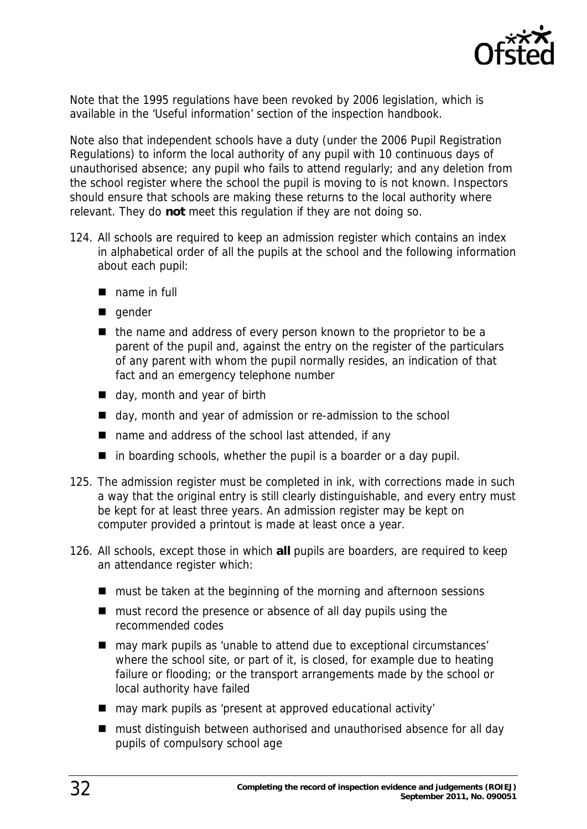

Note that the 1995 regulations have been revoked by 2006 legislation, which is available in the 'Useful information' section of the inspection handbook.

Note also that independent schools have a duty (under the 2006 Pupil Registration Regulations) to inform the local authority of any pupil with 10 continuous days of unauthorised absence; any pupil who fails to attend regularly; and any deletion from the school register where the school the pupil is moving to is not known. Inspectors should ensure that schools are making these returns to the local authority where relevant. They do **not** meet this regulation if they are not doing so.

- 124. All schools are required to keep an admission register which contains an index in alphabetical order of all the pupils at the school and the following information about each pupil:
	- name in full
	- gender
	- $\blacksquare$  the name and address of every person known to the proprietor to be a parent of the pupil and, against the entry on the register of the particulars of any parent with whom the pupil normally resides, an indication of that fact and an emergency telephone number
	- day, month and year of birth
	- day, month and year of admission or re-admission to the school
	- name and address of the school last attended, if any
	- $\blacksquare$  in boarding schools, whether the pupil is a boarder or a day pupil.
- 125. The admission register must be completed in ink, with corrections made in such a way that the original entry is still clearly distinguishable, and every entry must be kept for at least three years. An admission register may be kept on computer provided a printout is made at least once a year.
- 126. All schools, except those in which **all** pupils are boarders, are required to keep an attendance register which:
	- must be taken at the beginning of the morning and afternoon sessions
	- must record the presence or absence of all day pupils using the recommended codes
	- may mark pupils as 'unable to attend due to exceptional circumstances' where the school site, or part of it, is closed, for example due to heating failure or flooding; or the transport arrangements made by the school or local authority have failed
	- may mark pupils as 'present at approved educational activity'
	- must distinguish between authorised and unauthorised absence for all day pupils of compulsory school age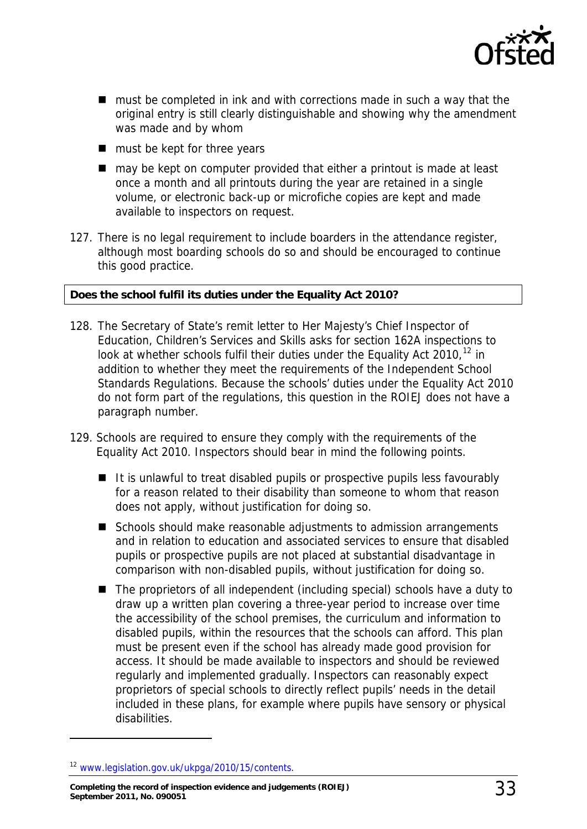

- must be completed in ink and with corrections made in such a way that the original entry is still clearly distinguishable and showing why the amendment was made and by whom
- must be kept for three years
- may be kept on computer provided that either a printout is made at least once a month and all printouts during the year are retained in a single volume, or electronic back-up or microfiche copies are kept and made available to inspectors on request.
- 127. There is no legal requirement to include boarders in the attendance register, although most boarding schools do so and should be encouraged to continue this good practice.

#### **Does the school fulfil its duties under the Equality Act 2010?**

- 128. The Secretary of State's remit letter to Her Majesty's Chief Inspector of Education, Children's Services and Skills asks for section 162A inspections to look at whether schools fulfil their duties under the Equality Act 2010,  $12$  in addition to whether they meet the requirements of the Independent School Standards Regulations. Because the schools' duties under the Equality Act 2010 do not form part of the regulations, this question in the ROIEJ does not have a paragraph number.
- 129. Schools are required to ensure they comply with the requirements of the Equality Act 2010. Inspectors should bear in mind the following points.
	- It is unlawful to treat disabled pupils or prospective pupils less favourably for a reason related to their disability than someone to whom that reason does not apply, without justification for doing so.
	- Schools should make reasonable adjustments to admission arrangements and in relation to education and associated services to ensure that disabled pupils or prospective pupils are not placed at substantial disadvantage in comparison with non-disabled pupils, without justification for doing so.
	- The proprietors of all independent (including special) schools have a duty to draw up a written plan covering a three-year period to increase over time the accessibility of the school premises, the curriculum and information to disabled pupils, within the resources that the schools can afford. This plan must be present even if the school has already made good provision for access. It should be made available to inspectors and should be reviewed regularly and implemented gradually. Inspectors can reasonably expect proprietors of special schools to directly reflect pupils' needs in the detail included in these plans, for example where pupils have sensory or physical disabilities.

<span id="page-32-0"></span><sup>12</sup> [www.legislation.gov.uk/ukpga/2010/15/contents.](http://www.legislation.gov.uk/ukpga/2010/15/contents)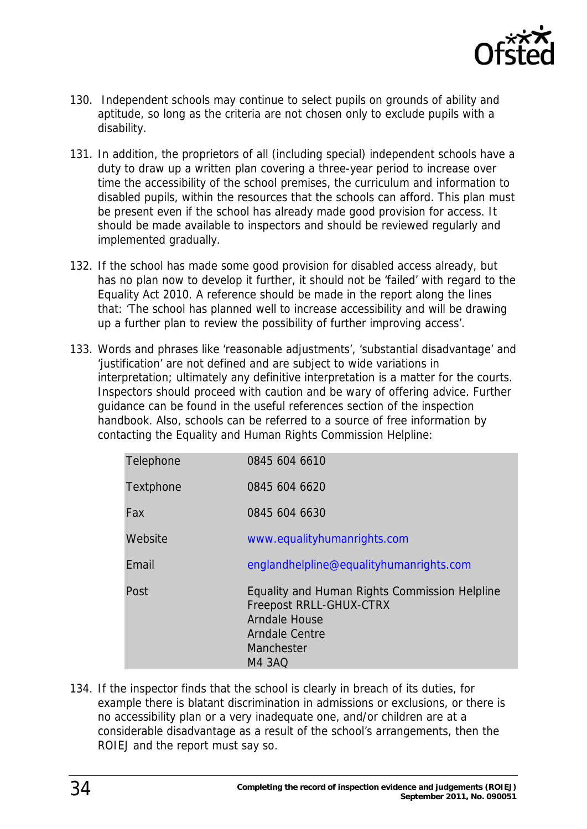

- 130. Independent schools may continue to select pupils on grounds of ability and aptitude, so long as the criteria are not chosen only to exclude pupils with a disability.
- 131. In addition, the proprietors of all (including special) independent schools have a duty to draw up a written plan covering a three-year period to increase over time the accessibility of the school premises, the curriculum and information to disabled pupils, within the resources that the schools can afford. This plan must be present even if the school has already made good provision for access. It should be made available to inspectors and should be reviewed regularly and implemented gradually.
- 132. If the school has made some good provision for disabled access already, but has no plan now to develop it further, it should not be 'failed' with regard to the Equality Act 2010. A reference should be made in the report along the lines that: 'The school has planned well to increase accessibility and will be drawing up a further plan to review the possibility of further improving access'.
- 133. Words and phrases like 'reasonable adjustments', 'substantial disadvantage' and 'justification' are not defined and are subject to wide variations in interpretation; ultimately any definitive interpretation is a matter for the courts. Inspectors should proceed with caution and be wary of offering advice. Further guidance can be found in the useful references section of the inspection handbook. Also, schools can be referred to a source of free information by contacting the Equality and Human Rights Commission Helpline:

| Telephone | 0845 604 6610                                                                                                                                                   |
|-----------|-----------------------------------------------------------------------------------------------------------------------------------------------------------------|
| Textphone | 0845 604 6620                                                                                                                                                   |
| Fax       | 0845 604 6630                                                                                                                                                   |
| Website   | www.equalityhumanrights.com                                                                                                                                     |
| Email     | englandhelpline@equalityhumanrights.com                                                                                                                         |
| Post      | Equality and Human Rights Commission Helpline<br><b>Freepost RRLL-GHUX-CTRX</b><br><b>Arndale House</b><br><b>Arndale Centre</b><br>Manchester<br><b>M4 3AQ</b> |

134. If the inspector finds that the school is clearly in breach of its duties, for example there is blatant discrimination in admissions or exclusions, or there is no accessibility plan or a very inadequate one, and/or children are at a considerable disadvantage as a result of the school's arrangements, then the ROIEJ and the report must say so.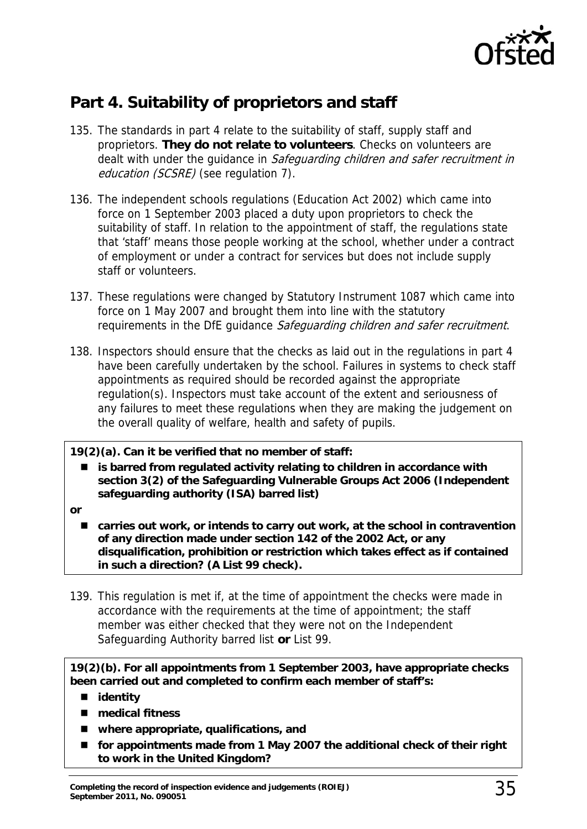

# <span id="page-34-0"></span>**Part 4. Suitability of proprietors and staff**

- 135. The standards in part 4 relate to the suitability of staff, supply staff and proprietors. **They do not relate to volunteers**. Checks on volunteers are dealt with under the quidance in Safeguarding children and safer recruitment in education (SCSRE) (see regulation 7).
- 136. The independent schools regulations (Education Act 2002) which came into force on 1 September 2003 placed a duty upon proprietors to check the suitability of staff. In relation to the appointment of staff, the regulations state that 'staff' means those people working at the school, whether under a contract of employment or under a contract for services but does not include supply staff or volunteers.
- 137. These regulations were changed by Statutory Instrument 1087 which came into force on 1 May 2007 and brought them into line with the statutory requirements in the DfE quidance Safeguarding children and safer recruitment.
- 138. Inspectors should ensure that the checks as laid out in the regulations in part 4 have been carefully undertaken by the school. Failures in systems to check staff appointments as required should be recorded against the appropriate regulation(s). Inspectors must take account of the extent and seriousness of any failures to meet these regulations when they are making the judgement on the overall quality of welfare, health and safety of pupils.

#### **19(2)(a). Can it be verified that no member of staff:**

- **is barred from regulated activity relating to children in accordance with section 3(2) of the Safeguarding Vulnerable Groups Act 2006 (Independent safeguarding authority (ISA) barred list)**
- **or** 
	- carries out work, or intends to carry out work, at the school in contravention **of any direction made under section 142 of the 2002 Act, or any disqualification, prohibition or restriction which takes effect as if contained in such a direction? (A List 99 check).**
- 139. This regulation is met if, at the time of appointment the checks were made in accordance with the requirements at the time of appointment; the staff member was either checked that they were not on the Independent Safeguarding Authority barred list **or** List 99.

**19(2)(b). For all appointments from 1 September 2003, have appropriate checks been carried out and completed to confirm each member of staff's:** 

- **identity**
- medical fitness
- **where appropriate, qualifications, and**
- for appointments made from 1 May 2007 the additional check of their right **to work in the United Kingdom?**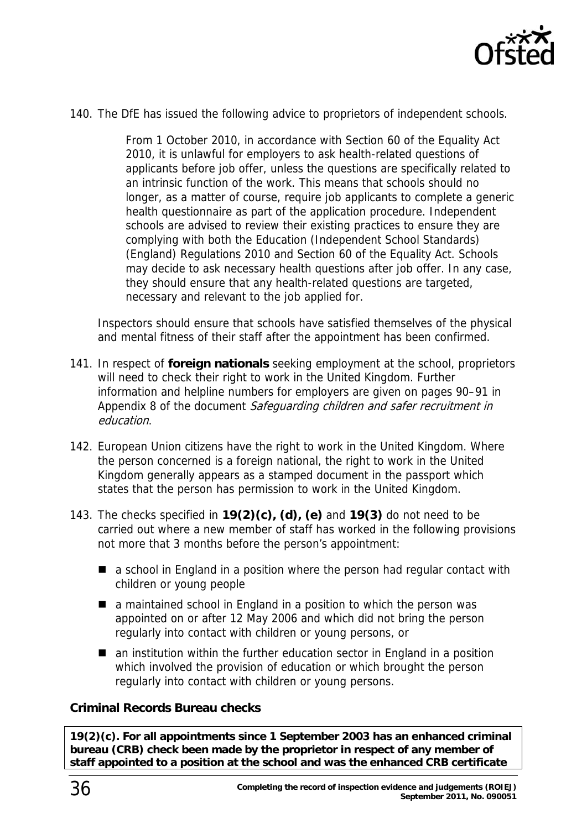

140. The DfE has issued the following advice to proprietors of independent schools.

From 1 October 2010, in accordance with Section 60 of the Equality Act 2010, it is unlawful for employers to ask health-related questions of applicants before job offer, unless the questions are specifically related to an intrinsic function of the work. This means that schools should no longer, as a matter of course, require job applicants to complete a generic health questionnaire as part of the application procedure. Independent schools are advised to review their existing practices to ensure they are complying with both the Education (Independent School Standards) (England) Regulations 2010 and Section 60 of the Equality Act. Schools may decide to ask necessary health questions after job offer. In any case, they should ensure that any health-related questions are targeted, necessary and relevant to the job applied for.

Inspectors should ensure that schools have satisfied themselves of the physical and mental fitness of their staff after the appointment has been confirmed.

- 141. In respect of **foreign nationals** seeking employment at the school, proprietors will need to check their right to work in the United Kingdom. Further information and helpline numbers for employers are given on pages 90–91 in Appendix 8 of the document Safeguarding children and safer recruitment in education.
- 142. European Union citizens have the right to work in the United Kingdom. Where the person concerned is a foreign national, the right to work in the United Kingdom generally appears as a stamped document in the passport which states that the person has permission to work in the United Kingdom.
- 143. The checks specified in **19(2)(c), (d), (e)** and **19(3)** do not need to be carried out where a new member of staff has worked in the following provisions not more that 3 months before the person's appointment:
	- a school in England in a position where the person had regular contact with children or young people
	- a maintained school in England in a position to which the person was appointed on or after 12 May 2006 and which did not bring the person regularly into contact with children or young persons, or
	- an institution within the further education sector in England in a position which involved the provision of education or which brought the person regularly into contact with children or young persons.

#### **Criminal Records Bureau checks**

**19(2)(c). For all appointments since 1 September 2003 has an enhanced criminal bureau (CRB) check been made by the proprietor in respect of any member of staff appointed to a position at the school and was the enhanced CRB certificate**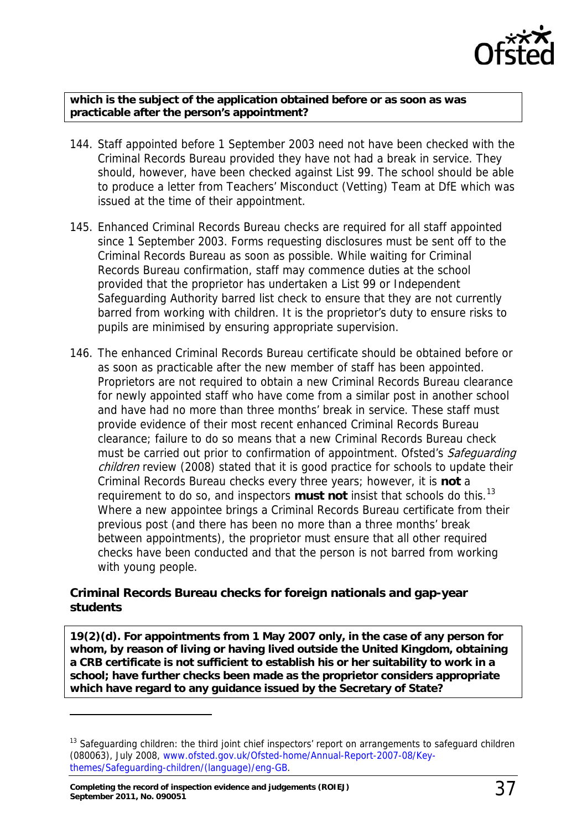

**which is the subject of the application obtained before or as soon as was practicable after the person's appointment?** 

- 144. Staff appointed before 1 September 2003 need not have been checked with the Criminal Records Bureau provided they have not had a break in service. They should, however, have been checked against List 99. The school should be able to produce a letter from Teachers' Misconduct (Vetting) Team at DfE which was issued at the time of their appointment.
- 145. Enhanced Criminal Records Bureau checks are required for all staff appointed since 1 September 2003. Forms requesting disclosures must be sent off to the Criminal Records Bureau as soon as possible. While waiting for Criminal Records Bureau confirmation, staff may commence duties at the school provided that the proprietor has undertaken a List 99 or Independent Safeguarding Authority barred list check to ensure that they are not currently barred from working with children. It is the proprietor's duty to ensure risks to pupils are minimised by ensuring appropriate supervision.
- 146. The enhanced Criminal Records Bureau certificate should be obtained before or as soon as practicable after the new member of staff has been appointed. Proprietors are not required to obtain a new Criminal Records Bureau clearance for newly appointed staff who have come from a similar post in another school and have had no more than three months' break in service. These staff must provide evidence of their most recent enhanced Criminal Records Bureau clearance; failure to do so means that a new Criminal Records Bureau check must be carried out prior to confirmation of appointment. Ofsted's Safeguarding children review (2008) stated that it is good practice for schools to update their Criminal Records Bureau checks every three years; however, it is **not** a requirement to do so, and inspectors **must not** insist that schools do this.[13](#page-36-0) Where a new appointee brings a Criminal Records Bureau certificate from their previous post (and there has been no more than a three months' break between appointments), the proprietor must ensure that all other required checks have been conducted and that the person is not barred from working with young people.

#### **Criminal Records Bureau checks for foreign nationals and gap-year students**

**19(2)(d). For appointments from 1 May 2007 only, in the case of any person for whom, by reason of living or having lived outside the United Kingdom, obtaining a CRB certificate is not sufficient to establish his or her suitability to work in a school; have further checks been made as the proprietor considers appropriate which have regard to any guidance issued by the Secretary of State?** 

<span id="page-36-0"></span><sup>&</sup>lt;sup>13</sup> Safeguarding children: the third joint chief inspectors' report on arrangements to safeguard children (080063), July 2008, [www.ofsted.gov.uk/Ofsted-home/Annual-Report-2007-08/Key](http://www.ofsted.gov.uk/Ofsted-home/Annual-Report-2007-08/Key-themes/Safeguarding-children/(language)/eng-GB)[themes/Safeguarding-children/\(language\)/eng-GB.](http://www.ofsted.gov.uk/Ofsted-home/Annual-Report-2007-08/Key-themes/Safeguarding-children/(language)/eng-GB)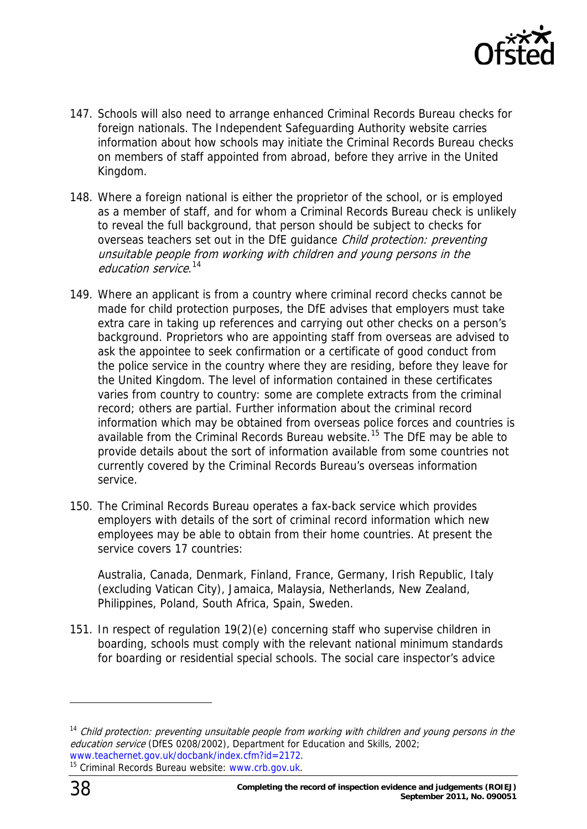

- 147. Schools will also need to arrange enhanced Criminal Records Bureau checks for foreign nationals. The Independent Safeguarding Authority website carries information about how schools may initiate the Criminal Records Bureau checks on members of staff appointed from abroad, before they arrive in the United Kingdom.
- 148. Where a foreign national is either the proprietor of the school, or is employed as a member of staff, and for whom a Criminal Records Bureau check is unlikely to reveal the full background, that person should be subject to checks for overseas teachers set out in the DfE quidance Child protection: preventing unsuitable people from working with children and young persons in the education service.<sup>[14](#page-37-0)</sup>
- 149. Where an applicant is from a country where criminal record checks cannot be made for child protection purposes, the DfE advises that employers must take extra care in taking up references and carrying out other checks on a person's background. Proprietors who are appointing staff from overseas are advised to ask the appointee to seek confirmation or a certificate of good conduct from the police service in the country where they are residing, before they leave for the United Kingdom. The level of information contained in these certificates varies from country to country: some are complete extracts from the criminal record; others are partial. Further information about the criminal record information which may be obtained from overseas police forces and countries is available from the Criminal Records Bureau website.<sup>[15](#page-37-1)</sup> The DfE may be able to provide details about the sort of information available from some countries not currently covered by the Criminal Records Bureau's overseas information service.
- 150. The Criminal Records Bureau operates a fax-back service which provides employers with details of the sort of criminal record information which new employees may be able to obtain from their home countries. At present the service covers 17 countries:

Australia, Canada, Denmark, Finland, France, Germany, Irish Republic, Italy (excluding Vatican City), Jamaica, Malaysia, Netherlands, New Zealand, Philippines, Poland, South Africa, Spain, Sweden.

151. In respect of regulation 19(2)(e) concerning staff who supervise children in boarding, schools must comply with the relevant national minimum standards for boarding or residential special schools. The social care inspector's advice

<span id="page-37-1"></span><span id="page-37-0"></span><sup>&</sup>lt;sup>14</sup> Child protection: preventing unsuitable people from working with children and young persons in the education service (DfES 0208/2002), Department for Education and Skills, 2002; [www.teachernet.gov.uk/docbank/index.cfm?id=2172.](http://www.teachernet.gov.uk/docbank/index.cfm?id=2172)<br><sup>15</sup> Criminal Records Bureau website: [www.crb.gov.uk](http://www.crb.gov.uk/).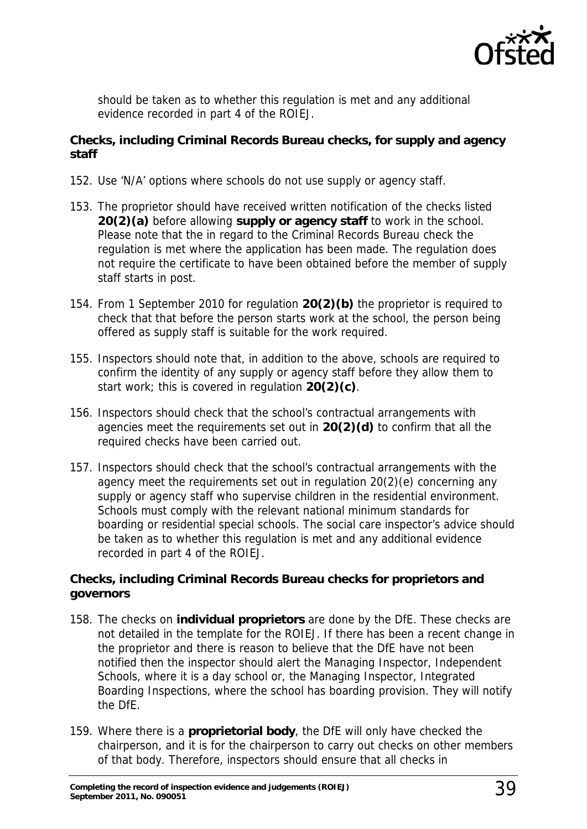

should be taken as to whether this regulation is met and any additional evidence recorded in part 4 of the ROIEJ.

#### **Checks, including Criminal Records Bureau checks, for supply and agency staff**

- 152. Use 'N/A' options where schools do not use supply or agency staff.
- 153. The proprietor should have received written notification of the checks listed **20(2)(a)** before allowing **supply or agency staff** to work in the school. Please note that the in regard to the Criminal Records Bureau check the regulation is met where the application has been made. The regulation does not require the certificate to have been obtained before the member of supply staff starts in post.
- 154. From 1 September 2010 for regulation **20(2)(b)** the proprietor is required to check that that before the person starts work at the school, the person being offered as supply staff is suitable for the work required.
- 155. Inspectors should note that, in addition to the above, schools are required to confirm the identity of any supply or agency staff before they allow them to start work; this is covered in regulation **20(2)(c)**.
- 156. Inspectors should check that the school's contractual arrangements with agencies meet the requirements set out in **20(2)(d)** to confirm that all the required checks have been carried out.
- 157. Inspectors should check that the school's contractual arrangements with the agency meet the requirements set out in regulation 20(2)(e) concerning any supply or agency staff who supervise children in the residential environment. Schools must comply with the relevant national minimum standards for boarding or residential special schools. The social care inspector's advice should be taken as to whether this regulation is met and any additional evidence recorded in part 4 of the ROIEJ.

#### **Checks, including Criminal Records Bureau checks for proprietors and governors**

- 158. The checks on **individual proprietors** are done by the DfE. These checks are not detailed in the template for the ROIEJ. If there has been a recent change in the proprietor and there is reason to believe that the DfE have not been notified then the inspector should alert the Managing Inspector, Independent Schools, where it is a day school or, the Managing Inspector, Integrated Boarding Inspections, where the school has boarding provision. They will notify the DfE.
- 159. Where there is a **proprietorial body**, the DfE will only have checked the chairperson, and it is for the chairperson to carry out checks on other members of that body. Therefore, inspectors should ensure that all checks in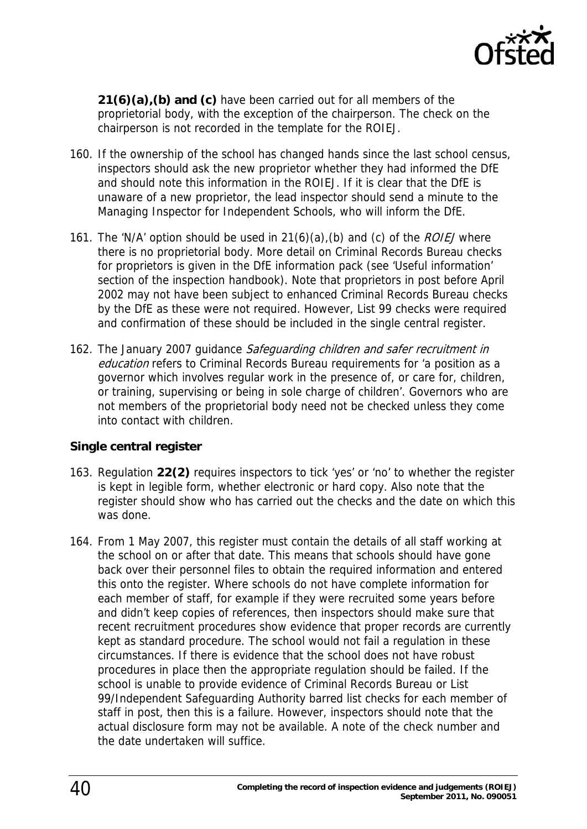

**21(6)(a),(b) and (c)** have been carried out for all members of the proprietorial body, with the exception of the chairperson. The check on the chairperson is not recorded in the template for the ROIEJ.

- 160. If the ownership of the school has changed hands since the last school census, inspectors should ask the new proprietor whether they had informed the DfE and should note this information in the ROIEJ. If it is clear that the DfE is unaware of a new proprietor, the lead inspector should send a minute to the Managing Inspector for Independent Schools, who will inform the DfE.
- 161. The 'N/A' option should be used in  $21(6)(a)$ , (b) and (c) of the *ROIEJ* where there is no proprietorial body. More detail on Criminal Records Bureau checks for proprietors is given in the DfE information pack (see 'Useful information' section of the inspection handbook). Note that proprietors in post before April 2002 may not have been subject to enhanced Criminal Records Bureau checks by the DfE as these were not required. However, List 99 checks were required and confirmation of these should be included in the single central register.
- 162. The January 2007 guidance Safeguarding children and safer recruitment in education refers to Criminal Records Bureau requirements for 'a position as a governor which involves regular work in the presence of, or care for, children, or training, supervising or being in sole charge of children'. Governors who are not members of the proprietorial body need not be checked unless they come into contact with children.

#### **Single central register**

- 163. Regulation **22(2)** requires inspectors to tick 'yes' or 'no' to whether the register is kept in legible form, whether electronic or hard copy. Also note that the register should show who has carried out the checks and the date on which this was done.
- 164. From 1 May 2007, this register must contain the details of all staff working at the school on or after that date. This means that schools should have gone back over their personnel files to obtain the required information and entered this onto the register. Where schools do not have complete information for each member of staff, for example if they were recruited some years before and didn't keep copies of references, then inspectors should make sure that recent recruitment procedures show evidence that proper records are currently kept as standard procedure. The school would not fail a regulation in these circumstances. If there is evidence that the school does not have robust procedures in place then the appropriate regulation should be failed. If the school is unable to provide evidence of Criminal Records Bureau or List 99/Independent Safeguarding Authority barred list checks for each member of staff in post, then this is a failure. However, inspectors should note that the actual disclosure form may not be available. A note of the check number and the date undertaken will suffice.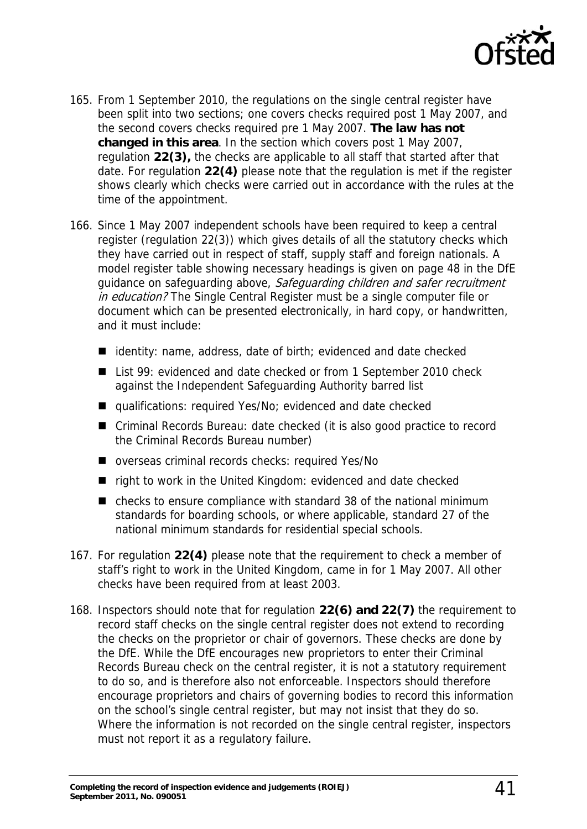

- 165. From 1 September 2010, the regulations on the single central register have been split into two sections; one covers checks required post 1 May 2007, and the second covers checks required pre 1 May 2007. **The law has not changed in this area**. In the section which covers post 1 May 2007, regulation **22(3),** the checks are applicable to all staff that started after that date. For regulation **22(4)** please note that the regulation is met if the register shows clearly which checks were carried out in accordance with the rules at the time of the appointment.
- 166. Since 1 May 2007 independent schools have been required to keep a central register (regulation 22(3)) which gives details of all the statutory checks which they have carried out in respect of staff, supply staff and foreign nationals. A model register table showing necessary headings is given on page 48 in the DfE guidance on safeguarding above, Safeguarding children and safer recruitment in education? The Single Central Register must be a single computer file or document which can be presented electronically, in hard copy, or handwritten, and it must include:
	- $\blacksquare$  identity: name, address, date of birth; evidenced and date checked
	- List 99: evidenced and date checked or from 1 September 2010 check against the Independent Safeguarding Authority barred list
	- qualifications: required Yes/No; evidenced and date checked
	- Criminal Records Bureau: date checked (it is also good practice to record the Criminal Records Bureau number)
	- overseas criminal records checks: required Yes/No
	- right to work in the United Kingdom: evidenced and date checked
	- checks to ensure compliance with standard 38 of the national minimum standards for boarding schools, or where applicable, standard 27 of the national minimum standards for residential special schools.
- 167. For regulation **22(4)** please note that the requirement to check a member of staff's right to work in the United Kingdom, came in for 1 May 2007. All other checks have been required from at least 2003.
- 168. Inspectors should note that for regulation **22(6) and 22(7)** the requirement to record staff checks on the single central register does not extend to recording the checks on the proprietor or chair of governors. These checks are done by the DfE. While the DfE encourages new proprietors to enter their Criminal Records Bureau check on the central register, it is not a statutory requirement to do so, and is therefore also not enforceable. Inspectors should therefore encourage proprietors and chairs of governing bodies to record this information on the school's single central register, but may not insist that they do so. Where the information is not recorded on the single central register, inspectors must not report it as a regulatory failure.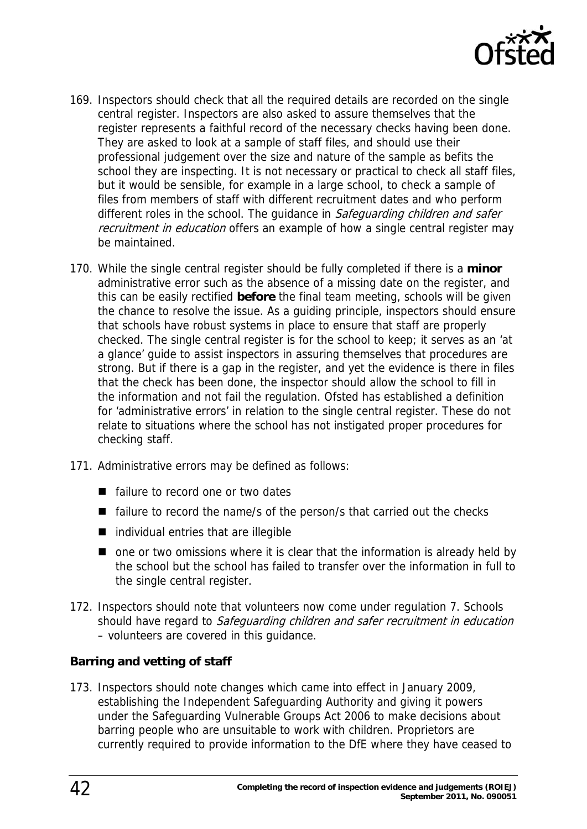

- 169. Inspectors should check that all the required details are recorded on the single central register. Inspectors are also asked to assure themselves that the register represents a faithful record of the necessary checks having been done. They are asked to look at a sample of staff files, and should use their professional judgement over the size and nature of the sample as befits the school they are inspecting. It is not necessary or practical to check all staff files, but it would be sensible, for example in a large school, to check a sample of files from members of staff with different recruitment dates and who perform different roles in the school. The quidance in Safeguarding children and safer recruitment in education offers an example of how a single central register may be maintained.
- 170. While the single central register should be fully completed if there is a **minor** administrative error such as the absence of a missing date on the register, and this can be easily rectified **before** the final team meeting, schools will be given the chance to resolve the issue. As a guiding principle, inspectors should ensure that schools have robust systems in place to ensure that staff are properly checked. The single central register is for the school to keep; it serves as an 'at a glance' guide to assist inspectors in assuring themselves that procedures are strong. But if there is a gap in the register, and yet the evidence is there in files that the check has been done, the inspector should allow the school to fill in the information and not fail the regulation. Ofsted has established a definition for 'administrative errors' in relation to the single central register. These do not relate to situations where the school has not instigated proper procedures for checking staff.
- 171. Administrative errors may be defined as follows:
	- failure to record one or two dates
	- $\blacksquare$  failure to record the name/s of the person/s that carried out the checks
	- individual entries that are illegible
	- one or two omissions where it is clear that the information is already held by the school but the school has failed to transfer over the information in full to the single central register.
- 172. Inspectors should note that volunteers now come under regulation 7. Schools should have regard to Safeguarding children and safer recruitment in education – volunteers are covered in this guidance.

#### **Barring and vetting of staff**

173. Inspectors should note changes which came into effect in January 2009, establishing the Independent Safeguarding Authority and giving it powers under the Safeguarding Vulnerable Groups Act 2006 to make decisions about barring people who are unsuitable to work with children. Proprietors are currently required to provide information to the DfE where they have ceased to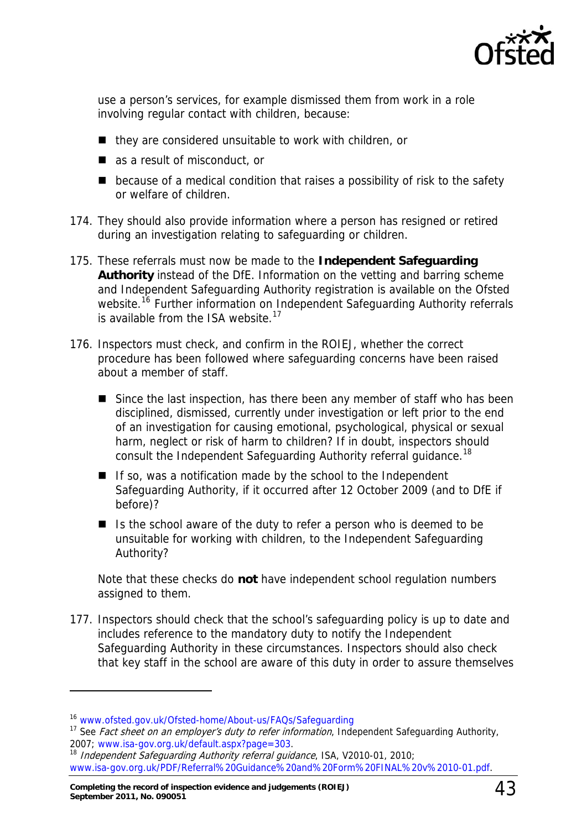

use a person's services, for example dismissed them from work in a role involving regular contact with children, because:

- $\blacksquare$  they are considered unsuitable to work with children, or
- as a result of misconduct, or
- $\blacksquare$  because of a medical condition that raises a possibility of risk to the safety or welfare of children.
- 174. They should also provide information where a person has resigned or retired during an investigation relating to safeguarding or children.
- 175. These referrals must now be made to the **Independent Safeguarding Authority** instead of the DfE. Information on the vetting and barring scheme and Independent Safeguarding Authority registration is available on the Ofsted website.<sup>[16](#page-42-0)</sup> Further information on Independent Safeguarding Authority referrals is available from the ISA website.<sup>[17](#page-42-1)</sup>
- 176. Inspectors must check, and confirm in the ROIEJ, whether the correct procedure has been followed where safeguarding concerns have been raised about a member of staff.
	- Since the last inspection, has there been any member of staff who has been disciplined, dismissed, currently under investigation or left prior to the end of an investigation for causing emotional, psychological, physical or sexual harm, neglect or risk of harm to children? If in doubt, inspectors should consult the Independent Safeguarding Authority referral guidance.<sup>[18](#page-42-2)</sup>
	- $\blacksquare$  If so, was a notification made by the school to the Independent Safeguarding Authority, if it occurred after 12 October 2009 (and to DfE if before)?
	- Is the school aware of the duty to refer a person who is deemed to be unsuitable for working with children, to the Independent Safeguarding Authority?

Note that these checks do **not** have independent school regulation numbers assigned to them.

177. Inspectors should check that the school's safeguarding policy is up to date and includes reference to the mandatory duty to notify the Independent Safeguarding Authority in these circumstances. Inspectors should also check that key staff in the school are aware of this duty in order to assure themselves

<span id="page-42-0"></span><sup>16</sup> [www.ofsted.gov.uk/Ofsted-home/About-us/FAQs/Safeguarding](http://www.ofsted.gov.uk/Ofsted-home/About-us/FAQs/Safeguarding)

<span id="page-42-1"></span><sup>&</sup>lt;sup>17</sup> See *Fact sheet on an employer's duty to refer information*, Independent Safeguarding Authority,<br>2007: www.isa-gov.org.uk/default.aspx?page=303.

<span id="page-42-2"></span><sup>2007;</sup> www.isa-gov.org.uk/default.aspx.page=333. 193. 18 Independent Safeguarding Authority referral guidance, ISA, V2010-01, 2010; [www.isa-gov.org.uk/PDF/Referral%20Guidance%20and%20Form%20FINAL%20v%2010-01.pdf.](http://www.isa-gov.org.uk/PDF/Referral%20Guidance%20and%20Form%20FINAL%20v%2010-01.pdf)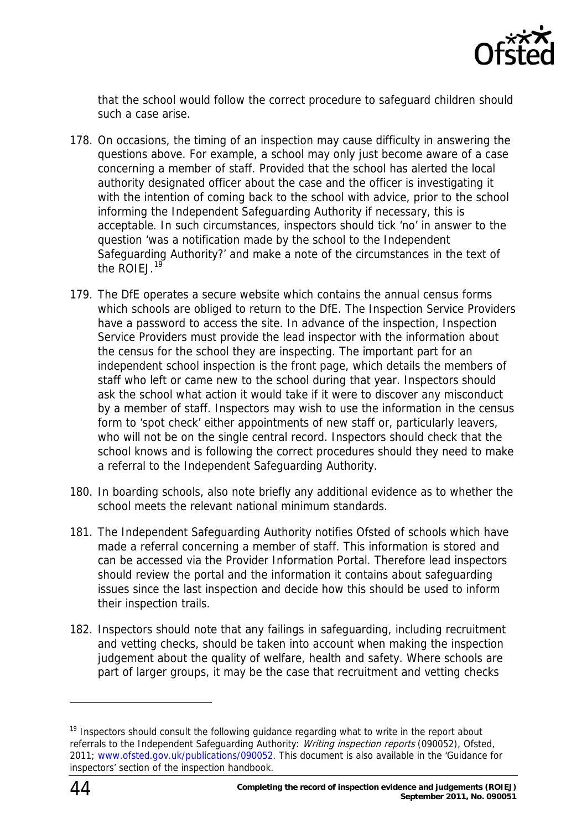

that the school would follow the correct procedure to safeguard children should such a case arise.

- 178. On occasions, the timing of an inspection may cause difficulty in answering the questions above. For example, a school may only just become aware of a case concerning a member of staff. Provided that the school has alerted the local authority designated officer about the case and the officer is investigating it with the intention of coming back to the school with advice, prior to the school informing the Independent Safeguarding Authority if necessary, this is acceptable. In such circumstances, inspectors should tick 'no' in answer to the question 'was a notification made by the school to the Independent Safeguarding Authority?' and make a note of the circumstances in the text of the ROIFJ.<sup>[19](#page-43-0)</sup>
- 179. The DfE operates a secure website which contains the annual census forms which schools are obliged to return to the DfE. The Inspection Service Providers have a password to access the site. In advance of the inspection, Inspection Service Providers must provide the lead inspector with the information about the census for the school they are inspecting. The important part for an independent school inspection is the front page, which details the members of staff who left or came new to the school during that year. Inspectors should ask the school what action it would take if it were to discover any misconduct by a member of staff. Inspectors may wish to use the information in the census form to 'spot check' either appointments of new staff or, particularly leavers, who will not be on the single central record. Inspectors should check that the school knows and is following the correct procedures should they need to make a referral to the Independent Safeguarding Authority.
- 180. In boarding schools, also note briefly any additional evidence as to whether the school meets the relevant national minimum standards.
- 181. The Independent Safeguarding Authority notifies Ofsted of schools which have made a referral concerning a member of staff. This information is stored and can be accessed via the Provider Information Portal. Therefore lead inspectors should review the portal and the information it contains about safeguarding issues since the last inspection and decide how this should be used to inform their inspection trails.
- 182. Inspectors should note that any failings in safeguarding, including recruitment and vetting checks, should be taken into account when making the inspection judgement about the quality of welfare, health and safety. Where schools are part of larger groups, it may be the case that recruitment and vetting checks

<span id="page-43-0"></span><sup>&</sup>lt;sup>19</sup> Inspectors should consult the following guidance regarding what to write in the report about referrals to the Independent Safeguarding Authority: *Writing inspection reports* (090052), Ofsted, 2011; [www.ofsted.gov.uk/publications/090052](http://www.ofsted.gov.uk/publications/090052). This document is also available in the 'Guidance for inspectors' section of the inspection handbook.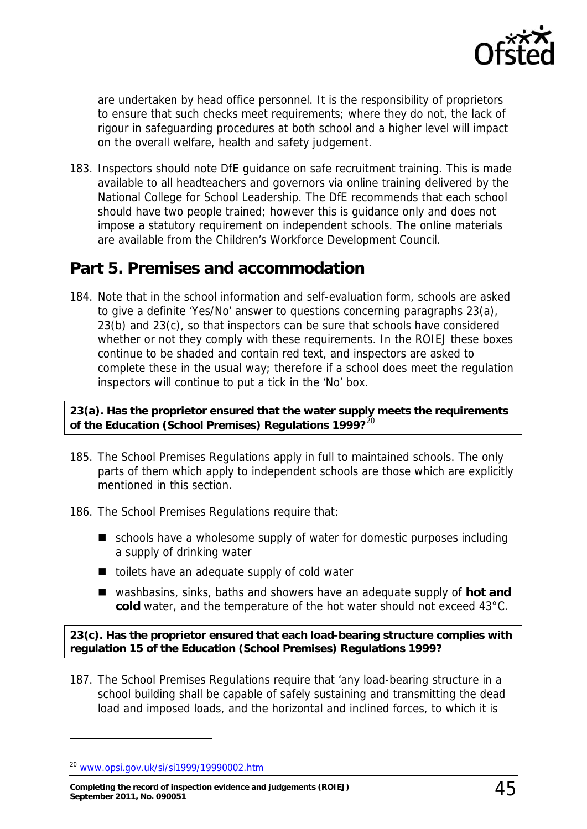

are undertaken by head office personnel. It is the responsibility of proprietors to ensure that such checks meet requirements; where they do not, the lack of rigour in safeguarding procedures at both school and a higher level will impact on the overall welfare, health and safety judgement.

183. Inspectors should note DfE guidance on safe recruitment training. This is made available to all headteachers and governors via online training delivered by the National College for School Leadership. The DfE recommends that each school should have two people trained; however this is guidance only and does not impose a statutory requirement on independent schools. The online materials are available from the Children's Workforce Development Council.

### <span id="page-44-0"></span>**Part 5. Premises and accommodation**

184. Note that in the school information and self-evaluation form, schools are asked to give a definite 'Yes/No' answer to questions concerning paragraphs 23(a), 23(b) and 23(c), so that inspectors can be sure that schools have considered whether or not they comply with these requirements. In the ROIEJ these boxes continue to be shaded and contain red text, and inspectors are asked to complete these in the usual way; therefore if a school does meet the regulation inspectors will continue to put a tick in the 'No' box.

#### **23(a). Has the proprietor ensured that the water supply meets the requirements of the Education (School Premises) Regulations 1999?**[20](#page-44-1)

- 185. The School Premises Regulations apply in full to maintained schools. The only parts of them which apply to independent schools are those which are explicitly mentioned in this section.
- 186. The School Premises Regulations require that:
	- schools have a wholesome supply of water for domestic purposes including a supply of drinking water
	- $\blacksquare$  toilets have an adequate supply of cold water
	- washbasins, sinks, baths and showers have an adequate supply of **hot and cold** water, and the temperature of the hot water should not exceed 43°C.

**23(c). Has the proprietor ensured that each load-bearing structure complies with regulation 15 of the Education (School Premises) Regulations 1999?** 

187. The School Premises Regulations require that 'any load-bearing structure in a school building shall be capable of safely sustaining and transmitting the dead load and imposed loads, and the horizontal and inclined forces, to which it is

<span id="page-44-1"></span><sup>20</sup> [www.opsi.gov.uk/si/si1999/19990002.htm](http://www.opsi.gov.uk/si/si1999/19990002.htm)

**Completing the record of inspection evidence and judgements (ROIEJ) September 2011, No. 090051** 45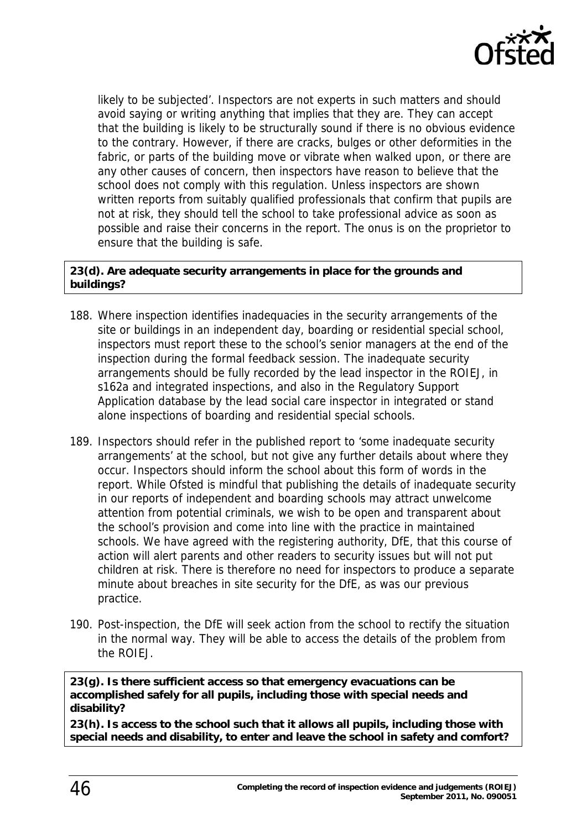

likely to be subjected'. Inspectors are not experts in such matters and should avoid saying or writing anything that implies that they are. They can accept that the building is likely to be structurally sound if there is no obvious evidence to the contrary. However, if there are cracks, bulges or other deformities in the fabric, or parts of the building move or vibrate when walked upon, or there are any other causes of concern, then inspectors have reason to believe that the school does not comply with this regulation. Unless inspectors are shown written reports from suitably qualified professionals that confirm that pupils are not at risk, they should tell the school to take professional advice as soon as possible and raise their concerns in the report. The onus is on the proprietor to ensure that the building is safe.

#### **23(d). Are adequate security arrangements in place for the grounds and buildings?**

- 188. Where inspection identifies inadequacies in the security arrangements of the site or buildings in an independent day, boarding or residential special school, inspectors must report these to the school's senior managers at the end of the inspection during the formal feedback session. The inadequate security arrangements should be fully recorded by the lead inspector in the ROIEJ, in s162a and integrated inspections, and also in the Regulatory Support Application database by the lead social care inspector in integrated or stand alone inspections of boarding and residential special schools.
- 189. Inspectors should refer in the published report to 'some inadequate security arrangements' at the school, but not give any further details about where they occur. Inspectors should inform the school about this form of words in the report. While Ofsted is mindful that publishing the details of inadequate security in our reports of independent and boarding schools may attract unwelcome attention from potential criminals, we wish to be open and transparent about the school's provision and come into line with the practice in maintained schools. We have agreed with the registering authority, DfE, that this course of action will alert parents and other readers to security issues but will not put children at risk. There is therefore no need for inspectors to produce a separate minute about breaches in site security for the DfE, as was our previous practice.
- 190. Post-inspection, the DfE will seek action from the school to rectify the situation in the normal way. They will be able to access the details of the problem from the ROIEJ.

**23(g). Is there sufficient access so that emergency evacuations can be accomplished safely for all pupils, including those with special needs and disability?** 

**23(h). Is access to the school such that it allows all pupils, including those with special needs and disability, to enter and leave the school in safety and comfort?**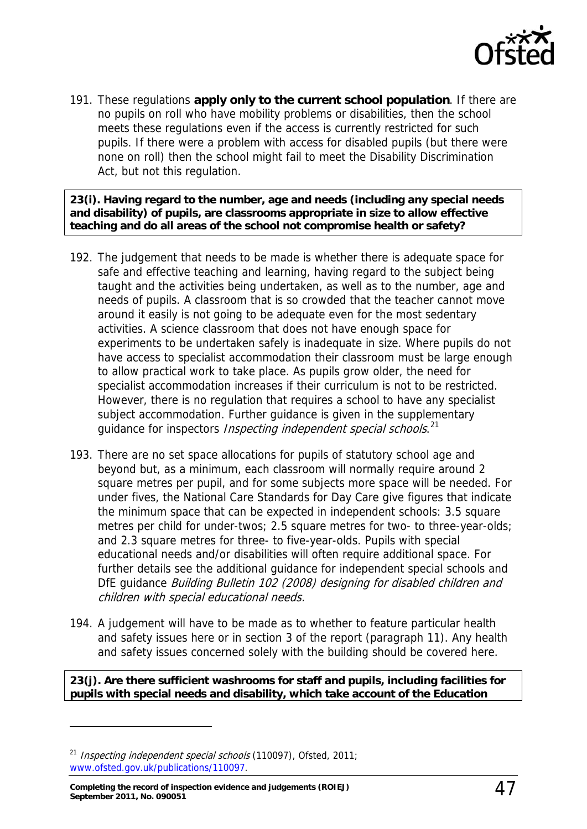

191. These regulations **apply only to the current school population**. If there are no pupils on roll who have mobility problems or disabilities, then the school meets these regulations even if the access is currently restricted for such pupils. If there were a problem with access for disabled pupils (but there were none on roll) then the school might fail to meet the Disability Discrimination Act, but not this regulation.

**23(i). Having regard to the number, age and needs (including any special needs and disability) of pupils, are classrooms appropriate in size to allow effective teaching and do all areas of the school not compromise health or safety?** 

- 192. The judgement that needs to be made is whether there is adequate space for safe and effective teaching and learning, having regard to the subject being taught and the activities being undertaken, as well as to the number, age and needs of pupils. A classroom that is so crowded that the teacher cannot move around it easily is not going to be adequate even for the most sedentary activities. A science classroom that does not have enough space for experiments to be undertaken safely is inadequate in size. Where pupils do not have access to specialist accommodation their classroom must be large enough to allow practical work to take place. As pupils grow older, the need for specialist accommodation increases if their curriculum is not to be restricted. However, there is no regulation that requires a school to have any specialist subject accommodation. Further guidance is given in the supplementary guidance for inspectors Inspecting independent special schools.<sup>[21](#page-46-0)</sup>
- 193. There are no set space allocations for pupils of statutory school age and beyond but, as a minimum, each classroom will normally require around 2 square metres per pupil, and for some subjects more space will be needed. For under fives, the National Care Standards for Day Care give figures that indicate the minimum space that can be expected in independent schools: 3.5 square metres per child for under-twos; 2.5 square metres for two- to three-year-olds; and 2.3 square metres for three- to five-year-olds. Pupils with special educational needs and/or disabilities will often require additional space. For further details see the additional guidance for independent special schools and DfE quidance Building Bulletin 102 (2008) designing for disabled children and children with special educational needs.
- 194. A judgement will have to be made as to whether to feature particular health and safety issues here or in section 3 of the report (paragraph 11). Any health and safety issues concerned solely with the building should be covered here.

**23(j). Are there sufficient washrooms for staff and pupils, including facilities for pupils with special needs and disability, which take account of the Education** 

<span id="page-46-0"></span><sup>&</sup>lt;sup>21</sup> Inspecting independent special schools (110097), Ofsted, 2011; [www.ofsted.gov.uk/publications/110097.](http://www.ofsted.gov.uk/publications/110097)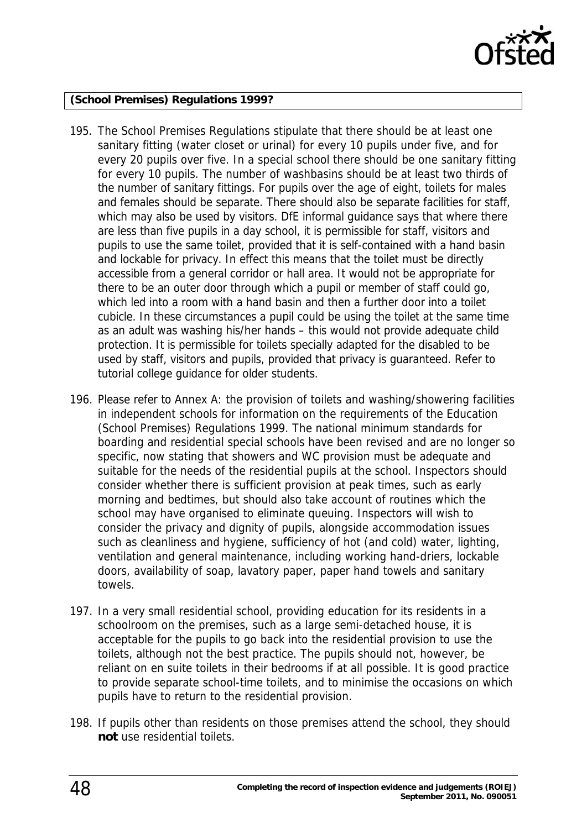

#### **(School Premises) Regulations 1999?**

- 195. The School Premises Regulations stipulate that there should be at least one sanitary fitting (water closet or urinal) for every 10 pupils under five, and for every 20 pupils over five. In a special school there should be one sanitary fitting for every 10 pupils. The number of washbasins should be at least two thirds of the number of sanitary fittings. For pupils over the age of eight, toilets for males and females should be separate. There should also be separate facilities for staff, which may also be used by visitors. DfE informal guidance says that where there are less than five pupils in a day school, it is permissible for staff, visitors and pupils to use the same toilet, provided that it is self-contained with a hand basin and lockable for privacy. In effect this means that the toilet must be directly accessible from a general corridor or hall area. It would not be appropriate for there to be an outer door through which a pupil or member of staff could go, which led into a room with a hand basin and then a further door into a toilet cubicle. In these circumstances a pupil could be using the toilet at the same time as an adult was washing his/her hands – this would not provide adequate child protection. It is permissible for toilets specially adapted for the disabled to be used by staff, visitors and pupils, provided that privacy is guaranteed. Refer to tutorial college guidance for older students.
- 196. Please refer to Annex A: the provision of toilets and washing/showering facilities in independent schools for information on the requirements of the Education (School Premises) Regulations 1999. The national minimum standards for boarding and residential special schools have been revised and are no longer so specific, now stating that showers and WC provision must be adequate and suitable for the needs of the residential pupils at the school. Inspectors should consider whether there is sufficient provision at peak times, such as early morning and bedtimes, but should also take account of routines which the school may have organised to eliminate queuing. Inspectors will wish to consider the privacy and dignity of pupils, alongside accommodation issues such as cleanliness and hygiene, sufficiency of hot (and cold) water, lighting, ventilation and general maintenance, including working hand-driers, lockable doors, availability of soap, lavatory paper, paper hand towels and sanitary towels.
- 197. In a very small residential school, providing education for its residents in a schoolroom on the premises, such as a large semi-detached house, it is acceptable for the pupils to go back into the residential provision to use the toilets, although not the best practice. The pupils should not, however, be reliant on en suite toilets in their bedrooms if at all possible. It is good practice to provide separate school-time toilets, and to minimise the occasions on which pupils have to return to the residential provision.
- 198. If pupils other than residents on those premises attend the school, they should **not** use residential toilets.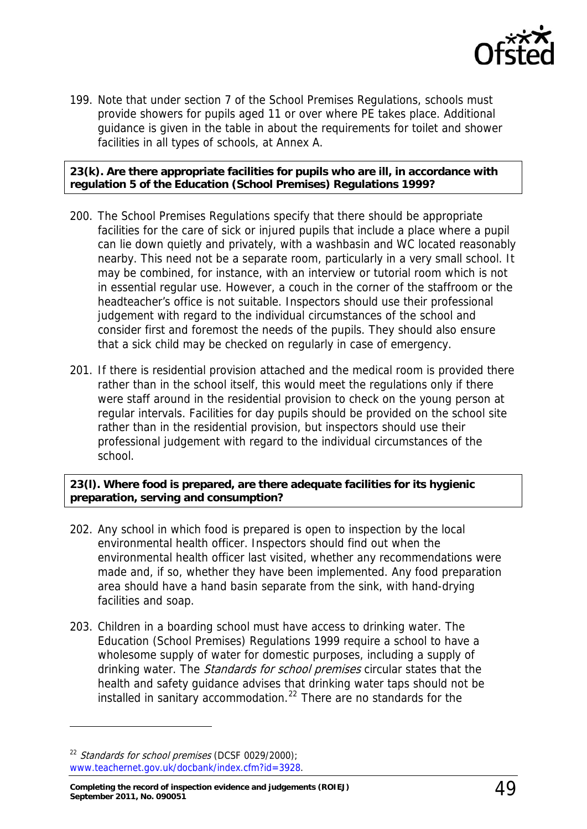

199. Note that under section 7 of the School Premises Regulations, schools must provide showers for pupils aged 11 or over where PE takes place. Additional guidance is given in the table in about the requirements for toilet and shower facilities in all types of schools, at Annex A.

**23(k). Are there appropriate facilities for pupils who are ill, in accordance with regulation 5 of the Education (School Premises) Regulations 1999?** 

- 200. The School Premises Regulations specify that there should be appropriate facilities for the care of sick or injured pupils that include a place where a pupil can lie down quietly and privately, with a washbasin and WC located reasonably nearby. This need not be a separate room, particularly in a very small school. It may be combined, for instance, with an interview or tutorial room which is not in essential regular use. However, a couch in the corner of the staffroom or the headteacher's office is not suitable. Inspectors should use their professional judgement with regard to the individual circumstances of the school and consider first and foremost the needs of the pupils. They should also ensure that a sick child may be checked on regularly in case of emergency.
- 201. If there is residential provision attached and the medical room is provided there rather than in the school itself, this would meet the regulations only if there were staff around in the residential provision to check on the young person at regular intervals. Facilities for day pupils should be provided on the school site rather than in the residential provision, but inspectors should use their professional judgement with regard to the individual circumstances of the school.

**23(l). Where food is prepared, are there adequate facilities for its hygienic preparation, serving and consumption?** 

- 202. Any school in which food is prepared is open to inspection by the local environmental health officer. Inspectors should find out when the environmental health officer last visited, whether any recommendations were made and, if so, whether they have been implemented. Any food preparation area should have a hand basin separate from the sink, with hand-drying facilities and soap.
- 203. Children in a boarding school must have access to drinking water. The Education (School Premises) Regulations 1999 require a school to have a wholesome supply of water for domestic purposes, including a supply of drinking water. The *Standards for school premises* circular states that the health and safety guidance advises that drinking water taps should not be installed in sanitary accommodation.<sup>[22](#page-48-0)</sup> There are no standards for the

<span id="page-48-0"></span> $22$  Standards for school premises (DCSF 0029/2000); [www.teachernet.gov.uk/docbank/index.cfm?id=3928.](http://www.teachernet.gov.uk/docbank/index.cfm?id=3928)

**Completing the record of inspection evidence and judgements (ROIEJ) September 2011, No. 090051** 49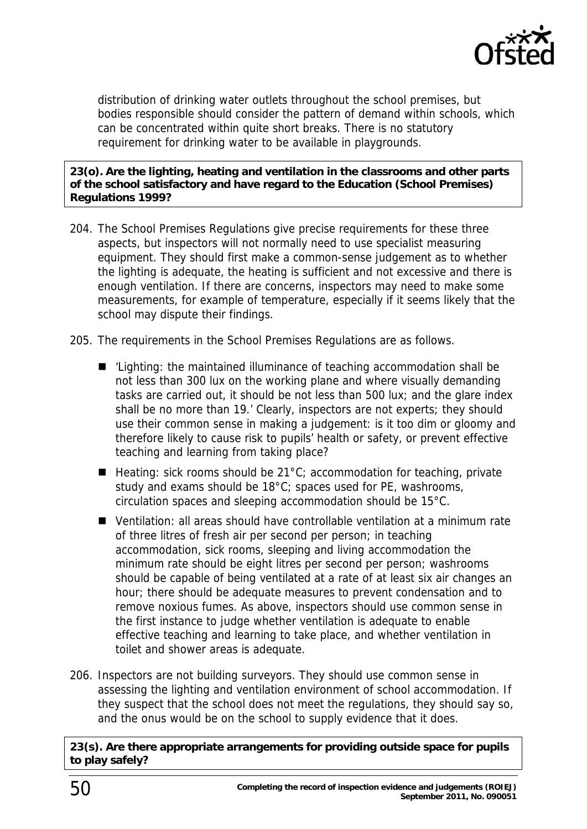

distribution of drinking water outlets throughout the school premises, but bodies responsible should consider the pattern of demand within schools, which can be concentrated within quite short breaks. There is no statutory requirement for drinking water to be available in playgrounds.

#### **23(o). Are the lighting, heating and ventilation in the classrooms and other parts of the school satisfactory and have regard to the Education (School Premises) Regulations 1999?**

- 204. The School Premises Regulations give precise requirements for these three aspects, but inspectors will not normally need to use specialist measuring equipment. They should first make a common-sense judgement as to whether the lighting is adequate, the heating is sufficient and not excessive and there is enough ventilation. If there are concerns, inspectors may need to make some measurements, for example of temperature, especially if it seems likely that the school may dispute their findings.
- 205. The requirements in the School Premises Regulations are as follows.
	- 'Lighting: the maintained illuminance of teaching accommodation shall be not less than 300 lux on the working plane and where visually demanding tasks are carried out, it should be not less than 500 lux; and the glare index shall be no more than 19.' Clearly, inspectors are not experts; they should use their common sense in making a judgement: is it too dim or gloomy and therefore likely to cause risk to pupils' health or safety, or prevent effective teaching and learning from taking place?
	- $\blacksquare$  Heating: sick rooms should be 21°C; accommodation for teaching, private study and exams should be 18°C; spaces used for PE, washrooms, circulation spaces and sleeping accommodation should be 15°C.
	- Ventilation: all areas should have controllable ventilation at a minimum rate of three litres of fresh air per second per person; in teaching accommodation, sick rooms, sleeping and living accommodation the minimum rate should be eight litres per second per person; washrooms should be capable of being ventilated at a rate of at least six air changes an hour; there should be adequate measures to prevent condensation and to remove noxious fumes. As above, inspectors should use common sense in the first instance to judge whether ventilation is adequate to enable effective teaching and learning to take place, and whether ventilation in toilet and shower areas is adequate.
- 206. Inspectors are not building surveyors. They should use common sense in assessing the lighting and ventilation environment of school accommodation. If they suspect that the school does not meet the regulations, they should say so, and the onus would be on the school to supply evidence that it does.

**23(s). Are there appropriate arrangements for providing outside space for pupils to play safely?**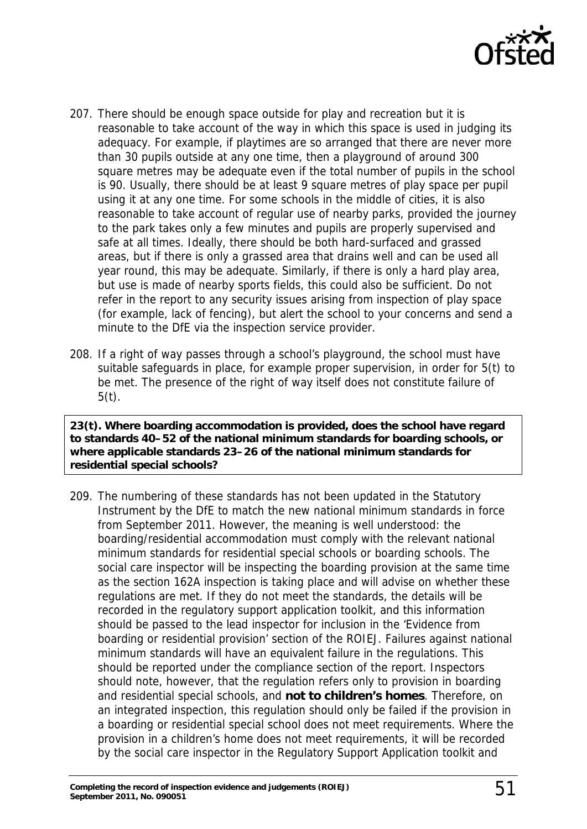

- 207. There should be enough space outside for play and recreation but it is reasonable to take account of the way in which this space is used in judging its adequacy. For example, if playtimes are so arranged that there are never more than 30 pupils outside at any one time, then a playground of around 300 square metres may be adequate even if the total number of pupils in the school is 90. Usually, there should be at least 9 square metres of play space per pupil using it at any one time. For some schools in the middle of cities, it is also reasonable to take account of regular use of nearby parks, provided the journey to the park takes only a few minutes and pupils are properly supervised and safe at all times. Ideally, there should be both hard-surfaced and grassed areas, but if there is only a grassed area that drains well and can be used all year round, this may be adequate. Similarly, if there is only a hard play area, but use is made of nearby sports fields, this could also be sufficient. Do not refer in the report to any security issues arising from inspection of play space (for example, lack of fencing), but alert the school to your concerns and send a minute to the DfE via the inspection service provider.
- 208. If a right of way passes through a school's playground, the school must have suitable safeguards in place, for example proper supervision, in order for 5(t) to be met. The presence of the right of way itself does not constitute failure of  $5(t)$ .

**23(t). Where boarding accommodation is provided, does the school have regard to standards 40–52 of the national minimum standards for boarding schools, or where applicable standards 23–26 of the national minimum standards for residential special schools?** 

209. The numbering of these standards has not been updated in the Statutory Instrument by the DfE to match the new national minimum standards in force from September 2011. However, the meaning is well understood: the boarding/residential accommodation must comply with the relevant national minimum standards for residential special schools or boarding schools. The social care inspector will be inspecting the boarding provision at the same time as the section 162A inspection is taking place and will advise on whether these regulations are met. If they do not meet the standards, the details will be recorded in the regulatory support application toolkit, and this information should be passed to the lead inspector for inclusion in the 'Evidence from boarding or residential provision' section of the ROIEJ. Failures against national minimum standards will have an equivalent failure in the regulations. This should be reported under the compliance section of the report. Inspectors should note, however, that the regulation refers only to provision in boarding and residential special schools, and **not to children's homes**. Therefore, on an integrated inspection, this regulation should only be failed if the provision in a boarding or residential special school does not meet requirements. Where the provision in a children's home does not meet requirements, it will be recorded by the social care inspector in the Regulatory Support Application toolkit and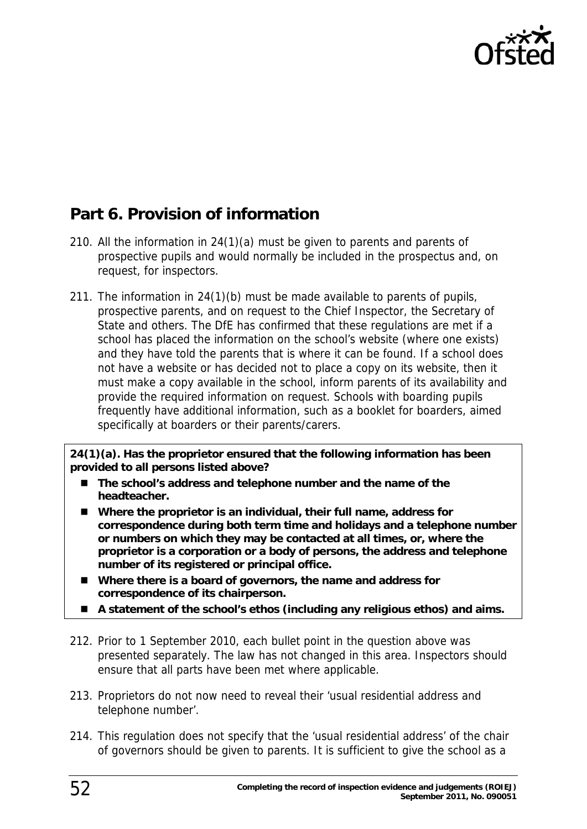

# <span id="page-51-0"></span>**Part 6. Provision of information**

- 210. All the information in 24(1)(a) must be given to parents and parents of prospective pupils and would normally be included in the prospectus and, on request, for inspectors.
- 211. The information in 24(1)(b) must be made available to parents of pupils, prospective parents, and on request to the Chief Inspector, the Secretary of State and others. The DfE has confirmed that these regulations are met if a school has placed the information on the school's website (where one exists) and they have told the parents that is where it can be found. If a school does not have a website or has decided not to place a copy on its website, then it must make a copy available in the school, inform parents of its availability and provide the required information on request. Schools with boarding pupils frequently have additional information, such as a booklet for boarders, aimed specifically at boarders or their parents/carers.

**24(1)(a). Has the proprietor ensured that the following information has been provided to all persons listed above?** 

- The school's address and telephone number and the name of the **headteacher.**
- **Where the proprietor is an individual, their full name, address for correspondence during both term time and holidays and a telephone number or numbers on which they may be contacted at all times, or, where the proprietor is a corporation or a body of persons, the address and telephone number of its registered or principal office.**
- **Where there is a board of governors, the name and address for correspondence of its chairperson.**
- **A statement of the school's ethos (including any religious ethos) and aims.**
- 212. Prior to 1 September 2010, each bullet point in the question above was presented separately. The law has not changed in this area. Inspectors should ensure that all parts have been met where applicable.
- 213. Proprietors do not now need to reveal their 'usual residential address and telephone number'.
- 214. This regulation does not specify that the 'usual residential address' of the chair of governors should be given to parents. It is sufficient to give the school as a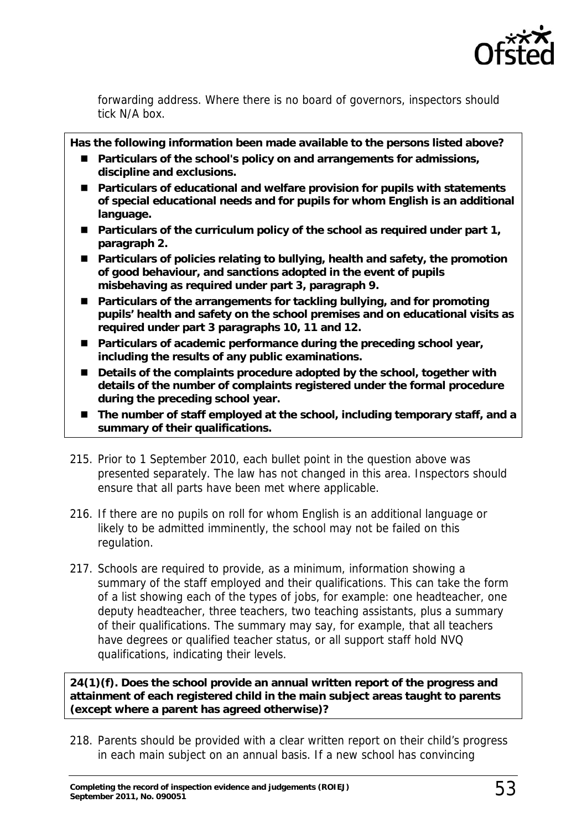

forwarding address. Where there is no board of governors, inspectors should tick N/A box.

**Has the following information been made available to the persons listed above?** 

- Particulars of the school's policy on and arrangements for admissions, **discipline and exclusions.**
- **Particulars of educational and welfare provision for pupils with statements of special educational needs and for pupils for whom English is an additional language.**
- Particulars of the curriculum policy of the school as required under part 1, **paragraph 2.**
- Particulars of policies relating to bullying, health and safety, the promotion **of good behaviour, and sanctions adopted in the event of pupils misbehaving as required under part 3, paragraph 9.**
- **Particulars of the arrangements for tackling bullying, and for promoting pupils' health and safety on the school premises and on educational visits as required under part 3 paragraphs 10, 11 and 12.**
- Particulars of academic performance during the preceding school year, **including the results of any public examinations.**
- Details of the complaints procedure adopted by the school, together with **details of the number of complaints registered under the formal procedure during the preceding school year.**
- The number of staff employed at the school, including temporary staff, and a **summary of their qualifications.**
- 215. Prior to 1 September 2010, each bullet point in the question above was presented separately. The law has not changed in this area. Inspectors should ensure that all parts have been met where applicable.
- 216. If there are no pupils on roll for whom English is an additional language or likely to be admitted imminently, the school may not be failed on this regulation.
- 217. Schools are required to provide, as a minimum, information showing a summary of the staff employed and their qualifications. This can take the form of a list showing each of the types of jobs, for example: one headteacher, one deputy headteacher, three teachers, two teaching assistants, plus a summary of their qualifications. The summary may say, for example, that all teachers have degrees or qualified teacher status, or all support staff hold NVQ qualifications, indicating their levels.

**24(1)(f). Does the school provide an annual written report of the progress and attainment of each registered child in the main subject areas taught to parents (except where a parent has agreed otherwise)?** 

218. Parents should be provided with a clear written report on their child's progress in each main subject on an annual basis. If a new school has convincing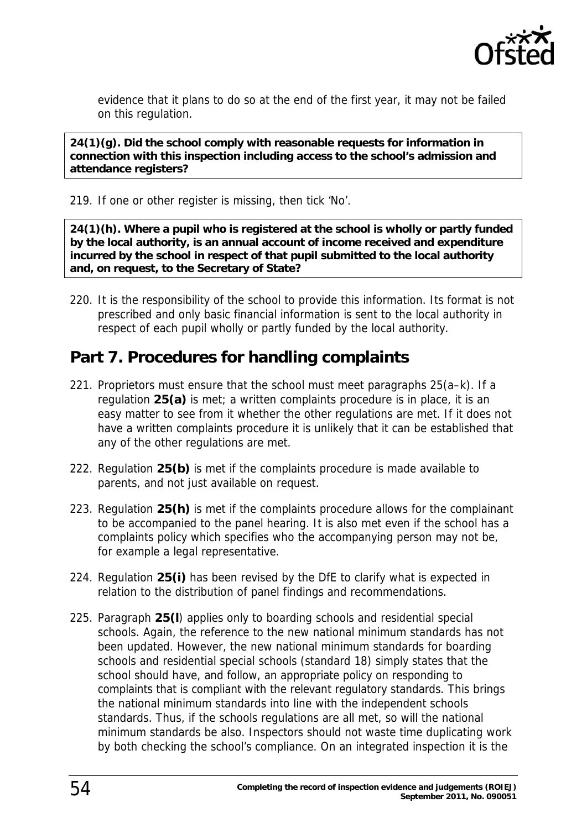

evidence that it plans to do so at the end of the first year, it may not be failed on this regulation.

**24(1)(g). Did the school comply with reasonable requests for information in connection with this inspection including access to the school's admission and attendance registers?** 

219. If one or other register is missing, then tick 'No'.

**24(1)(h). Where a pupil who is registered at the school is wholly or partly funded by the local authority, is an annual account of income received and expenditure incurred by the school in respect of that pupil submitted to the local authority and, on request, to the Secretary of State?** 

220. It is the responsibility of the school to provide this information. Its format is not prescribed and only basic financial information is sent to the local authority in respect of each pupil wholly or partly funded by the local authority.

### <span id="page-53-0"></span>**Part 7. Procedures for handling complaints**

- 221. Proprietors must ensure that the school must meet paragraphs 25(a–k). If a regulation **25(a)** is met; a written complaints procedure is in place, it is an easy matter to see from it whether the other regulations are met. If it does not have a written complaints procedure it is unlikely that it can be established that any of the other regulations are met.
- 222. Regulation **25(b)** is met if the complaints procedure is made available to parents, and not just available on request.
- 223. Regulation **25(h)** is met if the complaints procedure allows for the complainant to be accompanied to the panel hearing. It is also met even if the school has a complaints policy which specifies who the accompanying person may not be, for example a legal representative.
- 224. Regulation **25(i)** has been revised by the DfE to clarify what is expected in relation to the distribution of panel findings and recommendations.
- 225. Paragraph **25(l**) applies only to boarding schools and residential special schools. Again, the reference to the new national minimum standards has not been updated. However, the new national minimum standards for boarding schools and residential special schools (standard 18) simply states that the school should have, and follow, an appropriate policy on responding to complaints that is compliant with the relevant regulatory standards. This brings the national minimum standards into line with the independent schools standards. Thus, if the schools regulations are all met, so will the national minimum standards be also. Inspectors should not waste time duplicating work by both checking the school's compliance. On an integrated inspection it is the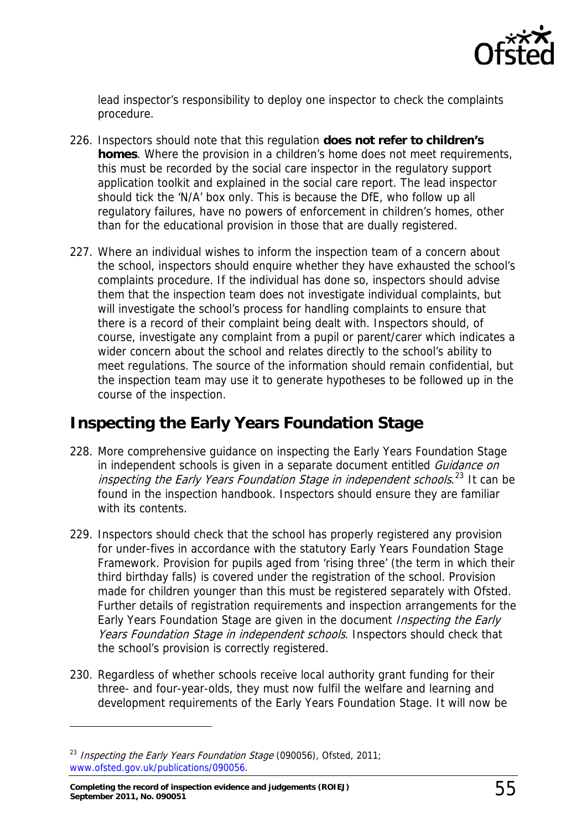

lead inspector's responsibility to deploy one inspector to check the complaints procedure.

- 226. Inspectors should note that this regulation **does not refer to children's homes**. Where the provision in a children's home does not meet requirements, this must be recorded by the social care inspector in the regulatory support application toolkit and explained in the social care report. The lead inspector should tick the 'N/A' box only. This is because the DfE, who follow up all regulatory failures, have no powers of enforcement in children's homes, other than for the educational provision in those that are dually registered.
- 227. Where an individual wishes to inform the inspection team of a concern about the school, inspectors should enquire whether they have exhausted the school's complaints procedure. If the individual has done so, inspectors should advise them that the inspection team does not investigate individual complaints, but will investigate the school's process for handling complaints to ensure that there is a record of their complaint being dealt with. Inspectors should, of course, investigate any complaint from a pupil or parent/carer which indicates a wider concern about the school and relates directly to the school's ability to meet regulations. The source of the information should remain confidential, but the inspection team may use it to generate hypotheses to be followed up in the course of the inspection.

### <span id="page-54-0"></span>**Inspecting the Early Years Foundation Stage**

- 228. More comprehensive guidance on inspecting the Early Years Foundation Stage in independent schools is given in a separate document entitled Guidance on inspecting the Early Years Foundation Stage in independent schools.<sup>[23](#page-54-1)</sup> It can be found in the inspection handbook. Inspectors should ensure they are familiar with its contents.
- 229. Inspectors should check that the school has properly registered any provision for under-fives in accordance with the statutory Early Years Foundation Stage Framework. Provision for pupils aged from 'rising three' (the term in which their third birthday falls) is covered under the registration of the school. Provision made for children younger than this must be registered separately with Ofsted. Further details of registration requirements and inspection arrangements for the Early Years Foundation Stage are given in the document *Inspecting the Early* Years Foundation Stage in independent schools. Inspectors should check that the school's provision is correctly registered.
- 230. Regardless of whether schools receive local authority grant funding for their three- and four-year-olds, they must now fulfil the welfare and learning and development requirements of the Early Years Foundation Stage. It will now be

<span id="page-54-1"></span><sup>&</sup>lt;sup>23</sup> Inspecting the Early Years Foundation Stage (090056), Ofsted, 2011; [www.ofsted.gov.uk/publications/090056.](http://www.ofsted.gov.uk/publications/090056)

**Completing the record of inspection evidence and judgements (ROIEJ) September 2011, No. 090051** 55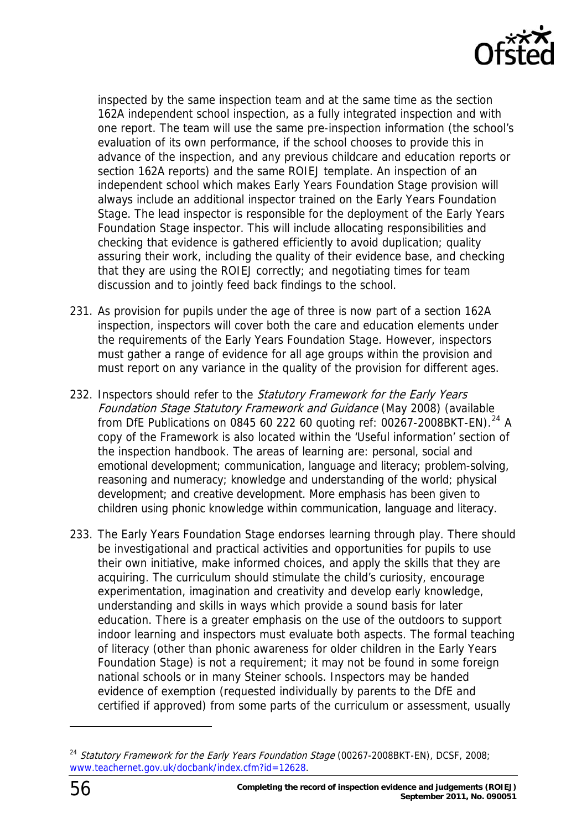

inspected by the same inspection team and at the same time as the section 162A independent school inspection, as a fully integrated inspection and with one report. The team will use the same pre-inspection information (the school's evaluation of its own performance, if the school chooses to provide this in advance of the inspection, and any previous childcare and education reports or section 162A reports) and the same ROIEJ template. An inspection of an independent school which makes Early Years Foundation Stage provision will always include an additional inspector trained on the Early Years Foundation Stage. The lead inspector is responsible for the deployment of the Early Years Foundation Stage inspector. This will include allocating responsibilities and checking that evidence is gathered efficiently to avoid duplication; quality assuring their work, including the quality of their evidence base, and checking that they are using the ROIEJ correctly; and negotiating times for team discussion and to jointly feed back findings to the school.

- 231. As provision for pupils under the age of three is now part of a section 162A inspection, inspectors will cover both the care and education elements under the requirements of the Early Years Foundation Stage. However, inspectors must gather a range of evidence for all age groups within the provision and must report on any variance in the quality of the provision for different ages.
- 232. Inspectors should refer to the Statutory Framework for the Early Years Foundation Stage Statutory Framework and Guidance (May 2008) (available from DfE Publications on 0845 60 222 60 quoting ref: 00267-2008BKT-EN).<sup>[24](#page-55-0)</sup> A copy of the Framework is also located within the 'Useful information' section of the inspection handbook. The areas of learning are: personal, social and emotional development; communication, language and literacy; problem-solving, reasoning and numeracy; knowledge and understanding of the world; physical development; and creative development. More emphasis has been given to children using phonic knowledge within communication, language and literacy.
- 233. The Early Years Foundation Stage endorses learning through play. There should be investigational and practical activities and opportunities for pupils to use their own initiative, make informed choices, and apply the skills that they are acquiring. The curriculum should stimulate the child's curiosity, encourage experimentation, imagination and creativity and develop early knowledge, understanding and skills in ways which provide a sound basis for later education. There is a greater emphasis on the use of the outdoors to support indoor learning and inspectors must evaluate both aspects. The formal teaching of literacy (other than phonic awareness for older children in the Early Years Foundation Stage) is not a requirement; it may not be found in some foreign national schools or in many Steiner schools. Inspectors may be handed evidence of exemption (requested individually by parents to the DfE and certified if approved) from some parts of the curriculum or assessment, usually

<span id="page-55-0"></span> $24$  Statutory Framework for the Early Years Foundation Stage (00267-2008BKT-EN), DCSF, 2008; [www.teachernet.gov.uk/docbank/index.cfm?id=12628](http://www.teachernet.gov.uk/docbank/index.cfm?id=12628).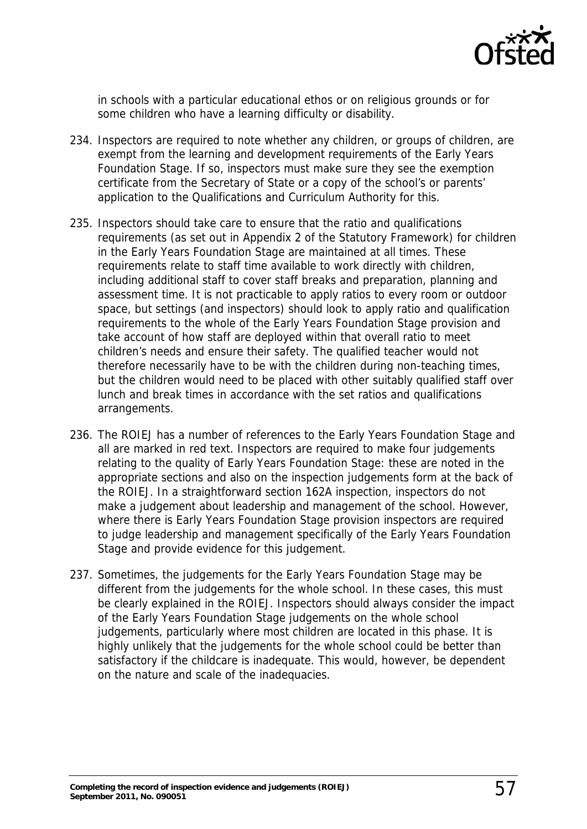

in schools with a particular educational ethos or on religious grounds or for some children who have a learning difficulty or disability.

- 234. Inspectors are required to note whether any children, or groups of children, are exempt from the learning and development requirements of the Early Years Foundation Stage. If so, inspectors must make sure they see the exemption certificate from the Secretary of State or a copy of the school's or parents' application to the Qualifications and Curriculum Authority for this.
- 235. Inspectors should take care to ensure that the ratio and qualifications requirements (as set out in Appendix 2 of the Statutory Framework) for children in the Early Years Foundation Stage are maintained at all times. These requirements relate to staff time available to work directly with children, including additional staff to cover staff breaks and preparation, planning and assessment time. It is not practicable to apply ratios to every room or outdoor space, but settings (and inspectors) should look to apply ratio and qualification requirements to the whole of the Early Years Foundation Stage provision and take account of how staff are deployed within that overall ratio to meet children's needs and ensure their safety. The qualified teacher would not therefore necessarily have to be with the children during non-teaching times, but the children would need to be placed with other suitably qualified staff over lunch and break times in accordance with the set ratios and qualifications arrangements.
- 236. The ROIEJ has a number of references to the Early Years Foundation Stage and all are marked in red text. Inspectors are required to make four judgements relating to the quality of Early Years Foundation Stage: these are noted in the appropriate sections and also on the inspection judgements form at the back of the ROIEJ. In a straightforward section 162A inspection, inspectors do not make a judgement about leadership and management of the school. However, where there is Early Years Foundation Stage provision inspectors are required to judge leadership and management specifically of the Early Years Foundation Stage and provide evidence for this judgement.
- 237. Sometimes, the judgements for the Early Years Foundation Stage may be different from the judgements for the whole school. In these cases, this must be clearly explained in the ROIEJ. Inspectors should always consider the impact of the Early Years Foundation Stage judgements on the whole school judgements, particularly where most children are located in this phase. It is highly unlikely that the judgements for the whole school could be better than satisfactory if the childcare is inadequate. This would, however, be dependent on the nature and scale of the inadequacies.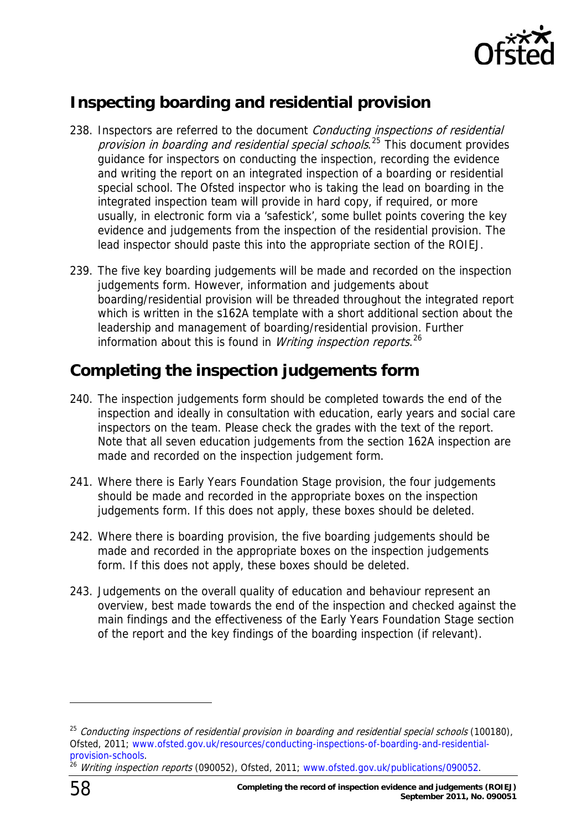

# <span id="page-57-0"></span>**Inspecting boarding and residential provision**

- 238. Inspectors are referred to the document Conducting inspections of residential provision in boarding and residential special schools.<sup>[25](#page-57-2)</sup> This document provides guidance for inspectors on conducting the inspection, recording the evidence and writing the report on an integrated inspection of a boarding or residential special school. The Ofsted inspector who is taking the lead on boarding in the integrated inspection team will provide in hard copy, if required, or more usually, in electronic form via a 'safestick', some bullet points covering the key evidence and judgements from the inspection of the residential provision. The lead inspector should paste this into the appropriate section of the ROIEJ.
- 239. The five key boarding judgements will be made and recorded on the inspection judgements form. However, information and judgements about boarding/residential provision will be threaded throughout the integrated report which is written in the s162A template with a short additional section about the leadership and management of boarding/residential provision. Further information about this is found in *Writing inspection reports.*<sup>[26](#page-57-3)</sup>

## <span id="page-57-1"></span>**Completing the inspection judgements form**

- 240. The inspection judgements form should be completed towards the end of the inspection and ideally in consultation with education, early years and social care inspectors on the team. Please check the grades with the text of the report. Note that all seven education judgements from the section 162A inspection are made and recorded on the inspection judgement form.
- 241. Where there is Early Years Foundation Stage provision, the four judgements should be made and recorded in the appropriate boxes on the inspection judgements form. If this does not apply, these boxes should be deleted.
- 242. Where there is boarding provision, the five boarding judgements should be made and recorded in the appropriate boxes on the inspection judgements form. If this does not apply, these boxes should be deleted.
- 243. Judgements on the overall quality of education and behaviour represent an overview, best made towards the end of the inspection and checked against the main findings and the effectiveness of the Early Years Foundation Stage section of the report and the key findings of the boarding inspection (if relevant).

<span id="page-57-2"></span> $25$  Conducting inspections of residential provision in boarding and residential special schools (100180), Ofsted, 2011; [www.ofsted.gov.uk/resources/conducting-inspections-of-boarding-and-residential](http://www.ofsted.gov.uk/resources/conducting-inspections-of-boarding-and-residential-provision-schools)[provision-schools](http://www.ofsted.gov.uk/resources/conducting-inspections-of-boarding-and-residential-provision-schools).<br><sup>26</sup> Writing inspection reports (090052), Ofsted, 2011; [www.ofsted.gov.uk/publications/090052.](http://www.ofsted.gov.uk/publications/090052)

<span id="page-57-3"></span>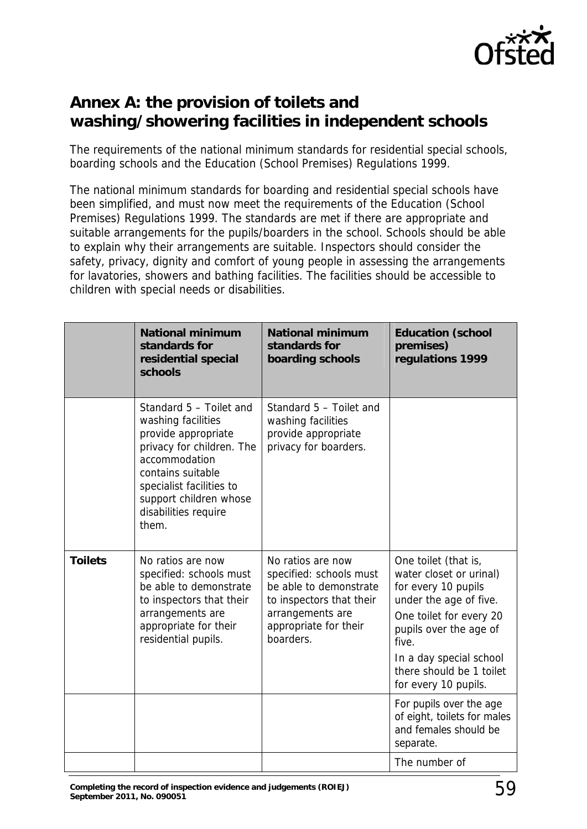

# <span id="page-58-0"></span>**Annex A: the provision of toilets and washing/showering facilities in independent schools**

The requirements of the national minimum standards for residential special schools, boarding schools and the Education (School Premises) Regulations 1999.

The national minimum standards for boarding and residential special schools have been simplified, and must now meet the requirements of the Education (School Premises) Regulations 1999. The standards are met if there are appropriate and suitable arrangements for the pupils/boarders in the school. Schools should be able to explain why their arrangements are suitable. Inspectors should consider the safety, privacy, dignity and comfort of young people in assessing the arrangements for lavatories, showers and bathing facilities. The facilities should be accessible to children with special needs or disabilities.

|                | <b>National minimum</b><br>standards for<br>residential special<br>schools                                                                                                                                                     | <b>National minimum</b><br>standards for<br>boarding schools                                                                                                 | <b>Education (school</b><br>premises)<br>regulations 1999                                                                                                                                                                                     |
|----------------|--------------------------------------------------------------------------------------------------------------------------------------------------------------------------------------------------------------------------------|--------------------------------------------------------------------------------------------------------------------------------------------------------------|-----------------------------------------------------------------------------------------------------------------------------------------------------------------------------------------------------------------------------------------------|
|                | Standard 5 - Toilet and<br>washing facilities<br>provide appropriate<br>privacy for children. The<br>accommodation<br>contains suitable<br>specialist facilities to<br>support children whose<br>disabilities require<br>them. | Standard 5 - Toilet and<br>washing facilities<br>provide appropriate<br>privacy for boarders.                                                                |                                                                                                                                                                                                                                               |
| <b>Toilets</b> | No ratios are now<br>specified: schools must<br>be able to demonstrate<br>to inspectors that their<br>arrangements are<br>appropriate for their<br>residential pupils.                                                         | No ratios are now<br>specified: schools must<br>be able to demonstrate<br>to inspectors that their<br>arrangements are<br>appropriate for their<br>boarders. | One toilet (that is,<br>water closet or urinal)<br>for every 10 pupils<br>under the age of five.<br>One toilet for every 20<br>pupils over the age of<br>five.<br>In a day special school<br>there should be 1 toilet<br>for every 10 pupils. |
|                |                                                                                                                                                                                                                                |                                                                                                                                                              | For pupils over the age<br>of eight, toilets for males<br>and females should be<br>separate.                                                                                                                                                  |
|                |                                                                                                                                                                                                                                |                                                                                                                                                              | The number of                                                                                                                                                                                                                                 |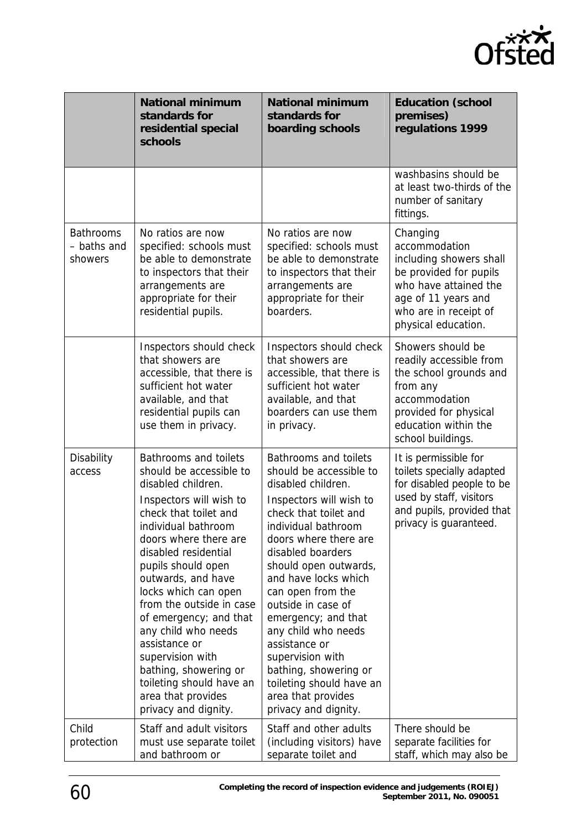

|                                            | <b>National minimum</b><br>standards for<br>residential special<br>schools                                                                                                                                                                                                                                                                                                                                                                                                                         | <b>National minimum</b><br>standards for<br>boarding schools                                                                                                                                                                                                                                                                                                                                                                                                                             | <b>Education (school</b><br>premises)<br>regulations 1999                                                                                                                      |
|--------------------------------------------|----------------------------------------------------------------------------------------------------------------------------------------------------------------------------------------------------------------------------------------------------------------------------------------------------------------------------------------------------------------------------------------------------------------------------------------------------------------------------------------------------|------------------------------------------------------------------------------------------------------------------------------------------------------------------------------------------------------------------------------------------------------------------------------------------------------------------------------------------------------------------------------------------------------------------------------------------------------------------------------------------|--------------------------------------------------------------------------------------------------------------------------------------------------------------------------------|
|                                            |                                                                                                                                                                                                                                                                                                                                                                                                                                                                                                    |                                                                                                                                                                                                                                                                                                                                                                                                                                                                                          | washbasins should be<br>at least two-thirds of the<br>number of sanitary<br>fittings.                                                                                          |
| <b>Bathrooms</b><br>- baths and<br>showers | No ratios are now<br>specified: schools must<br>be able to demonstrate<br>to inspectors that their<br>arrangements are<br>appropriate for their<br>residential pupils.                                                                                                                                                                                                                                                                                                                             | No ratios are now<br>specified: schools must<br>be able to demonstrate<br>to inspectors that their<br>arrangements are<br>appropriate for their<br>boarders.                                                                                                                                                                                                                                                                                                                             | Changing<br>accommodation<br>including showers shall<br>be provided for pupils<br>who have attained the<br>age of 11 years and<br>who are in receipt of<br>physical education. |
|                                            | Inspectors should check<br>that showers are<br>accessible, that there is<br>sufficient hot water<br>available, and that<br>residential pupils can<br>use them in privacy.                                                                                                                                                                                                                                                                                                                          | Inspectors should check<br>that showers are<br>accessible, that there is<br>sufficient hot water<br>available, and that<br>boarders can use them<br>in privacy.                                                                                                                                                                                                                                                                                                                          | Showers should be<br>readily accessible from<br>the school grounds and<br>from any<br>accommodation<br>provided for physical<br>education within the<br>school buildings.      |
| Disability<br>access                       | <b>Bathrooms and toilets</b><br>should be accessible to<br>disabled children.<br>Inspectors will wish to<br>check that toilet and<br>individual bathroom<br>doors where there are<br>disabled residential<br>pupils should open<br>outwards, and have<br>locks which can open<br>from the outside in case<br>of emergency; and that<br>any child who needs<br>assistance or<br>supervision with<br>bathing, showering or<br>toileting should have an<br>area that provides<br>privacy and dignity. | <b>Bathrooms and toilets</b><br>should be accessible to<br>disabled children.<br>Inspectors will wish to<br>check that toilet and<br>individual bathroom<br>doors where there are<br>disabled boarders<br>should open outwards,<br>and have locks which<br>can open from the<br>outside in case of<br>emergency; and that<br>any child who needs<br>assistance or<br>supervision with<br>bathing, showering or<br>toileting should have an<br>area that provides<br>privacy and dignity. | It is permissible for<br>toilets specially adapted<br>for disabled people to be<br>used by staff, visitors<br>and pupils, provided that<br>privacy is guaranteed.              |
| Child<br>protection                        | Staff and adult visitors<br>must use separate toilet<br>and bathroom or                                                                                                                                                                                                                                                                                                                                                                                                                            | Staff and other adults<br>(including visitors) have<br>separate toilet and                                                                                                                                                                                                                                                                                                                                                                                                               | There should be<br>separate facilities for<br>staff, which may also be                                                                                                         |